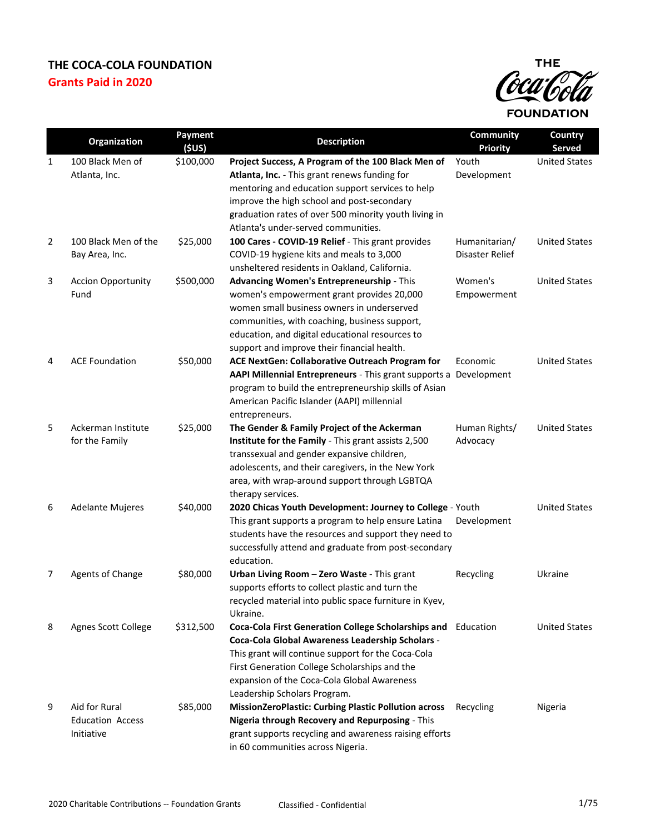

|                | Organization                      | Payment   | <b>Description</b>                                                                        | Community                        | Country              |
|----------------|-----------------------------------|-----------|-------------------------------------------------------------------------------------------|----------------------------------|----------------------|
|                |                                   | (5US)     |                                                                                           | <b>Priority</b>                  | <b>Served</b>        |
| 1              | 100 Black Men of                  | \$100,000 | Project Success, A Program of the 100 Black Men of                                        | Youth                            | <b>United States</b> |
|                | Atlanta, Inc.                     |           | Atlanta, Inc. - This grant renews funding for                                             | Development                      |                      |
|                |                                   |           | mentoring and education support services to help                                          |                                  |                      |
|                |                                   |           | improve the high school and post-secondary                                                |                                  |                      |
|                |                                   |           | graduation rates of over 500 minority youth living in                                     |                                  |                      |
|                |                                   |           | Atlanta's under-served communities.                                                       |                                  |                      |
| $\overline{2}$ | 100 Black Men of the              | \$25,000  | 100 Cares - COVID-19 Relief - This grant provides                                         | Humanitarian/<br>Disaster Relief | <b>United States</b> |
|                | Bay Area, Inc.                    |           | COVID-19 hygiene kits and meals to 3,000<br>unsheltered residents in Oakland, California. |                                  |                      |
|                |                                   |           |                                                                                           | Women's                          | <b>United States</b> |
| 3              | <b>Accion Opportunity</b><br>Fund | \$500,000 | Advancing Women's Entrepreneurship - This<br>women's empowerment grant provides 20,000    | Empowerment                      |                      |
|                |                                   |           | women small business owners in underserved                                                |                                  |                      |
|                |                                   |           | communities, with coaching, business support,                                             |                                  |                      |
|                |                                   |           | education, and digital educational resources to                                           |                                  |                      |
|                |                                   |           | support and improve their financial health.                                               |                                  |                      |
| 4              | <b>ACE Foundation</b>             | \$50,000  | ACE NextGen: Collaborative Outreach Program for                                           | Economic                         | <b>United States</b> |
|                |                                   |           | AAPI Millennial Entrepreneurs - This grant supports a Development                         |                                  |                      |
|                |                                   |           | program to build the entrepreneurship skills of Asian                                     |                                  |                      |
|                |                                   |           | American Pacific Islander (AAPI) millennial                                               |                                  |                      |
|                |                                   |           | entrepreneurs.                                                                            |                                  |                      |
| 5              | Ackerman Institute                | \$25,000  | The Gender & Family Project of the Ackerman                                               | Human Rights/                    | <b>United States</b> |
|                | for the Family                    |           | Institute for the Family - This grant assists 2,500                                       | Advocacy                         |                      |
|                |                                   |           | transsexual and gender expansive children,                                                |                                  |                      |
|                |                                   |           | adolescents, and their caregivers, in the New York                                        |                                  |                      |
|                |                                   |           | area, with wrap-around support through LGBTQA                                             |                                  |                      |
|                |                                   |           | therapy services.                                                                         |                                  |                      |
| 6              | <b>Adelante Mujeres</b>           | \$40,000  | 2020 Chicas Youth Development: Journey to College - Youth                                 |                                  | <b>United States</b> |
|                |                                   |           | This grant supports a program to help ensure Latina                                       | Development                      |                      |
|                |                                   |           | students have the resources and support they need to                                      |                                  |                      |
|                |                                   |           | successfully attend and graduate from post-secondary                                      |                                  |                      |
|                |                                   |           | education.                                                                                |                                  |                      |
| 7              | Agents of Change                  | \$80,000  | Urban Living Room - Zero Waste - This grant                                               | Recycling                        | Ukraine              |
|                |                                   |           | supports efforts to collect plastic and turn the                                          |                                  |                      |
|                |                                   |           | recycled material into public space furniture in Kyev,                                    |                                  |                      |
|                |                                   |           | Ukraine.                                                                                  |                                  |                      |
| 8              | Agnes Scott College               | \$312,500 | Coca-Cola First Generation College Scholarships and                                       | Education                        | <b>United States</b> |
|                |                                   |           | Coca-Cola Global Awareness Leadership Scholars -                                          |                                  |                      |
|                |                                   |           | This grant will continue support for the Coca-Cola                                        |                                  |                      |
|                |                                   |           | First Generation College Scholarships and the                                             |                                  |                      |
|                |                                   |           | expansion of the Coca-Cola Global Awareness                                               |                                  |                      |
|                |                                   |           | Leadership Scholars Program.                                                              |                                  |                      |
| 9              | Aid for Rural                     | \$85,000  | <b>MissionZeroPlastic: Curbing Plastic Pollution across</b>                               | Recycling                        | Nigeria              |
|                | <b>Education Access</b>           |           | Nigeria through Recovery and Repurposing - This                                           |                                  |                      |
|                | Initiative                        |           | grant supports recycling and awareness raising efforts                                    |                                  |                      |
|                |                                   |           | in 60 communities across Nigeria.                                                         |                                  |                      |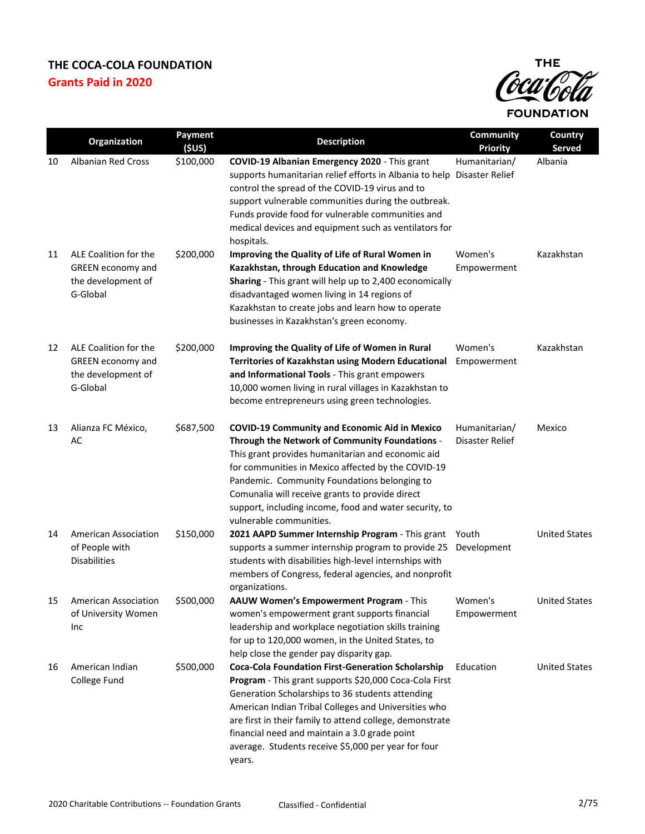

|    | Organization                                                                        | <b>Payment</b><br>(SUS) | <b>Description</b>                                                                                                                                                                                                                                                                                                                                                                                           | Community<br><b>Priority</b>     | Country<br>Served    |
|----|-------------------------------------------------------------------------------------|-------------------------|--------------------------------------------------------------------------------------------------------------------------------------------------------------------------------------------------------------------------------------------------------------------------------------------------------------------------------------------------------------------------------------------------------------|----------------------------------|----------------------|
| 10 | <b>Albanian Red Cross</b>                                                           | \$100,000               | COVID-19 Albanian Emergency 2020 - This grant<br>supports humanitarian relief efforts in Albania to help Disaster Relief<br>control the spread of the COVID-19 virus and to<br>support vulnerable communities during the outbreak.<br>Funds provide food for vulnerable communities and<br>medical devices and equipment such as ventilators for<br>hospitals.                                               | Humanitarian/                    | Albania              |
| 11 | ALE Coalition for the<br><b>GREEN</b> economy and<br>the development of<br>G-Global | \$200,000               | Improving the Quality of Life of Rural Women in<br>Kazakhstan, through Education and Knowledge<br>Sharing - This grant will help up to 2,400 economically<br>disadvantaged women living in 14 regions of<br>Kazakhstan to create jobs and learn how to operate<br>businesses in Kazakhstan's green economy.                                                                                                  | Women's<br>Empowerment           | Kazakhstan           |
| 12 | ALE Coalition for the<br>GREEN economy and<br>the development of<br>G-Global        | \$200,000               | Improving the Quality of Life of Women in Rural<br>Territories of Kazakhstan using Modern Educational<br>and Informational Tools - This grant empowers<br>10,000 women living in rural villages in Kazakhstan to<br>become entrepreneurs using green technologies.                                                                                                                                           | Women's<br>Empowerment           | Kazakhstan           |
| 13 | Alianza FC México,<br>AC                                                            | \$687,500               | <b>COVID-19 Community and Economic Aid in Mexico</b><br>Through the Network of Community Foundations -<br>This grant provides humanitarian and economic aid<br>for communities in Mexico affected by the COVID-19<br>Pandemic. Community Foundations belonging to<br>Comunalia will receive grants to provide direct<br>support, including income, food and water security, to<br>vulnerable communities.    | Humanitarian/<br>Disaster Relief | Mexico               |
| 14 | <b>American Association</b><br>of People with<br><b>Disabilities</b>                | \$150,000               | 2021 AAPD Summer Internship Program - This grant<br>supports a summer internship program to provide 25<br>students with disabilities high-level internships with<br>members of Congress, federal agencies, and nonprofit<br>organizations.                                                                                                                                                                   | Youth<br>Development             | <b>United States</b> |
| 15 | American Association<br>of University Women<br>Inc                                  | \$500,000               | AAUW Women's Empowerment Program - This<br>women's empowerment grant supports financial<br>leadership and workplace negotiation skills training<br>for up to 120,000 women, in the United States, to<br>help close the gender pay disparity gap.                                                                                                                                                             | Women's<br>Empowerment           | <b>United States</b> |
| 16 | American Indian<br>College Fund                                                     | \$500,000               | <b>Coca-Cola Foundation First-Generation Scholarship</b><br>Program - This grant supports \$20,000 Coca-Cola First<br>Generation Scholarships to 36 students attending<br>American Indian Tribal Colleges and Universities who<br>are first in their family to attend college, demonstrate<br>financial need and maintain a 3.0 grade point<br>average. Students receive \$5,000 per year for four<br>years. | Education                        | <b>United States</b> |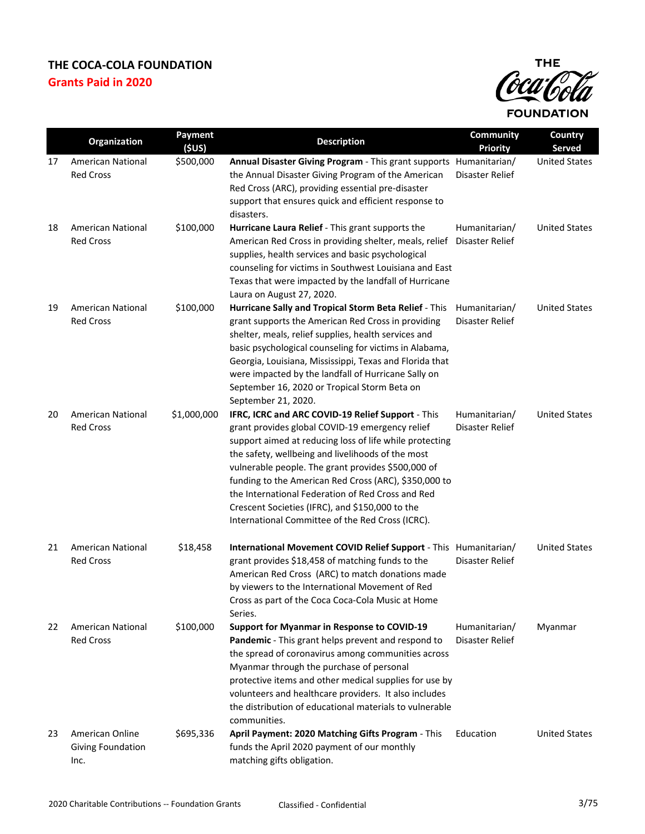

|    | Organization                                 | Payment<br>(5US) | <b>Description</b>                                                                                                                                                                                                                                                                                                                                                                                                                                                                              | <b>Community</b><br><b>Priority</b> | Country<br>Served    |
|----|----------------------------------------------|------------------|-------------------------------------------------------------------------------------------------------------------------------------------------------------------------------------------------------------------------------------------------------------------------------------------------------------------------------------------------------------------------------------------------------------------------------------------------------------------------------------------------|-------------------------------------|----------------------|
| 17 | American National<br><b>Red Cross</b>        | \$500,000        | Annual Disaster Giving Program - This grant supports Humanitarian/<br>the Annual Disaster Giving Program of the American<br>Red Cross (ARC), providing essential pre-disaster<br>support that ensures quick and efficient response to<br>disasters.                                                                                                                                                                                                                                             | Disaster Relief                     | <b>United States</b> |
| 18 | American National<br><b>Red Cross</b>        | \$100,000        | Hurricane Laura Relief - This grant supports the<br>American Red Cross in providing shelter, meals, relief<br>supplies, health services and basic psychological<br>counseling for victims in Southwest Louisiana and East<br>Texas that were impacted by the landfall of Hurricane<br>Laura on August 27, 2020.                                                                                                                                                                                 | Humanitarian/<br>Disaster Relief    | <b>United States</b> |
| 19 | <b>American National</b><br><b>Red Cross</b> | \$100,000        | Hurricane Sally and Tropical Storm Beta Relief - This<br>grant supports the American Red Cross in providing<br>shelter, meals, relief supplies, health services and<br>basic psychological counseling for victims in Alabama,<br>Georgia, Louisiana, Mississippi, Texas and Florida that<br>were impacted by the landfall of Hurricane Sally on<br>September 16, 2020 or Tropical Storm Beta on<br>September 21, 2020.                                                                          | Humanitarian/<br>Disaster Relief    | <b>United States</b> |
| 20 | <b>American National</b><br><b>Red Cross</b> | \$1,000,000      | IFRC, ICRC and ARC COVID-19 Relief Support - This<br>grant provides global COVID-19 emergency relief<br>support aimed at reducing loss of life while protecting<br>the safety, wellbeing and livelihoods of the most<br>vulnerable people. The grant provides \$500,000 of<br>funding to the American Red Cross (ARC), \$350,000 to<br>the International Federation of Red Cross and Red<br>Crescent Societies (IFRC), and \$150,000 to the<br>International Committee of the Red Cross (ICRC). | Humanitarian/<br>Disaster Relief    | <b>United States</b> |
| 21 | <b>American National</b><br><b>Red Cross</b> | \$18,458         | International Movement COVID Relief Support - This Humanitarian/<br>grant provides \$18,458 of matching funds to the<br>American Red Cross (ARC) to match donations made<br>by viewers to the International Movement of Red<br>Cross as part of the Coca Coca-Cola Music at Home<br>Series.                                                                                                                                                                                                     | Disaster Relief                     | <b>United States</b> |
| 22 | <b>American National</b><br><b>Red Cross</b> | \$100,000        | <b>Support for Myanmar in Response to COVID-19</b><br>Pandemic - This grant helps prevent and respond to<br>the spread of coronavirus among communities across<br>Myanmar through the purchase of personal<br>protective items and other medical supplies for use by<br>volunteers and healthcare providers. It also includes<br>the distribution of educational materials to vulnerable<br>communities.                                                                                        | Humanitarian/<br>Disaster Relief    | Myanmar              |
| 23 | American Online<br>Giving Foundation<br>Inc. | \$695,336        | April Payment: 2020 Matching Gifts Program - This<br>funds the April 2020 payment of our monthly<br>matching gifts obligation.                                                                                                                                                                                                                                                                                                                                                                  | Education                           | <b>United States</b> |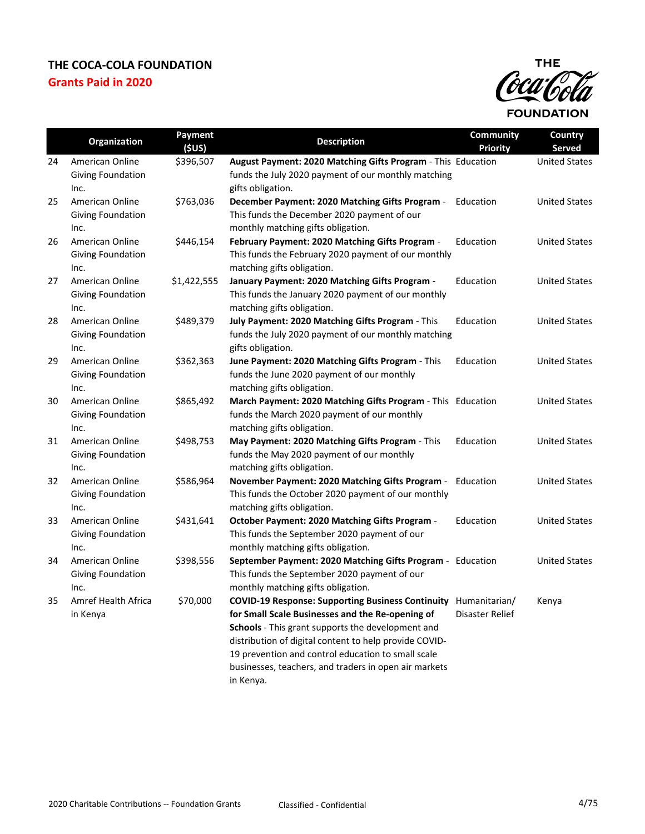

|    | Organization                                        | Payment<br>(SUS) | <b>Description</b>                                                                                                                                                                                                                                                                                                                                      | <b>Community</b><br><b>Priority</b> | Country<br>Served    |
|----|-----------------------------------------------------|------------------|---------------------------------------------------------------------------------------------------------------------------------------------------------------------------------------------------------------------------------------------------------------------------------------------------------------------------------------------------------|-------------------------------------|----------------------|
| 24 | American Online<br>Giving Foundation<br>Inc.        | \$396,507        | August Payment: 2020 Matching Gifts Program - This Education<br>funds the July 2020 payment of our monthly matching<br>gifts obligation.                                                                                                                                                                                                                |                                     | <b>United States</b> |
| 25 | American Online<br>Giving Foundation<br>Inc.        | \$763,036        | December Payment: 2020 Matching Gifts Program -<br>This funds the December 2020 payment of our<br>monthly matching gifts obligation.                                                                                                                                                                                                                    | Education                           | <b>United States</b> |
| 26 | American Online<br>Giving Foundation<br>Inc.        | \$446,154        | February Payment: 2020 Matching Gifts Program -<br>This funds the February 2020 payment of our monthly<br>matching gifts obligation.                                                                                                                                                                                                                    | Education                           | <b>United States</b> |
| 27 | American Online<br>Giving Foundation<br>Inc.        | \$1,422,555      | January Payment: 2020 Matching Gifts Program -<br>This funds the January 2020 payment of our monthly<br>matching gifts obligation.                                                                                                                                                                                                                      | Education                           | <b>United States</b> |
| 28 | American Online<br>Giving Foundation<br>Inc.        | \$489,379        | July Payment: 2020 Matching Gifts Program - This<br>funds the July 2020 payment of our monthly matching<br>gifts obligation.                                                                                                                                                                                                                            | Education                           | <b>United States</b> |
| 29 | American Online<br><b>Giving Foundation</b><br>Inc. | \$362,363        | June Payment: 2020 Matching Gifts Program - This<br>funds the June 2020 payment of our monthly<br>matching gifts obligation.                                                                                                                                                                                                                            | Education                           | <b>United States</b> |
| 30 | American Online<br>Giving Foundation<br>Inc.        | \$865,492        | March Payment: 2020 Matching Gifts Program - This Education<br>funds the March 2020 payment of our monthly<br>matching gifts obligation.                                                                                                                                                                                                                |                                     | <b>United States</b> |
| 31 | American Online<br><b>Giving Foundation</b><br>Inc. | \$498,753        | May Payment: 2020 Matching Gifts Program - This<br>funds the May 2020 payment of our monthly<br>matching gifts obligation.                                                                                                                                                                                                                              | Education                           | <b>United States</b> |
| 32 | American Online<br>Giving Foundation<br>Inc.        | \$586,964        | November Payment: 2020 Matching Gifts Program -<br>This funds the October 2020 payment of our monthly<br>matching gifts obligation.                                                                                                                                                                                                                     | Education                           | <b>United States</b> |
| 33 | American Online<br>Giving Foundation<br>Inc.        | \$431,641        | October Payment: 2020 Matching Gifts Program -<br>This funds the September 2020 payment of our<br>monthly matching gifts obligation.                                                                                                                                                                                                                    | Education                           | <b>United States</b> |
| 34 | American Online<br>Giving Foundation<br>Inc.        | \$398,556        | September Payment: 2020 Matching Gifts Program - Education<br>This funds the September 2020 payment of our<br>monthly matching gifts obligation.                                                                                                                                                                                                        |                                     | <b>United States</b> |
| 35 | Amref Health Africa<br>in Kenya                     | \$70,000         | <b>COVID-19 Response: Supporting Business Continuity</b><br>for Small Scale Businesses and the Re-opening of<br>Schools - This grant supports the development and<br>distribution of digital content to help provide COVID-<br>19 prevention and control education to small scale<br>businesses, teachers, and traders in open air markets<br>in Kenya. | Humanitarian/<br>Disaster Relief    | Kenya                |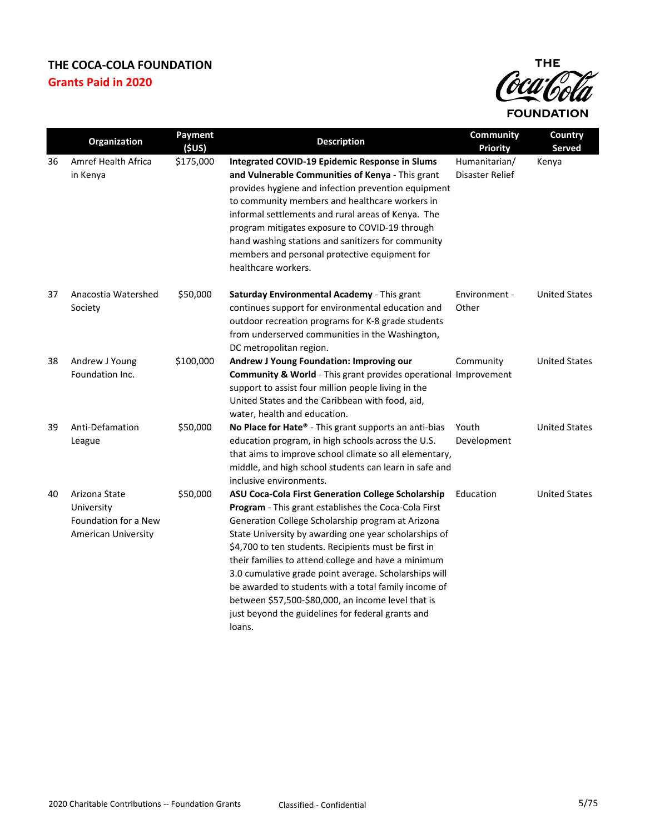

|    | Organization                                                                      | <b>Payment</b><br>(SUS) | <b>Description</b>                                                                                                                                                                                                                                                                                                                                                                                                                                                                                                                                                                          | Community<br><b>Priority</b>     | <b>Country</b><br>Served |
|----|-----------------------------------------------------------------------------------|-------------------------|---------------------------------------------------------------------------------------------------------------------------------------------------------------------------------------------------------------------------------------------------------------------------------------------------------------------------------------------------------------------------------------------------------------------------------------------------------------------------------------------------------------------------------------------------------------------------------------------|----------------------------------|--------------------------|
| 36 | Amref Health Africa<br>in Kenya                                                   | \$175,000               | Integrated COVID-19 Epidemic Response in Slums<br>and Vulnerable Communities of Kenya - This grant<br>provides hygiene and infection prevention equipment<br>to community members and healthcare workers in<br>informal settlements and rural areas of Kenya. The<br>program mitigates exposure to COVID-19 through<br>hand washing stations and sanitizers for community<br>members and personal protective equipment for<br>healthcare workers.                                                                                                                                           | Humanitarian/<br>Disaster Relief | Kenya                    |
| 37 | Anacostia Watershed<br>Society                                                    | \$50,000                | Saturday Environmental Academy - This grant<br>continues support for environmental education and<br>outdoor recreation programs for K-8 grade students<br>from underserved communities in the Washington,<br>DC metropolitan region.                                                                                                                                                                                                                                                                                                                                                        | Environment -<br>Other           | <b>United States</b>     |
| 38 | Andrew J Young<br>Foundation Inc.                                                 | \$100,000               | Andrew J Young Foundation: Improving our<br><b>Community &amp; World</b> - This grant provides operational Improvement<br>support to assist four million people living in the<br>United States and the Caribbean with food, aid,<br>water, health and education.                                                                                                                                                                                                                                                                                                                            | Community                        | <b>United States</b>     |
| 39 | Anti-Defamation<br>League                                                         | \$50,000                | No Place for Hate® - This grant supports an anti-bias<br>education program, in high schools across the U.S.<br>that aims to improve school climate so all elementary,<br>middle, and high school students can learn in safe and<br>inclusive environments.                                                                                                                                                                                                                                                                                                                                  | Youth<br>Development             | <b>United States</b>     |
| 40 | Arizona State<br>University<br>Foundation for a New<br><b>American University</b> | \$50,000                | <b>ASU Coca-Cola First Generation College Scholarship</b><br><b>Program</b> - This grant establishes the Coca-Cola First<br>Generation College Scholarship program at Arizona<br>State University by awarding one year scholarships of<br>\$4,700 to ten students. Recipients must be first in<br>their families to attend college and have a minimum<br>3.0 cumulative grade point average. Scholarships will<br>be awarded to students with a total family income of<br>between \$57,500-\$80,000, an income level that is<br>just beyond the guidelines for federal grants and<br>loans. | Education                        | <b>United States</b>     |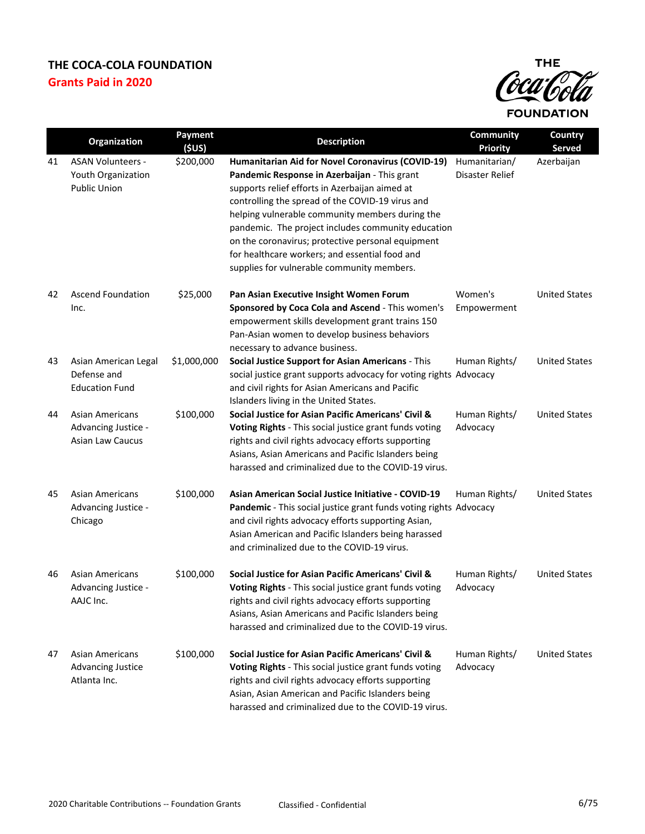

|    | <b>Organization</b>                                                      | Payment<br>(SUS) | <b>Description</b>                                                                                                                                                                                                                                                                                                                                                                                                                                                    | Community<br><b>Priority</b>     | Country<br>Served    |
|----|--------------------------------------------------------------------------|------------------|-----------------------------------------------------------------------------------------------------------------------------------------------------------------------------------------------------------------------------------------------------------------------------------------------------------------------------------------------------------------------------------------------------------------------------------------------------------------------|----------------------------------|----------------------|
| 41 | <b>ASAN Volunteers -</b><br>Youth Organization<br><b>Public Union</b>    | \$200,000        | Humanitarian Aid for Novel Coronavirus (COVID-19)<br>Pandemic Response in Azerbaijan - This grant<br>supports relief efforts in Azerbaijan aimed at<br>controlling the spread of the COVID-19 virus and<br>helping vulnerable community members during the<br>pandemic. The project includes community education<br>on the coronavirus; protective personal equipment<br>for healthcare workers; and essential food and<br>supplies for vulnerable community members. | Humanitarian/<br>Disaster Relief | Azerbaijan           |
| 42 | Ascend Foundation<br>Inc.                                                | \$25,000         | Pan Asian Executive Insight Women Forum<br>Sponsored by Coca Cola and Ascend - This women's<br>empowerment skills development grant trains 150<br>Pan-Asian women to develop business behaviors<br>necessary to advance business.                                                                                                                                                                                                                                     | Women's<br>Empowerment           | <b>United States</b> |
| 43 | Asian American Legal<br>Defense and<br><b>Education Fund</b>             | \$1,000,000      | Social Justice Support for Asian Americans - This<br>social justice grant supports advocacy for voting rights Advocacy<br>and civil rights for Asian Americans and Pacific<br>Islanders living in the United States.                                                                                                                                                                                                                                                  | Human Rights/                    | <b>United States</b> |
| 44 | <b>Asian Americans</b><br>Advancing Justice -<br><b>Asian Law Caucus</b> | \$100,000        | Social Justice for Asian Pacific Americans' Civil &<br>Voting Rights - This social justice grant funds voting<br>rights and civil rights advocacy efforts supporting<br>Asians, Asian Americans and Pacific Islanders being<br>harassed and criminalized due to the COVID-19 virus.                                                                                                                                                                                   | Human Rights/<br>Advocacy        | <b>United States</b> |
| 45 | Asian Americans<br>Advancing Justice -<br>Chicago                        | \$100,000        | Asian American Social Justice Initiative - COVID-19<br>Pandemic - This social justice grant funds voting rights Advocacy<br>and civil rights advocacy efforts supporting Asian,<br>Asian American and Pacific Islanders being harassed<br>and criminalized due to the COVID-19 virus.                                                                                                                                                                                 | Human Rights/                    | <b>United States</b> |
| 46 | Asian Americans<br>Advancing Justice -<br>AAJC Inc.                      | \$100,000        | Social Justice for Asian Pacific Americans' Civil &<br>Voting Rights - This social justice grant funds voting<br>rights and civil rights advocacy efforts supporting<br>Asians, Asian Americans and Pacific Islanders being<br>harassed and criminalized due to the COVID-19 virus.                                                                                                                                                                                   | Human Rights/<br>Advocacy        | <b>United States</b> |
| 47 | <b>Asian Americans</b><br><b>Advancing Justice</b><br>Atlanta Inc.       | \$100,000        | Social Justice for Asian Pacific Americans' Civil &<br>Voting Rights - This social justice grant funds voting<br>rights and civil rights advocacy efforts supporting<br>Asian, Asian American and Pacific Islanders being<br>harassed and criminalized due to the COVID-19 virus.                                                                                                                                                                                     | Human Rights/<br>Advocacy        | <b>United States</b> |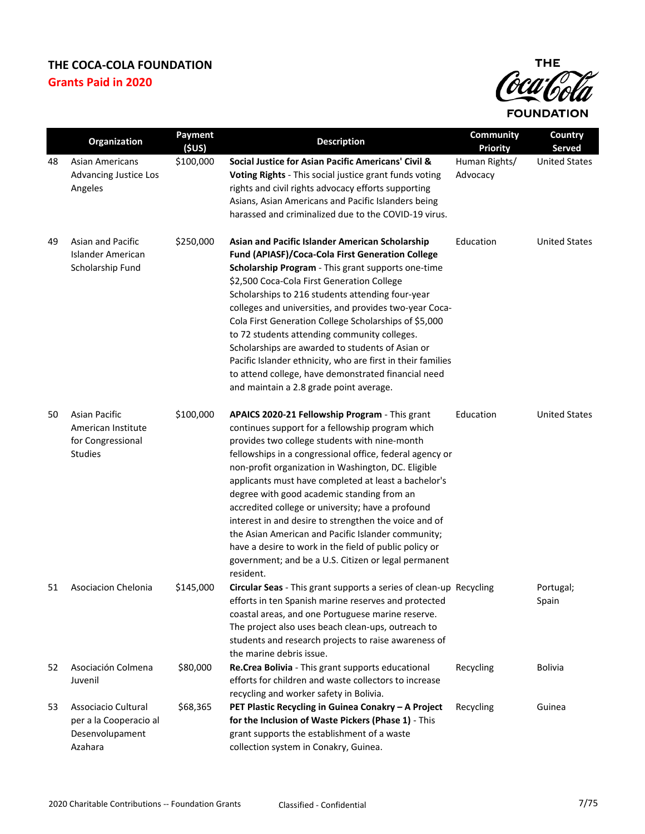

|    | <b>Organization</b>                                                               | Payment<br>(SUS) | <b>Description</b>                                                                                                                                                                                                                                                                                                                                                                                                                                                                                                                                                                                                                                                              | <b>Community</b><br><b>Priority</b> | Country<br>Served    |
|----|-----------------------------------------------------------------------------------|------------------|---------------------------------------------------------------------------------------------------------------------------------------------------------------------------------------------------------------------------------------------------------------------------------------------------------------------------------------------------------------------------------------------------------------------------------------------------------------------------------------------------------------------------------------------------------------------------------------------------------------------------------------------------------------------------------|-------------------------------------|----------------------|
| 48 | Asian Americans<br>Advancing Justice Los<br>Angeles                               | \$100,000        | Social Justice for Asian Pacific Americans' Civil &<br>Voting Rights - This social justice grant funds voting<br>rights and civil rights advocacy efforts supporting<br>Asians, Asian Americans and Pacific Islanders being<br>harassed and criminalized due to the COVID-19 virus.                                                                                                                                                                                                                                                                                                                                                                                             | Human Rights/<br>Advocacy           | <b>United States</b> |
| 49 | Asian and Pacific<br>Islander American<br>Scholarship Fund                        | \$250,000        | Asian and Pacific Islander American Scholarship<br>Fund (APIASF)/Coca-Cola First Generation College<br>Scholarship Program - This grant supports one-time<br>\$2,500 Coca-Cola First Generation College<br>Scholarships to 216 students attending four-year<br>colleges and universities, and provides two-year Coca-<br>Cola First Generation College Scholarships of \$5,000<br>to 72 students attending community colleges.<br>Scholarships are awarded to students of Asian or<br>Pacific Islander ethnicity, who are first in their families<br>to attend college, have demonstrated financial need<br>and maintain a 2.8 grade point average.                             | Education                           | <b>United States</b> |
| 50 | <b>Asian Pacific</b><br>American Institute<br>for Congressional<br><b>Studies</b> | \$100,000        | APAICS 2020-21 Fellowship Program - This grant<br>continues support for a fellowship program which<br>provides two college students with nine-month<br>fellowships in a congressional office, federal agency or<br>non-profit organization in Washington, DC. Eligible<br>applicants must have completed at least a bachelor's<br>degree with good academic standing from an<br>accredited college or university; have a profound<br>interest in and desire to strengthen the voice and of<br>the Asian American and Pacific Islander community;<br>have a desire to work in the field of public policy or<br>government; and be a U.S. Citizen or legal permanent<br>resident. | Education                           | <b>United States</b> |
| 51 | <b>Asociacion Chelonia</b>                                                        | \$145,000        | Circular Seas - This grant supports a series of clean-up Recycling<br>efforts in ten Spanish marine reserves and protected<br>coastal areas, and one Portuguese marine reserve.<br>The project also uses beach clean-ups, outreach to<br>students and research projects to raise awareness of<br>the marine debris issue.                                                                                                                                                                                                                                                                                                                                                       |                                     | Portugal;<br>Spain   |
| 52 | Asociación Colmena<br>Juvenil                                                     | \$80,000         | Re.Crea Bolivia - This grant supports educational<br>efforts for children and waste collectors to increase<br>recycling and worker safety in Bolivia.                                                                                                                                                                                                                                                                                                                                                                                                                                                                                                                           | Recycling                           | <b>Bolivia</b>       |
| 53 | Associacio Cultural<br>per a la Cooperacio al<br>Desenvolupament<br>Azahara       | \$68,365         | PET Plastic Recycling in Guinea Conakry - A Project<br>for the Inclusion of Waste Pickers (Phase 1) - This<br>grant supports the establishment of a waste<br>collection system in Conakry, Guinea.                                                                                                                                                                                                                                                                                                                                                                                                                                                                              | Recycling                           | Guinea               |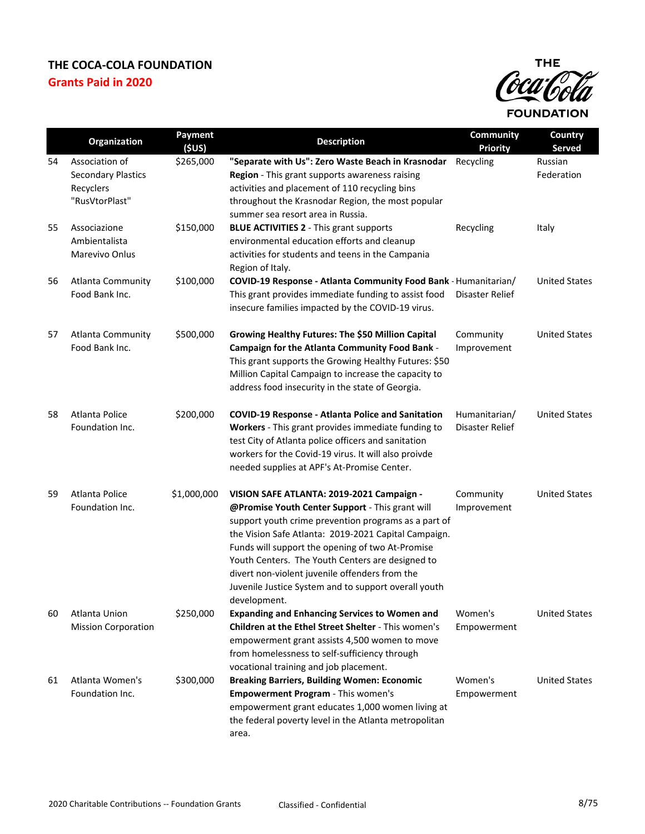

|    | Organization                                                               | Payment<br>(5US) | <b>Description</b>                                                                                                                                                                                                                                                                                                                                                                                                                             | Community<br><b>Priority</b>     | Country<br><b>Served</b> |
|----|----------------------------------------------------------------------------|------------------|------------------------------------------------------------------------------------------------------------------------------------------------------------------------------------------------------------------------------------------------------------------------------------------------------------------------------------------------------------------------------------------------------------------------------------------------|----------------------------------|--------------------------|
| 54 | Association of<br><b>Secondary Plastics</b><br>Recyclers<br>"RusVtorPlast" | \$265,000        | "Separate with Us": Zero Waste Beach in Krasnodar<br>Region - This grant supports awareness raising<br>activities and placement of 110 recycling bins<br>throughout the Krasnodar Region, the most popular<br>summer sea resort area in Russia.                                                                                                                                                                                                | Recycling                        | Russian<br>Federation    |
| 55 | Associazione<br>Ambientalista<br>Marevivo Onlus                            | \$150,000        | <b>BLUE ACTIVITIES 2 - This grant supports</b><br>environmental education efforts and cleanup<br>activities for students and teens in the Campania<br>Region of Italy.                                                                                                                                                                                                                                                                         | Recycling                        | Italy                    |
| 56 | Atlanta Community<br>Food Bank Inc.                                        | \$100,000        | COVID-19 Response - Atlanta Community Food Bank - Humanitarian/<br>This grant provides immediate funding to assist food<br>insecure families impacted by the COVID-19 virus.                                                                                                                                                                                                                                                                   | Disaster Relief                  | <b>United States</b>     |
| 57 | <b>Atlanta Community</b><br>Food Bank Inc.                                 | \$500,000        | Growing Healthy Futures: The \$50 Million Capital<br>Campaign for the Atlanta Community Food Bank -<br>This grant supports the Growing Healthy Futures: \$50<br>Million Capital Campaign to increase the capacity to<br>address food insecurity in the state of Georgia.                                                                                                                                                                       | Community<br>Improvement         | <b>United States</b>     |
| 58 | Atlanta Police<br>Foundation Inc.                                          | \$200,000        | <b>COVID-19 Response - Atlanta Police and Sanitation</b><br>Workers - This grant provides immediate funding to<br>test City of Atlanta police officers and sanitation<br>workers for the Covid-19 virus. It will also proivde<br>needed supplies at APF's At-Promise Center.                                                                                                                                                                   | Humanitarian/<br>Disaster Relief | <b>United States</b>     |
| 59 | Atlanta Police<br>Foundation Inc.                                          | \$1,000,000      | VISION SAFE ATLANTA: 2019-2021 Campaign -<br>@Promise Youth Center Support - This grant will<br>support youth crime prevention programs as a part of<br>the Vision Safe Atlanta: 2019-2021 Capital Campaign.<br>Funds will support the opening of two At-Promise<br>Youth Centers. The Youth Centers are designed to<br>divert non-violent juvenile offenders from the<br>Juvenile Justice System and to support overall youth<br>development. | Community<br>Improvement         | <b>United States</b>     |
| 60 | Atlanta Union<br><b>Mission Corporation</b>                                | \$250,000        | <b>Expanding and Enhancing Services to Women and</b><br>Children at the Ethel Street Shelter - This women's<br>empowerment grant assists 4,500 women to move<br>from homelessness to self-sufficiency through<br>vocational training and job placement.                                                                                                                                                                                        | Women's<br>Empowerment           | <b>United States</b>     |
| 61 | Atlanta Women's<br>Foundation Inc.                                         | \$300,000        | <b>Breaking Barriers, Building Women: Economic</b><br><b>Empowerment Program - This women's</b><br>empowerment grant educates 1,000 women living at<br>the federal poverty level in the Atlanta metropolitan<br>area.                                                                                                                                                                                                                          | Women's<br>Empowerment           | <b>United States</b>     |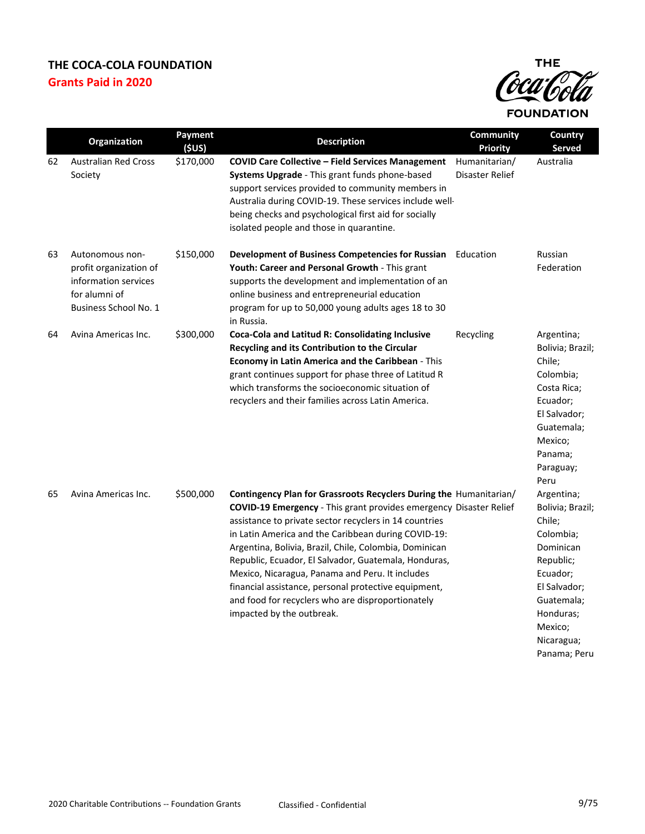

|    | Organization                                                                                                | Payment<br>(SUS) | <b>Description</b>                                                                                                                                                                                                                                                                                                                                                                                                                                                                                                                                                       | Community<br><b>Priority</b>     | Country<br><b>Served</b>                                                                                                                                                        |
|----|-------------------------------------------------------------------------------------------------------------|------------------|--------------------------------------------------------------------------------------------------------------------------------------------------------------------------------------------------------------------------------------------------------------------------------------------------------------------------------------------------------------------------------------------------------------------------------------------------------------------------------------------------------------------------------------------------------------------------|----------------------------------|---------------------------------------------------------------------------------------------------------------------------------------------------------------------------------|
| 62 | <b>Australian Red Cross</b><br>Society                                                                      | \$170,000        | <b>COVID Care Collective - Field Services Management</b><br>Systems Upgrade - This grant funds phone-based<br>support services provided to community members in<br>Australia during COVID-19. These services include well-<br>being checks and psychological first aid for socially<br>isolated people and those in quarantine.                                                                                                                                                                                                                                          | Humanitarian/<br>Disaster Relief | Australia                                                                                                                                                                       |
| 63 | Autonomous non-<br>profit organization of<br>information services<br>for alumni of<br>Business School No. 1 | \$150,000        | <b>Development of Business Competencies for Russian</b> Education<br><b>Youth: Career and Personal Growth - This grant</b><br>supports the development and implementation of an<br>online business and entrepreneurial education<br>program for up to 50,000 young adults ages 18 to 30<br>in Russia.                                                                                                                                                                                                                                                                    |                                  | Russian<br>Federation                                                                                                                                                           |
| 64 | Avina Americas Inc.                                                                                         | \$300,000        | Coca-Cola and Latitud R: Consolidating Inclusive<br>Recycling and its Contribution to the Circular<br>Economy in Latin America and the Caribbean - This<br>grant continues support for phase three of Latitud R<br>which transforms the socioeconomic situation of<br>recyclers and their families across Latin America.                                                                                                                                                                                                                                                 | Recycling                        | Argentina;<br>Bolivia; Brazil;<br>Chile;<br>Colombia;<br>Costa Rica;<br>Ecuador;<br>El Salvador;<br>Guatemala;<br>Mexico;<br>Panama;<br>Paraguay;<br>Peru                       |
| 65 | Avina Americas Inc.                                                                                         | \$500,000        | Contingency Plan for Grassroots Recyclers During the Humanitarian/<br>COVID-19 Emergency - This grant provides emergency Disaster Relief<br>assistance to private sector recyclers in 14 countries<br>in Latin America and the Caribbean during COVID-19:<br>Argentina, Bolivia, Brazil, Chile, Colombia, Dominican<br>Republic, Ecuador, El Salvador, Guatemala, Honduras,<br>Mexico, Nicaragua, Panama and Peru. It includes<br>financial assistance, personal protective equipment,<br>and food for recyclers who are disproportionately<br>impacted by the outbreak. |                                  | Argentina;<br>Bolivia; Brazil;<br>Chile;<br>Colombia;<br>Dominican<br>Republic;<br>Ecuador;<br>El Salvador;<br>Guatemala;<br>Honduras;<br>Mexico;<br>Nicaragua;<br>Panama; Peru |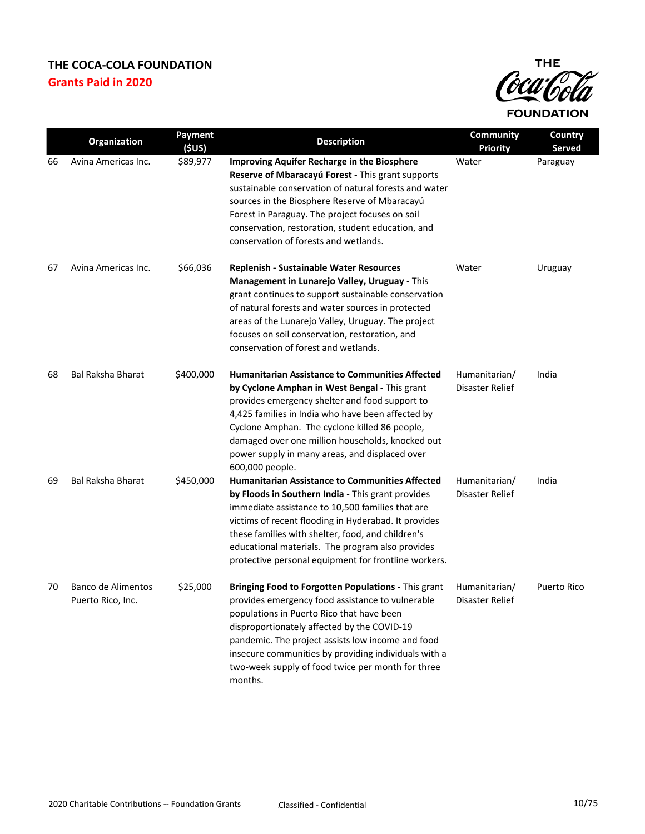

|    | Organization                            | Payment<br>(SUS) | <b>Description</b>                                                                                                                                                                                                                                                                                                                                                                       | <b>Community</b><br><b>Priority</b> | Country<br>Served  |
|----|-----------------------------------------|------------------|------------------------------------------------------------------------------------------------------------------------------------------------------------------------------------------------------------------------------------------------------------------------------------------------------------------------------------------------------------------------------------------|-------------------------------------|--------------------|
| 66 | Avina Americas Inc.                     | \$89,977         | <b>Improving Aquifer Recharge in the Biosphere</b><br>Reserve of Mbaracayú Forest - This grant supports<br>sustainable conservation of natural forests and water<br>sources in the Biosphere Reserve of Mbaracayú<br>Forest in Paraguay. The project focuses on soil<br>conservation, restoration, student education, and<br>conservation of forests and wetlands.                       | Water                               | Paraguay           |
| 67 | Avina Americas Inc.                     | \$66,036         | <b>Replenish - Sustainable Water Resources</b><br>Management in Lunarejo Valley, Uruguay - This<br>grant continues to support sustainable conservation<br>of natural forests and water sources in protected<br>areas of the Lunarejo Valley, Uruguay. The project<br>focuses on soil conservation, restoration, and<br>conservation of forest and wetlands.                              | Water                               | Uruguay            |
| 68 | <b>Bal Raksha Bharat</b>                | \$400,000        | <b>Humanitarian Assistance to Communities Affected</b><br>by Cyclone Amphan in West Bengal - This grant<br>provides emergency shelter and food support to<br>4,425 families in India who have been affected by<br>Cyclone Amphan. The cyclone killed 86 people,<br>damaged over one million households, knocked out<br>power supply in many areas, and displaced over<br>600,000 people. | Humanitarian/<br>Disaster Relief    | India              |
| 69 | <b>Bal Raksha Bharat</b>                | \$450,000        | <b>Humanitarian Assistance to Communities Affected</b><br>by Floods in Southern India - This grant provides<br>immediate assistance to 10,500 families that are<br>victims of recent flooding in Hyderabad. It provides<br>these families with shelter, food, and children's<br>educational materials. The program also provides<br>protective personal equipment for frontline workers. | Humanitarian/<br>Disaster Relief    | India              |
| 70 | Banco de Alimentos<br>Puerto Rico, Inc. | \$25,000         | Bringing Food to Forgotten Populations - This grant<br>provides emergency food assistance to vulnerable<br>populations in Puerto Rico that have been<br>disproportionately affected by the COVID-19<br>pandemic. The project assists low income and food<br>insecure communities by providing individuals with a<br>two-week supply of food twice per month for three<br>months.         | Humanitarian/<br>Disaster Relief    | <b>Puerto Rico</b> |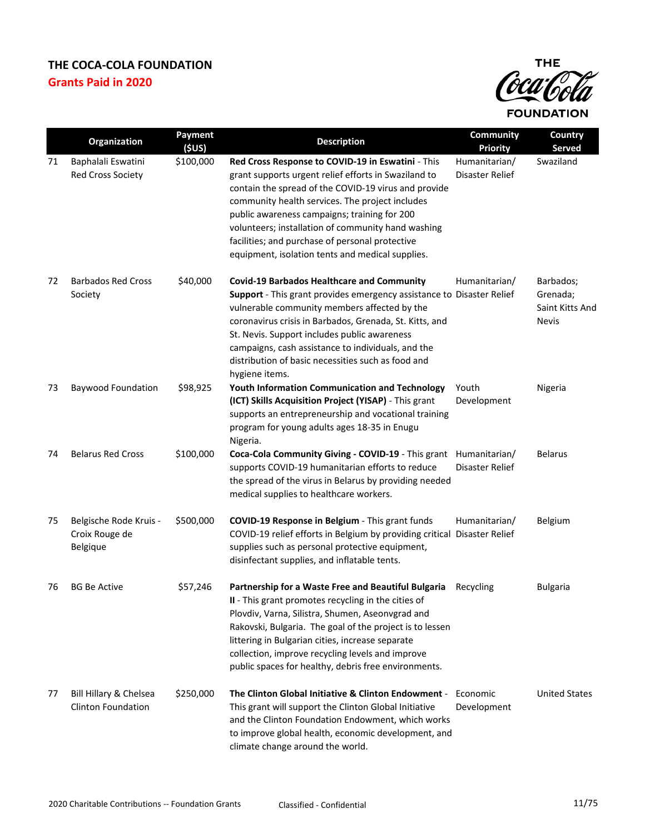

|    | Organization                                         | Payment<br>(\$US) | <b>Description</b>                                                                                                                                                                                                                                                                                                                                                                                                                | Community<br><b>Priority</b>     | Country<br><b>Served</b>                                 |
|----|------------------------------------------------------|-------------------|-----------------------------------------------------------------------------------------------------------------------------------------------------------------------------------------------------------------------------------------------------------------------------------------------------------------------------------------------------------------------------------------------------------------------------------|----------------------------------|----------------------------------------------------------|
| 71 | Baphalali Eswatini<br><b>Red Cross Society</b>       | \$100,000         | Red Cross Response to COVID-19 in Eswatini - This<br>grant supports urgent relief efforts in Swaziland to<br>contain the spread of the COVID-19 virus and provide<br>community health services. The project includes<br>public awareness campaigns; training for 200<br>volunteers; installation of community hand washing<br>facilities; and purchase of personal protective<br>equipment, isolation tents and medical supplies. | Humanitarian/<br>Disaster Relief | Swaziland                                                |
| 72 | <b>Barbados Red Cross</b><br>Society                 | \$40,000          | <b>Covid-19 Barbados Healthcare and Community</b><br>Support - This grant provides emergency assistance to Disaster Relief<br>vulnerable community members affected by the<br>coronavirus crisis in Barbados, Grenada, St. Kitts, and<br>St. Nevis. Support includes public awareness<br>campaigns, cash assistance to individuals, and the<br>distribution of basic necessities such as food and<br>hygiene items.               | Humanitarian/                    | Barbados;<br>Grenada;<br>Saint Kitts And<br><b>Nevis</b> |
| 73 | <b>Baywood Foundation</b>                            | \$98,925          | <b>Youth Information Communication and Technology</b><br>(ICT) Skills Acquisition Project (YISAP) - This grant<br>supports an entrepreneurship and vocational training<br>program for young adults ages 18-35 in Enugu<br>Nigeria.                                                                                                                                                                                                | Youth<br>Development             | Nigeria                                                  |
| 74 | <b>Belarus Red Cross</b>                             | \$100,000         | Coca-Cola Community Giving - COVID-19 - This grant Humanitarian/<br>supports COVID-19 humanitarian efforts to reduce<br>the spread of the virus in Belarus by providing needed<br>medical supplies to healthcare workers.                                                                                                                                                                                                         | Disaster Relief                  | <b>Belarus</b>                                           |
| 75 | Belgische Rode Kruis -<br>Croix Rouge de<br>Belgique | \$500,000         | COVID-19 Response in Belgium - This grant funds<br>COVID-19 relief efforts in Belgium by providing critical Disaster Relief<br>supplies such as personal protective equipment,<br>disinfectant supplies, and inflatable tents.                                                                                                                                                                                                    | Humanitarian/                    | <b>Belgium</b>                                           |
| 76 | <b>BG Be Active</b>                                  | \$57,246          | Partnership for a Waste Free and Beautiful Bulgaria<br>II - This grant promotes recycling in the cities of<br>Plovdiv, Varna, Silistra, Shumen, Aseonvgrad and<br>Rakovski, Bulgaria. The goal of the project is to lessen<br>littering in Bulgarian cities, increase separate<br>collection, improve recycling levels and improve<br>public spaces for healthy, debris free environments.                                        | Recycling                        | <b>Bulgaria</b>                                          |
| 77 | Bill Hillary & Chelsea<br><b>Clinton Foundation</b>  | \$250,000         | The Clinton Global Initiative & Clinton Endowment -<br>This grant will support the Clinton Global Initiative<br>and the Clinton Foundation Endowment, which works<br>to improve global health, economic development, and<br>climate change around the world.                                                                                                                                                                      | Economic<br>Development          | <b>United States</b>                                     |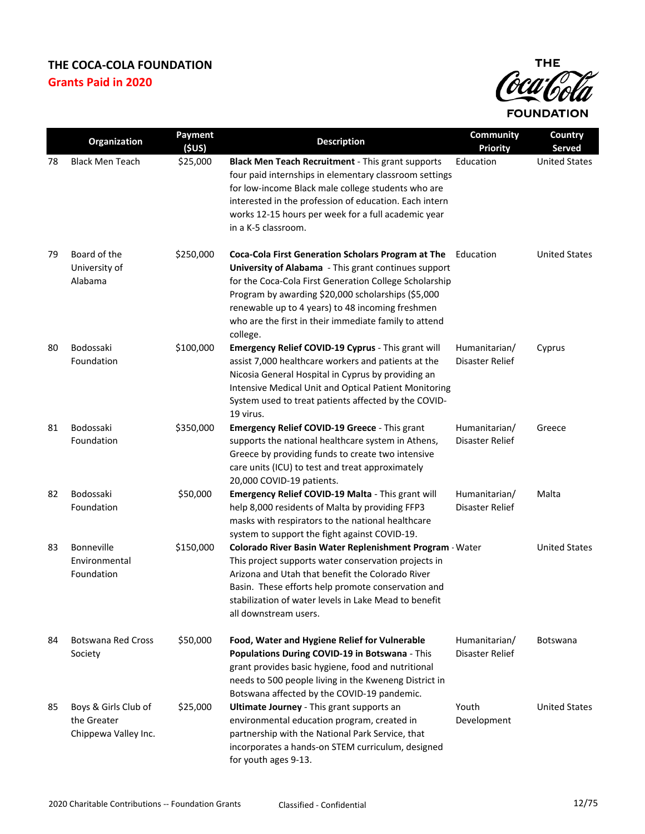

|    | Organization                                                | Payment<br>(\$US) | <b>Description</b>                                                                                                                                                                                                                                                                                                                                            | Community<br><b>Priority</b>     | Country<br>Served    |
|----|-------------------------------------------------------------|-------------------|---------------------------------------------------------------------------------------------------------------------------------------------------------------------------------------------------------------------------------------------------------------------------------------------------------------------------------------------------------------|----------------------------------|----------------------|
| 78 | <b>Black Men Teach</b>                                      | \$25,000          | Black Men Teach Recruitment - This grant supports<br>four paid internships in elementary classroom settings<br>for low-income Black male college students who are<br>interested in the profession of education. Each intern<br>works 12-15 hours per week for a full academic year<br>in a K-5 classroom.                                                     | Education                        | <b>United States</b> |
| 79 | Board of the<br>University of<br>Alabama                    | \$250,000         | Coca-Cola First Generation Scholars Program at The Education<br>University of Alabama - This grant continues support<br>for the Coca-Cola First Generation College Scholarship<br>Program by awarding \$20,000 scholarships (\$5,000<br>renewable up to 4 years) to 48 incoming freshmen<br>who are the first in their immediate family to attend<br>college. |                                  | <b>United States</b> |
| 80 | Bodossaki<br>Foundation                                     | \$100,000         | Emergency Relief COVID-19 Cyprus - This grant will<br>assist 7,000 healthcare workers and patients at the<br>Nicosia General Hospital in Cyprus by providing an<br>Intensive Medical Unit and Optical Patient Monitoring<br>System used to treat patients affected by the COVID-<br>19 virus.                                                                 | Humanitarian/<br>Disaster Relief | Cyprus               |
| 81 | Bodossaki<br>Foundation                                     | \$350,000         | Emergency Relief COVID-19 Greece - This grant<br>supports the national healthcare system in Athens,<br>Greece by providing funds to create two intensive<br>care units (ICU) to test and treat approximately<br>20,000 COVID-19 patients.                                                                                                                     | Humanitarian/<br>Disaster Relief | Greece               |
| 82 | Bodossaki<br>Foundation                                     | \$50,000          | Emergency Relief COVID-19 Malta - This grant will<br>help 8,000 residents of Malta by providing FFP3<br>masks with respirators to the national healthcare<br>system to support the fight against COVID-19.                                                                                                                                                    | Humanitarian/<br>Disaster Relief | Malta                |
| 83 | <b>Bonneville</b><br>Environmental<br>Foundation            | \$150,000         | Colorado River Basin Water Replenishment Program · Water<br>This project supports water conservation projects in<br>Arizona and Utah that benefit the Colorado River<br>Basin. These efforts help promote conservation and<br>stabilization of water levels in Lake Mead to benefit<br>all downstream users.                                                  |                                  | <b>United States</b> |
| 84 | <b>Botswana Red Cross</b><br>Society                        | \$50,000          | Food, Water and Hygiene Relief for Vulnerable<br>Populations During COVID-19 in Botswana - This<br>grant provides basic hygiene, food and nutritional<br>needs to 500 people living in the Kweneng District in<br>Botswana affected by the COVID-19 pandemic.                                                                                                 | Humanitarian/<br>Disaster Relief | <b>Botswana</b>      |
| 85 | Boys & Girls Club of<br>the Greater<br>Chippewa Valley Inc. | \$25,000          | Ultimate Journey - This grant supports an<br>environmental education program, created in<br>partnership with the National Park Service, that<br>incorporates a hands-on STEM curriculum, designed<br>for youth ages 9-13.                                                                                                                                     | Youth<br>Development             | <b>United States</b> |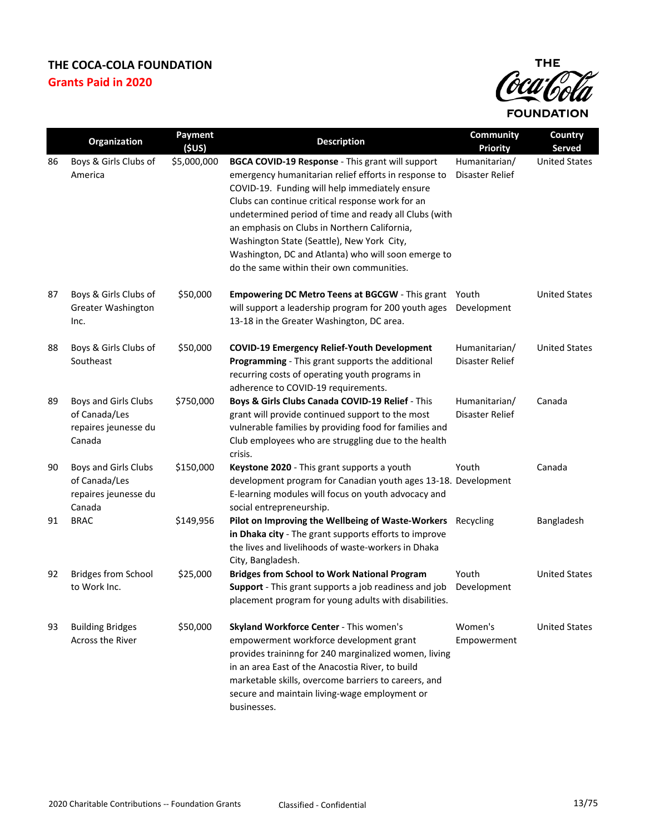

|    | Organization                                                            | Payment<br>(5US) | <b>Description</b>                                                                                                                                                                                                                                                                                                                                                                                                                                                        | Community<br><b>Priority</b>     | Country<br>Served    |
|----|-------------------------------------------------------------------------|------------------|---------------------------------------------------------------------------------------------------------------------------------------------------------------------------------------------------------------------------------------------------------------------------------------------------------------------------------------------------------------------------------------------------------------------------------------------------------------------------|----------------------------------|----------------------|
| 86 | Boys & Girls Clubs of<br>America                                        | \$5,000,000      | BGCA COVID-19 Response - This grant will support<br>emergency humanitarian relief efforts in response to<br>COVID-19. Funding will help immediately ensure<br>Clubs can continue critical response work for an<br>undetermined period of time and ready all Clubs (with<br>an emphasis on Clubs in Northern California,<br>Washington State (Seattle), New York City,<br>Washington, DC and Atlanta) who will soon emerge to<br>do the same within their own communities. | Humanitarian/<br>Disaster Relief | <b>United States</b> |
| 87 | Boys & Girls Clubs of<br><b>Greater Washington</b><br>Inc.              | \$50,000         | Empowering DC Metro Teens at BGCGW - This grant Youth<br>will support a leadership program for 200 youth ages<br>13-18 in the Greater Washington, DC area.                                                                                                                                                                                                                                                                                                                | Development                      | <b>United States</b> |
| 88 | Boys & Girls Clubs of<br>Southeast                                      | \$50,000         | <b>COVID-19 Emergency Relief-Youth Development</b><br>Programming - This grant supports the additional<br>recurring costs of operating youth programs in<br>adherence to COVID-19 requirements.                                                                                                                                                                                                                                                                           | Humanitarian/<br>Disaster Relief | <b>United States</b> |
| 89 | Boys and Girls Clubs<br>of Canada/Les<br>repaires jeunesse du<br>Canada | \$750,000        | Boys & Girls Clubs Canada COVID-19 Relief - This<br>grant will provide continued support to the most<br>vulnerable families by providing food for families and<br>Club employees who are struggling due to the health<br>crisis.                                                                                                                                                                                                                                          | Humanitarian/<br>Disaster Relief | Canada               |
| 90 | Boys and Girls Clubs<br>of Canada/Les<br>repaires jeunesse du<br>Canada | \$150,000        | Keystone 2020 - This grant supports a youth<br>development program for Canadian youth ages 13-18. Development<br>E-learning modules will focus on youth advocacy and<br>social entrepreneurship.                                                                                                                                                                                                                                                                          | Youth                            | Canada               |
| 91 | <b>BRAC</b>                                                             | \$149,956        | Pilot on Improving the Wellbeing of Waste-Workers<br>in Dhaka city - The grant supports efforts to improve<br>the lives and livelihoods of waste-workers in Dhaka<br>City, Bangladesh.                                                                                                                                                                                                                                                                                    | Recycling                        | Bangladesh           |
| 92 | <b>Bridges from School</b><br>to Work Inc.                              | \$25,000         | <b>Bridges from School to Work National Program</b><br>Support - This grant supports a job readiness and job<br>placement program for young adults with disabilities.                                                                                                                                                                                                                                                                                                     | Youth<br>Development             | <b>United States</b> |
| 93 | <b>Building Bridges</b><br>Across the River                             | \$50,000         | Skyland Workforce Center - This women's<br>empowerment workforce development grant<br>provides traininng for 240 marginalized women, living<br>in an area East of the Anacostia River, to build<br>marketable skills, overcome barriers to careers, and<br>secure and maintain living-wage employment or<br>businesses.                                                                                                                                                   | Women's<br>Empowerment           | <b>United States</b> |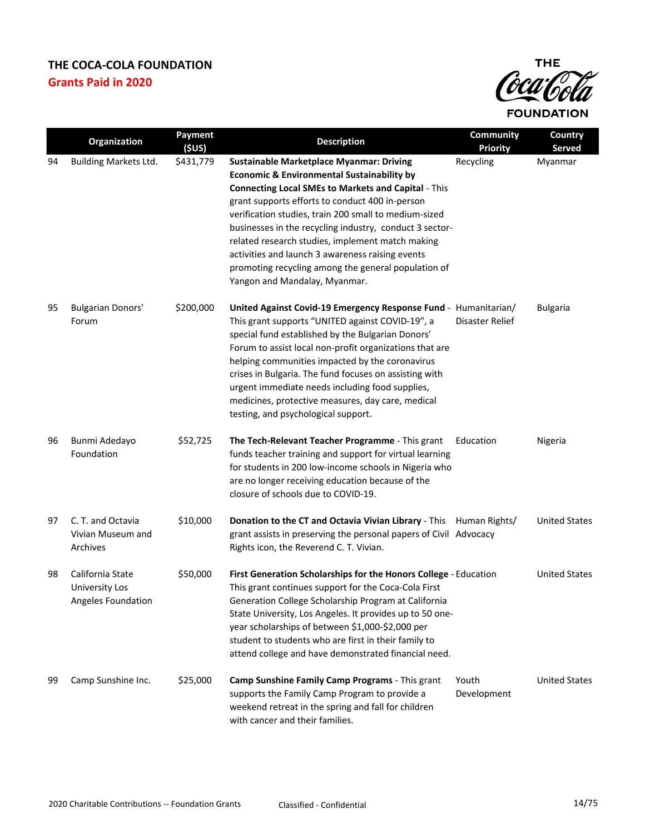

|    | Organization                                             | <b>Payment</b><br>(\$US) | <b>Description</b>                                                                                                                                                                                                                                                                                                                                                                                                                                                                                                                            | Community<br><b>Priority</b> | Country<br><b>Served</b> |
|----|----------------------------------------------------------|--------------------------|-----------------------------------------------------------------------------------------------------------------------------------------------------------------------------------------------------------------------------------------------------------------------------------------------------------------------------------------------------------------------------------------------------------------------------------------------------------------------------------------------------------------------------------------------|------------------------------|--------------------------|
| 94 | <b>Building Markets Ltd.</b>                             | \$431,779                | <b>Sustainable Marketplace Myanmar: Driving</b><br><b>Economic &amp; Environmental Sustainability by</b><br><b>Connecting Local SMEs to Markets and Capital - This</b><br>grant supports efforts to conduct 400 in-person<br>verification studies, train 200 small to medium-sized<br>businesses in the recycling industry, conduct 3 sector-<br>related research studies, implement match making<br>activities and launch 3 awareness raising events<br>promoting recycling among the general population of<br>Yangon and Mandalay, Myanmar. | Recycling                    | Myanmar                  |
| 95 | <b>Bulgarian Donors'</b><br>Forum                        | \$200,000                | United Against Covid-19 Emergency Response Fund - Humanitarian/<br>This grant supports "UNITED against COVID-19", a<br>special fund established by the Bulgarian Donors'<br>Forum to assist local non-profit organizations that are<br>helping communities impacted by the coronavirus<br>crises in Bulgaria. The fund focuses on assisting with<br>urgent immediate needs including food supplies,<br>medicines, protective measures, day care, medical<br>testing, and psychological support.                                               | Disaster Relief              | <b>Bulgaria</b>          |
| 96 | Bunmi Adedayo<br>Foundation                              | \$52,725                 | The Tech-Relevant Teacher Programme - This grant<br>funds teacher training and support for virtual learning<br>for students in 200 low-income schools in Nigeria who<br>are no longer receiving education because of the<br>closure of schools due to COVID-19.                                                                                                                                                                                                                                                                               | Education                    | Nigeria                  |
| 97 | C. T. and Octavia<br>Vivian Museum and<br>Archives       | \$10,000                 | Donation to the CT and Octavia Vivian Library - This Human Rights/<br>grant assists in preserving the personal papers of Civil Advocacy<br>Rights icon, the Reverend C. T. Vivian.                                                                                                                                                                                                                                                                                                                                                            |                              | <b>United States</b>     |
| 98 | California State<br>University Los<br>Angeles Foundation | \$50,000                 | First Generation Scholarships for the Honors College - Education<br>This grant continues support for the Coca-Cola First<br>Generation College Scholarship Program at California<br>State University, Los Angeles. It provides up to 50 one-<br>year scholarships of between \$1,000-\$2,000 per<br>student to students who are first in their family to<br>attend college and have demonstrated financial need.                                                                                                                              |                              | <b>United States</b>     |
| 99 | Camp Sunshine Inc.                                       | \$25,000                 | Camp Sunshine Family Camp Programs - This grant<br>supports the Family Camp Program to provide a<br>weekend retreat in the spring and fall for children<br>with cancer and their families.                                                                                                                                                                                                                                                                                                                                                    | Youth<br>Development         | <b>United States</b>     |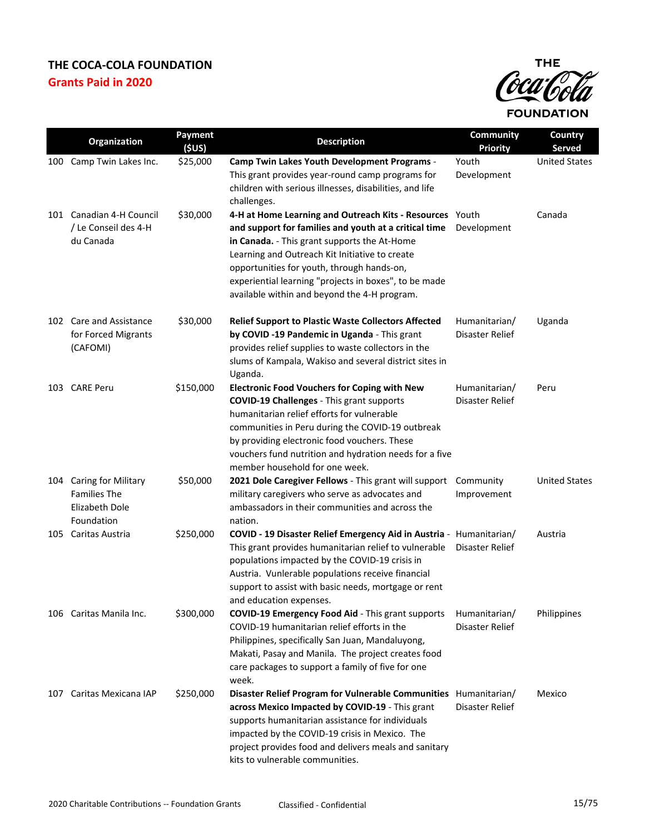

|     | Organization                                                               | Payment<br>(SUS) | <b>Description</b>                                                                                                                                                                                                                                                                                                                                                         | Community<br><b>Priority</b>     | Country<br><b>Served</b> |
|-----|----------------------------------------------------------------------------|------------------|----------------------------------------------------------------------------------------------------------------------------------------------------------------------------------------------------------------------------------------------------------------------------------------------------------------------------------------------------------------------------|----------------------------------|--------------------------|
| 100 | Camp Twin Lakes Inc.                                                       | \$25,000         | Camp Twin Lakes Youth Development Programs -<br>This grant provides year-round camp programs for<br>children with serious illnesses, disabilities, and life<br>challenges.                                                                                                                                                                                                 | Youth<br>Development             | <b>United States</b>     |
|     | 101 Canadian 4-H Council<br>/ Le Conseil des 4-H<br>du Canada              | \$30,000         | 4-H at Home Learning and Outreach Kits - Resources Youth<br>and support for families and youth at a critical time<br>in Canada. - This grant supports the At-Home<br>Learning and Outreach Kit Initiative to create<br>opportunities for youth, through hands-on,<br>experiential learning "projects in boxes", to be made<br>available within and beyond the 4-H program. | Development                      | Canada                   |
| 102 | <b>Care and Assistance</b><br>for Forced Migrants<br>(CAFOMI)              | \$30,000         | <b>Relief Support to Plastic Waste Collectors Affected</b><br>by COVID -19 Pandemic in Uganda - This grant<br>provides relief supplies to waste collectors in the<br>slums of Kampala, Wakiso and several district sites in<br>Uganda.                                                                                                                                     | Humanitarian/<br>Disaster Relief | Uganda                   |
|     | 103 CARE Peru                                                              | \$150,000        | <b>Electronic Food Vouchers for Coping with New</b><br><b>COVID-19 Challenges - This grant supports</b><br>humanitarian relief efforts for vulnerable<br>communities in Peru during the COVID-19 outbreak<br>by providing electronic food vouchers. These<br>vouchers fund nutrition and hydration needs for a five<br>member household for one week.                      | Humanitarian/<br>Disaster Relief | Peru                     |
| 104 | Caring for Military<br><b>Families The</b><br>Elizabeth Dole<br>Foundation | \$50,000         | 2021 Dole Caregiver Fellows - This grant will support<br>military caregivers who serve as advocates and<br>ambassadors in their communities and across the<br>nation.                                                                                                                                                                                                      | Community<br>Improvement         | <b>United States</b>     |
| 105 | Caritas Austria                                                            | \$250,000        | COVID - 19 Disaster Relief Emergency Aid in Austria - Humanitarian/<br>This grant provides humanitarian relief to vulnerable<br>populations impacted by the COVID-19 crisis in<br>Austria. Vunlerable populations receive financial<br>support to assist with basic needs, mortgage or rent<br>and education expenses.                                                     | Disaster Relief                  | Austria                  |
|     | 106 Caritas Manila Inc.                                                    | \$300,000        | <b>COVID-19 Emergency Food Aid - This grant supports</b><br>COVID-19 humanitarian relief efforts in the<br>Philippines, specifically San Juan, Mandaluyong,<br>Makati, Pasay and Manila. The project creates food<br>care packages to support a family of five for one<br>week.                                                                                            | Humanitarian/<br>Disaster Relief | Philippines              |
| 107 | Caritas Mexicana IAP                                                       | \$250,000        | Disaster Relief Program for Vulnerable Communities Humanitarian/<br>across Mexico Impacted by COVID-19 - This grant<br>supports humanitarian assistance for individuals<br>impacted by the COVID-19 crisis in Mexico. The<br>project provides food and delivers meals and sanitary<br>kits to vulnerable communities.                                                      | Disaster Relief                  | Mexico                   |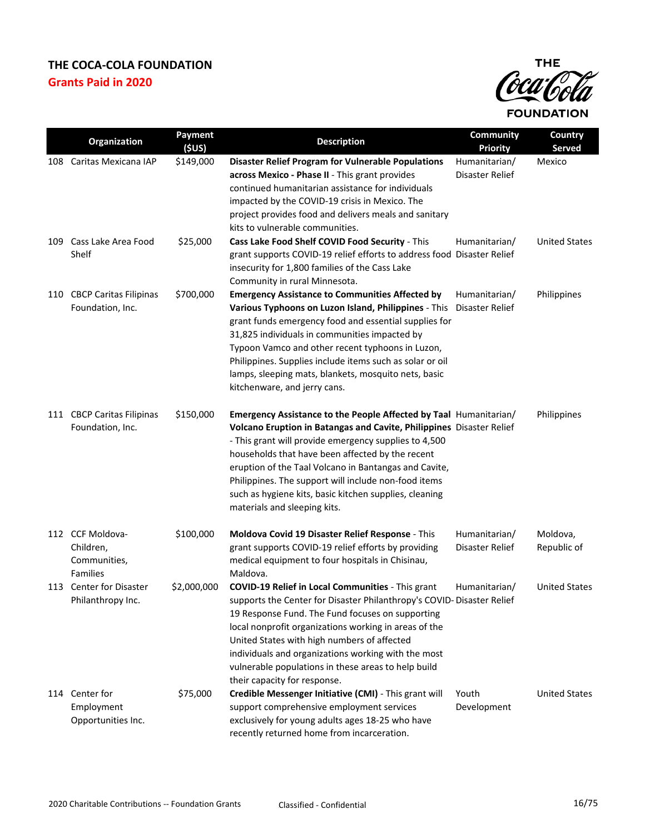

|     | Organization                                                     | Payment<br>(\$US) | <b>Description</b>                                                                                                                                                                                                                                                                                                                                                                                                                                                | Community<br><b>Priority</b>     | Country<br>Served       |
|-----|------------------------------------------------------------------|-------------------|-------------------------------------------------------------------------------------------------------------------------------------------------------------------------------------------------------------------------------------------------------------------------------------------------------------------------------------------------------------------------------------------------------------------------------------------------------------------|----------------------------------|-------------------------|
| 108 | Caritas Mexicana IAP                                             | \$149,000         | <b>Disaster Relief Program for Vulnerable Populations</b><br>across Mexico - Phase II - This grant provides<br>continued humanitarian assistance for individuals<br>impacted by the COVID-19 crisis in Mexico. The<br>project provides food and delivers meals and sanitary<br>kits to vulnerable communities.                                                                                                                                                    | Humanitarian/<br>Disaster Relief | Mexico                  |
| 109 | Cass Lake Area Food<br>Shelf                                     | \$25,000          | Cass Lake Food Shelf COVID Food Security - This<br>grant supports COVID-19 relief efforts to address food Disaster Relief<br>insecurity for 1,800 families of the Cass Lake<br>Community in rural Minnesota.                                                                                                                                                                                                                                                      | Humanitarian/                    | <b>United States</b>    |
| 110 | <b>CBCP Caritas Filipinas</b><br>Foundation, Inc.                | \$700,000         | <b>Emergency Assistance to Communities Affected by</b><br>Various Typhoons on Luzon Island, Philippines - This Disaster Relief<br>grant funds emergency food and essential supplies for<br>31,825 individuals in communities impacted by<br>Typoon Vamco and other recent typhoons in Luzon,<br>Philippines. Supplies include items such as solar or oil<br>lamps, sleeping mats, blankets, mosquito nets, basic<br>kitchenware, and jerry cans.                  | Humanitarian/                    | Philippines             |
|     | 111 CBCP Caritas Filipinas<br>Foundation, Inc.                   | \$150,000         | Emergency Assistance to the People Affected by Taal Humanitarian/<br>Volcano Eruption in Batangas and Cavite, Philippines Disaster Relief<br>- This grant will provide emergency supplies to 4,500<br>households that have been affected by the recent<br>eruption of the Taal Volcano in Bantangas and Cavite,<br>Philippines. The support will include non-food items<br>such as hygiene kits, basic kitchen supplies, cleaning<br>materials and sleeping kits. |                                  | Philippines             |
|     | 112 CCF Moldova-<br>Children,<br>Communities,<br><b>Families</b> | \$100,000         | Moldova Covid 19 Disaster Relief Response - This<br>grant supports COVID-19 relief efforts by providing<br>medical equipment to four hospitals in Chisinau,<br>Maldova.                                                                                                                                                                                                                                                                                           | Humanitarian/<br>Disaster Relief | Moldova,<br>Republic of |
|     | 113 Center for Disaster<br>Philanthropy Inc.                     | \$2,000,000       | <b>COVID-19 Relief in Local Communities - This grant</b><br>supports the Center for Disaster Philanthropy's COVID- Disaster Relief<br>19 Response Fund. The Fund focuses on supporting<br>local nonprofit organizations working in areas of the<br>United States with high numbers of affected<br>individuals and organizations working with the most<br>vulnerable populations in these areas to help build<br>their capacity for response.                      | Humanitarian/                    | <b>United States</b>    |
|     | 114 Center for<br>Employment<br>Opportunities Inc.               | \$75,000          | Credible Messenger Initiative (CMI) - This grant will<br>support comprehensive employment services<br>exclusively for young adults ages 18-25 who have<br>recently returned home from incarceration.                                                                                                                                                                                                                                                              | Youth<br>Development             | <b>United States</b>    |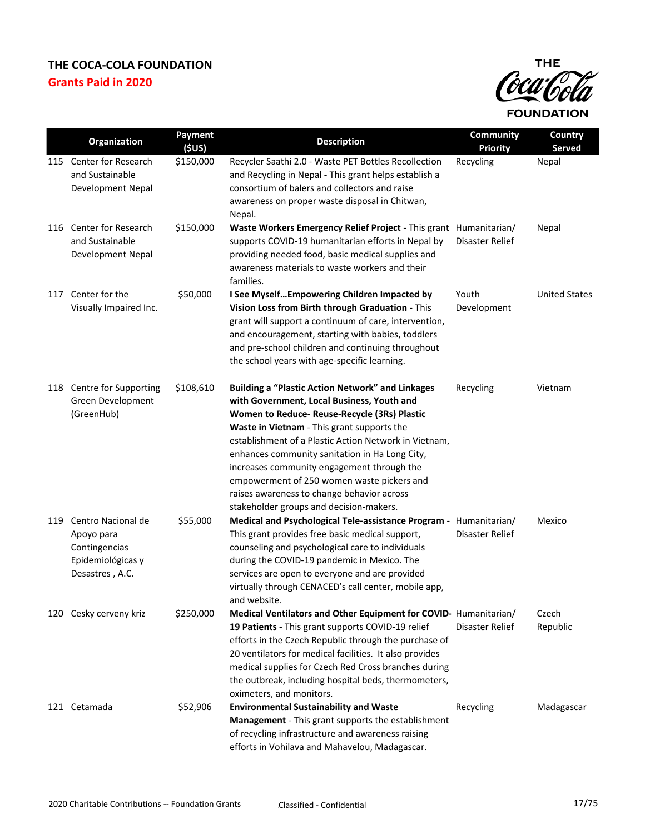

|     | <b>Organization</b>                                                                       | Payment<br>(5US) | <b>Description</b>                                                                                                                                                                                                                                                                                                                                                                                                                                                                                  | <b>Community</b><br><b>Priority</b> | Country<br><b>Served</b> |
|-----|-------------------------------------------------------------------------------------------|------------------|-----------------------------------------------------------------------------------------------------------------------------------------------------------------------------------------------------------------------------------------------------------------------------------------------------------------------------------------------------------------------------------------------------------------------------------------------------------------------------------------------------|-------------------------------------|--------------------------|
| 115 | Center for Research<br>and Sustainable<br>Development Nepal                               | \$150,000        | Recycler Saathi 2.0 - Waste PET Bottles Recollection<br>and Recycling in Nepal - This grant helps establish a<br>consortium of balers and collectors and raise<br>awareness on proper waste disposal in Chitwan,<br>Nepal.                                                                                                                                                                                                                                                                          | Recycling                           | Nepal                    |
|     | 116 Center for Research<br>and Sustainable<br>Development Nepal                           | \$150,000        | Waste Workers Emergency Relief Project - This grant Humanitarian/<br>supports COVID-19 humanitarian efforts in Nepal by<br>providing needed food, basic medical supplies and<br>awareness materials to waste workers and their<br>families.                                                                                                                                                                                                                                                         | Disaster Relief                     | Nepal                    |
| 117 | Center for the<br>Visually Impaired Inc.                                                  | \$50,000         | I See Myself Empowering Children Impacted by<br>Vision Loss from Birth through Graduation - This<br>grant will support a continuum of care, intervention,<br>and encouragement, starting with babies, toddlers<br>and pre-school children and continuing throughout<br>the school years with age-specific learning.                                                                                                                                                                                 | Youth<br>Development                | <b>United States</b>     |
|     | 118 Centre for Supporting<br>Green Development<br>(GreenHub)                              | \$108,610        | <b>Building a "Plastic Action Network" and Linkages</b><br>with Government, Local Business, Youth and<br>Women to Reduce- Reuse-Recycle (3Rs) Plastic<br>Waste in Vietnam - This grant supports the<br>establishment of a Plastic Action Network in Vietnam,<br>enhances community sanitation in Ha Long City,<br>increases community engagement through the<br>empowerment of 250 women waste pickers and<br>raises awareness to change behavior across<br>stakeholder groups and decision-makers. | Recycling                           | Vietnam                  |
| 119 | Centro Nacional de<br>Apoyo para<br>Contingencias<br>Epidemiológicas y<br>Desastres, A.C. | \$55,000         | Medical and Psychological Tele-assistance Program - Humanitarian/<br>This grant provides free basic medical support,<br>counseling and psychological care to individuals<br>during the COVID-19 pandemic in Mexico. The<br>services are open to everyone and are provided<br>virtually through CENACED's call center, mobile app,<br>and website.                                                                                                                                                   | Disaster Relief                     | Mexico                   |
|     | 120 Cesky cerveny kriz                                                                    | \$250,000        | Medical Ventilators and Other Equipment for COVID- Humanitarian/<br>19 Patients - This grant supports COVID-19 relief<br>efforts in the Czech Republic through the purchase of<br>20 ventilators for medical facilities. It also provides<br>medical supplies for Czech Red Cross branches during<br>the outbreak, including hospital beds, thermometers,<br>oximeters, and monitors.                                                                                                               | Disaster Relief                     | Czech<br>Republic        |
|     | 121 Cetamada                                                                              | \$52,906         | <b>Environmental Sustainability and Waste</b><br>Management - This grant supports the establishment<br>of recycling infrastructure and awareness raising<br>efforts in Vohilava and Mahavelou, Madagascar.                                                                                                                                                                                                                                                                                          | Recycling                           | Madagascar               |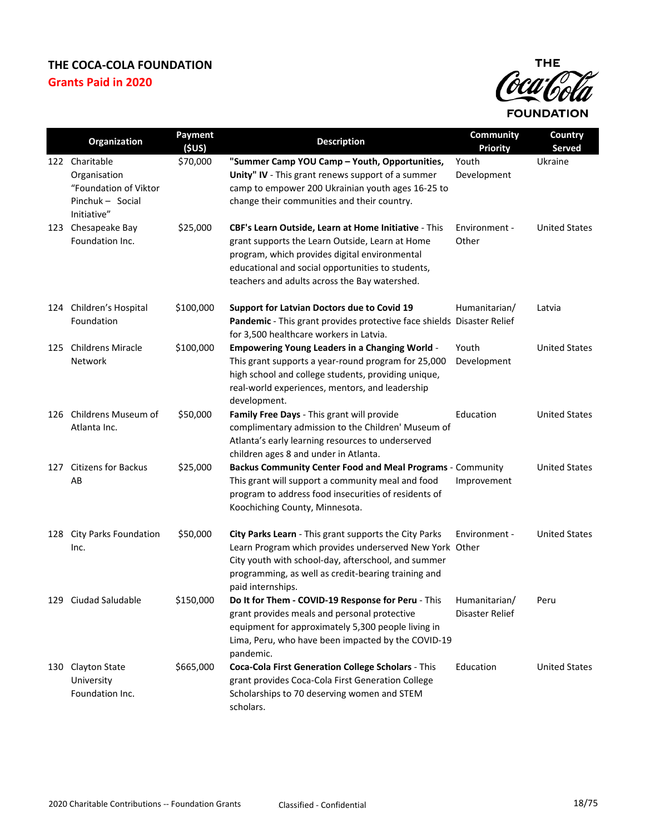

|     | Organization                                                                               | Payment<br>(SUS) | <b>Description</b>                                                                                                                                                                                                                                             | <b>Community</b><br><b>Priority</b> | Country<br><b>Served</b> |
|-----|--------------------------------------------------------------------------------------------|------------------|----------------------------------------------------------------------------------------------------------------------------------------------------------------------------------------------------------------------------------------------------------------|-------------------------------------|--------------------------|
|     | 122 Charitable<br>Organisation<br>"Foundation of Viktor<br>Pinchuk - Social<br>Initiative" | \$70,000         | "Summer Camp YOU Camp - Youth, Opportunities,<br>Unity" IV - This grant renews support of a summer<br>camp to empower 200 Ukrainian youth ages 16-25 to<br>change their communities and their country.                                                         | Youth<br>Development                | Ukraine                  |
| 123 | Chesapeake Bay<br>Foundation Inc.                                                          | \$25,000         | CBF's Learn Outside, Learn at Home Initiative - This<br>grant supports the Learn Outside, Learn at Home<br>program, which provides digital environmental<br>educational and social opportunities to students,<br>teachers and adults across the Bay watershed. | Environment -<br>Other              | <b>United States</b>     |
|     | 124 Children's Hospital<br>Foundation                                                      | \$100,000        | Support for Latvian Doctors due to Covid 19<br>Pandemic - This grant provides protective face shields Disaster Relief<br>for 3,500 healthcare workers in Latvia.                                                                                               | Humanitarian/                       | Latvia                   |
| 125 | <b>Childrens Miracle</b><br>Network                                                        | \$100,000        | <b>Empowering Young Leaders in a Changing World -</b><br>This grant supports a year-round program for 25,000<br>high school and college students, providing unique,<br>real-world experiences, mentors, and leadership<br>development.                         | Youth<br>Development                | <b>United States</b>     |
|     | 126 Childrens Museum of<br>Atlanta Inc.                                                    | \$50,000         | Family Free Days - This grant will provide<br>complimentary admission to the Children' Museum of<br>Atlanta's early learning resources to underserved<br>children ages 8 and under in Atlanta.                                                                 | Education                           | <b>United States</b>     |
| 127 | <b>Citizens for Backus</b><br>AB                                                           | \$25,000         | Backus Community Center Food and Meal Programs - Community<br>This grant will support a community meal and food<br>program to address food insecurities of residents of<br>Koochiching County, Minnesota.                                                      | Improvement                         | <b>United States</b>     |
|     | 128 City Parks Foundation<br>Inc.                                                          | \$50,000         | City Parks Learn - This grant supports the City Parks<br>Learn Program which provides underserved New York Other<br>City youth with school-day, afterschool, and summer<br>programming, as well as credit-bearing training and<br>paid internships.            | Environment -                       | <b>United States</b>     |
|     | 129 Ciudad Saludable                                                                       | \$150,000        | Do It for Them - COVID-19 Response for Peru - This<br>grant provides meals and personal protective<br>equipment for approximately 5,300 people living in<br>Lima, Peru, who have been impacted by the COVID-19<br>pandemic.                                    | Humanitarian/<br>Disaster Relief    | Peru                     |
|     | 130 Clayton State<br>University<br>Foundation Inc.                                         | \$665,000        | Coca-Cola First Generation College Scholars - This<br>grant provides Coca-Cola First Generation College<br>Scholarships to 70 deserving women and STEM<br>scholars.                                                                                            | Education                           | <b>United States</b>     |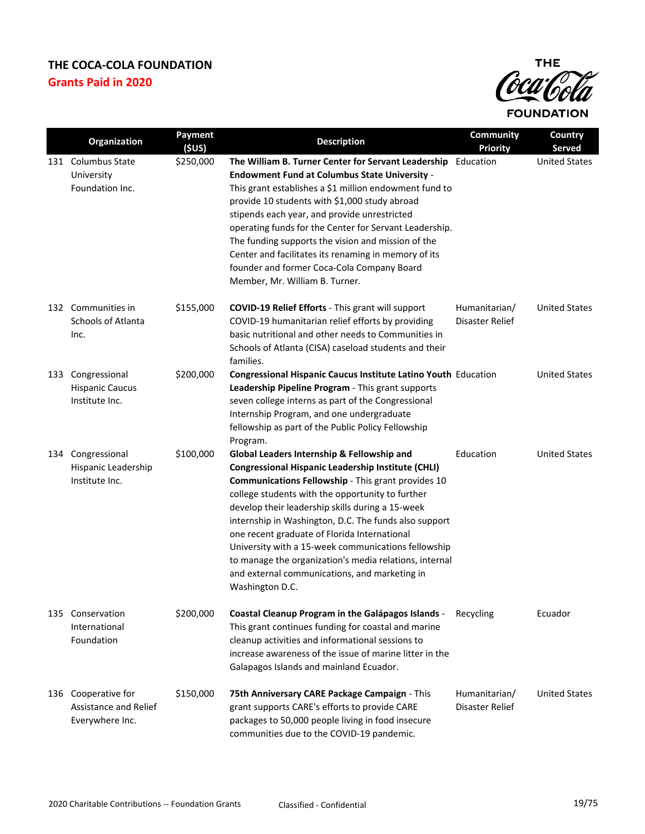

|     | Organization              | Payment            | <b>Description</b>                                                                                    | Community                    | Country                        |
|-----|---------------------------|--------------------|-------------------------------------------------------------------------------------------------------|------------------------------|--------------------------------|
| 131 | <b>Columbus State</b>     | (SUS)<br>\$250,000 | The William B. Turner Center for Servant Leadership                                                   | <b>Priority</b><br>Education | Served<br><b>United States</b> |
|     | University                |                    | <b>Endowment Fund at Columbus State University -</b>                                                  |                              |                                |
|     | Foundation Inc.           |                    | This grant establishes a \$1 million endowment fund to                                                |                              |                                |
|     |                           |                    | provide 10 students with \$1,000 study abroad                                                         |                              |                                |
|     |                           |                    | stipends each year, and provide unrestricted                                                          |                              |                                |
|     |                           |                    | operating funds for the Center for Servant Leadership.                                                |                              |                                |
|     |                           |                    | The funding supports the vision and mission of the                                                    |                              |                                |
|     |                           |                    | Center and facilitates its renaming in memory of its                                                  |                              |                                |
|     |                           |                    | founder and former Coca-Cola Company Board<br>Member, Mr. William B. Turner.                          |                              |                                |
|     |                           |                    |                                                                                                       |                              |                                |
|     | 132 Communities in        | \$155,000          | <b>COVID-19 Relief Efforts - This grant will support</b>                                              | Humanitarian/                | <b>United States</b>           |
|     | <b>Schools of Atlanta</b> |                    | COVID-19 humanitarian relief efforts by providing                                                     | Disaster Relief              |                                |
|     | Inc.                      |                    | basic nutritional and other needs to Communities in                                                   |                              |                                |
|     |                           |                    | Schools of Atlanta (CISA) caseload students and their<br>families.                                    |                              |                                |
| 133 | Congressional             | \$200,000          | <b>Congressional Hispanic Caucus Institute Latino Youth Education</b>                                 |                              | <b>United States</b>           |
|     | <b>Hispanic Caucus</b>    |                    | Leadership Pipeline Program - This grant supports                                                     |                              |                                |
|     | Institute Inc.            |                    | seven college interns as part of the Congressional                                                    |                              |                                |
|     |                           |                    | Internship Program, and one undergraduate                                                             |                              |                                |
|     |                           |                    | fellowship as part of the Public Policy Fellowship<br>Program.                                        |                              |                                |
| 134 | Congressional             | \$100,000          | Global Leaders Internship & Fellowship and                                                            | Education                    | <b>United States</b>           |
|     | Hispanic Leadership       |                    | <b>Congressional Hispanic Leadership Institute (CHLI)</b>                                             |                              |                                |
|     | Institute Inc.            |                    | Communications Fellowship - This grant provides 10                                                    |                              |                                |
|     |                           |                    | college students with the opportunity to further                                                      |                              |                                |
|     |                           |                    | develop their leadership skills during a 15-week                                                      |                              |                                |
|     |                           |                    | internship in Washington, D.C. The funds also support<br>one recent graduate of Florida International |                              |                                |
|     |                           |                    | University with a 15-week communications fellowship                                                   |                              |                                |
|     |                           |                    | to manage the organization's media relations, internal                                                |                              |                                |
|     |                           |                    | and external communications, and marketing in                                                         |                              |                                |
|     |                           |                    | Washington D.C.                                                                                       |                              |                                |
|     | 135 Conservation          | \$200,000          | Coastal Cleanup Program in the Galápagos Islands -                                                    | Recycling                    | Ecuador                        |
|     | International             |                    | This grant continues funding for coastal and marine                                                   |                              |                                |
|     | Foundation                |                    | cleanup activities and informational sessions to                                                      |                              |                                |
|     |                           |                    | increase awareness of the issue of marine litter in the                                               |                              |                                |
|     |                           |                    | Galapagos Islands and mainland Ecuador.                                                               |                              |                                |
| 136 | Cooperative for           | \$150,000          | 75th Anniversary CARE Package Campaign - This                                                         | Humanitarian/                | <b>United States</b>           |
|     | Assistance and Relief     |                    | grant supports CARE's efforts to provide CARE                                                         | Disaster Relief              |                                |
|     | Everywhere Inc.           |                    | packages to 50,000 people living in food insecure                                                     |                              |                                |
|     |                           |                    | communities due to the COVID-19 pandemic.                                                             |                              |                                |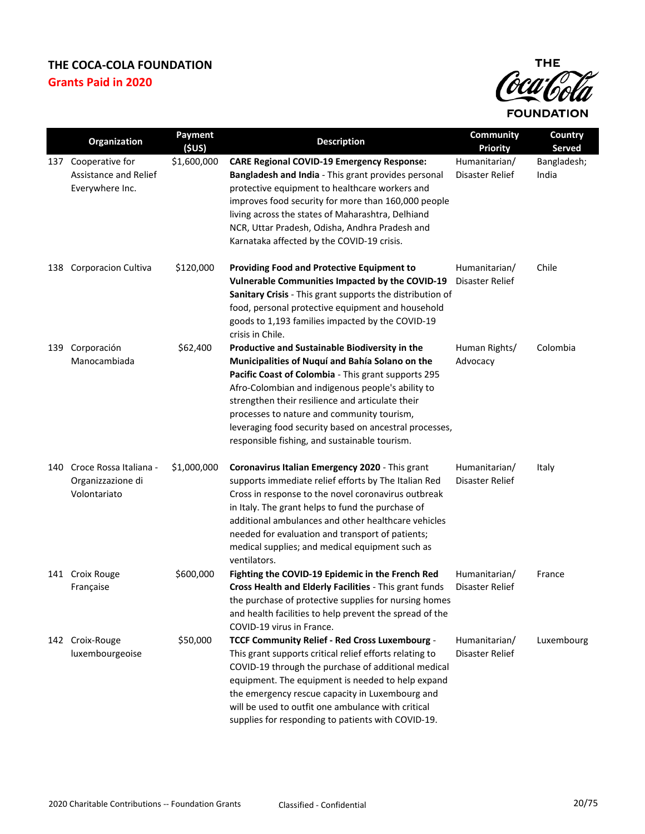

|     | Organization                                                | Payment<br>(\$US) | <b>Description</b>                                                                                                                                                                                                                                                                                                                                                                                                         | Community<br><b>Priority</b>     | Country<br><b>Served</b> |
|-----|-------------------------------------------------------------|-------------------|----------------------------------------------------------------------------------------------------------------------------------------------------------------------------------------------------------------------------------------------------------------------------------------------------------------------------------------------------------------------------------------------------------------------------|----------------------------------|--------------------------|
| 137 | Cooperative for<br>Assistance and Relief<br>Everywhere Inc. | \$1,600,000       | <b>CARE Regional COVID-19 Emergency Response:</b><br>Bangladesh and India - This grant provides personal<br>protective equipment to healthcare workers and<br>improves food security for more than 160,000 people<br>living across the states of Maharashtra, Delhiand<br>NCR, Uttar Pradesh, Odisha, Andhra Pradesh and<br>Karnataka affected by the COVID-19 crisis.                                                     | Humanitarian/<br>Disaster Relief | Bangladesh;<br>India     |
| 138 | <b>Corporacion Cultiva</b>                                  | \$120,000         | <b>Providing Food and Protective Equipment to</b><br>Vulnerable Communities Impacted by the COVID-19<br>Sanitary Crisis - This grant supports the distribution of<br>food, personal protective equipment and household<br>goods to 1,193 families impacted by the COVID-19<br>crisis in Chile.                                                                                                                             | Humanitarian/<br>Disaster Relief | Chile                    |
| 139 | Corporación<br>Manocambiada                                 | \$62,400          | Productive and Sustainable Biodiversity in the<br>Municipalities of Nuquí and Bahía Solano on the<br>Pacific Coast of Colombia - This grant supports 295<br>Afro-Colombian and indigenous people's ability to<br>strengthen their resilience and articulate their<br>processes to nature and community tourism,<br>leveraging food security based on ancestral processes,<br>responsible fishing, and sustainable tourism. | Human Rights/<br>Advocacy        | Colombia                 |
| 140 | Croce Rossa Italiana -<br>Organizzazione di<br>Volontariato | \$1,000,000       | Coronavirus Italian Emergency 2020 - This grant<br>supports immediate relief efforts by The Italian Red<br>Cross in response to the novel coronavirus outbreak<br>in Italy. The grant helps to fund the purchase of<br>additional ambulances and other healthcare vehicles<br>needed for evaluation and transport of patients;<br>medical supplies; and medical equipment such as<br>ventilators.                          | Humanitarian/<br>Disaster Relief | Italy                    |
|     | 141 Croix Rouge<br>Française                                | \$600,000         | Fighting the COVID-19 Epidemic in the French Red<br>Cross Health and Elderly Facilities - This grant funds<br>the purchase of protective supplies for nursing homes<br>and health facilities to help prevent the spread of the<br>COVID-19 virus in France.                                                                                                                                                                | Humanitarian/<br>Disaster Relief | France                   |
|     | 142 Croix-Rouge<br>luxembourgeoise                          | \$50,000          | TCCF Community Relief - Red Cross Luxembourg -<br>This grant supports critical relief efforts relating to<br>COVID-19 through the purchase of additional medical<br>equipment. The equipment is needed to help expand<br>the emergency rescue capacity in Luxembourg and<br>will be used to outfit one ambulance with critical<br>supplies for responding to patients with COVID-19.                                       | Humanitarian/<br>Disaster Relief | Luxembourg               |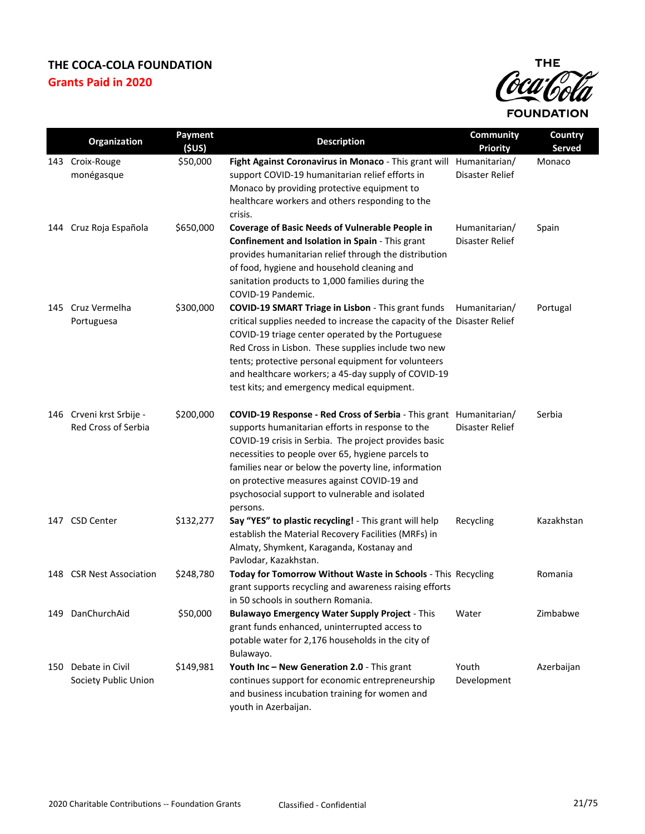

|     | Organization                                           | Payment<br>(SUS) | <b>Description</b>                                                                                                                                                                                                                                                                                                                                                                                      | Community<br><b>Priority</b>     | Country<br><b>Served</b> |
|-----|--------------------------------------------------------|------------------|---------------------------------------------------------------------------------------------------------------------------------------------------------------------------------------------------------------------------------------------------------------------------------------------------------------------------------------------------------------------------------------------------------|----------------------------------|--------------------------|
|     | 143 Croix-Rouge<br>monégasque                          | \$50,000         | Fight Against Coronavirus in Monaco - This grant will Humanitarian/<br>support COVID-19 humanitarian relief efforts in<br>Monaco by providing protective equipment to<br>healthcare workers and others responding to the<br>crisis.                                                                                                                                                                     | Disaster Relief                  | Monaco                   |
| 144 | Cruz Roja Española                                     | \$650,000        | <b>Coverage of Basic Needs of Vulnerable People in</b><br>Confinement and Isolation in Spain - This grant<br>provides humanitarian relief through the distribution<br>of food, hygiene and household cleaning and<br>sanitation products to 1,000 families during the<br>COVID-19 Pandemic.                                                                                                             | Humanitarian/<br>Disaster Relief | Spain                    |
| 145 | Cruz Vermelha<br>Portuguesa                            | \$300,000        | COVID-19 SMART Triage in Lisbon - This grant funds<br>critical supplies needed to increase the capacity of the Disaster Relief<br>COVID-19 triage center operated by the Portuguese<br>Red Cross in Lisbon. These supplies include two new<br>tents; protective personal equipment for volunteers<br>and healthcare workers; a 45-day supply of COVID-19<br>test kits; and emergency medical equipment. | Humanitarian/                    | Portugal                 |
|     | 146 Crveni krst Srbije -<br><b>Red Cross of Serbia</b> | \$200,000        | COVID-19 Response - Red Cross of Serbia - This grant Humanitarian/<br>supports humanitarian efforts in response to the<br>COVID-19 crisis in Serbia. The project provides basic<br>necessities to people over 65, hygiene parcels to<br>families near or below the poverty line, information<br>on protective measures against COVID-19 and<br>psychosocial support to vulnerable and isolated          | Disaster Relief                  | Serbia                   |
|     | 147 CSD Center                                         | \$132,277        | persons.<br>Say "YES" to plastic recycling! - This grant will help<br>establish the Material Recovery Facilities (MRFs) in<br>Almaty, Shymkent, Karaganda, Kostanay and<br>Pavlodar, Kazakhstan.                                                                                                                                                                                                        | Recycling                        | Kazakhstan               |
|     | 148 CSR Nest Association                               | \$248,780        | Today for Tomorrow Without Waste in Schools - This Recycling<br>grant supports recycling and awareness raising efforts<br>in 50 schools in southern Romania.                                                                                                                                                                                                                                            |                                  | Romania                  |
|     | 149 DanChurchAid                                       | \$50,000         | <b>Bulawayo Emergency Water Supply Project - This</b><br>grant funds enhanced, uninterrupted access to<br>potable water for 2,176 households in the city of<br>Bulawayo.                                                                                                                                                                                                                                | Water                            | Zimbabwe                 |
| 150 | Debate in Civil<br>Society Public Union                | \$149,981        | Youth Inc - New Generation 2.0 - This grant<br>continues support for economic entrepreneurship<br>and business incubation training for women and<br>youth in Azerbaijan.                                                                                                                                                                                                                                | Youth<br>Development             | Azerbaijan               |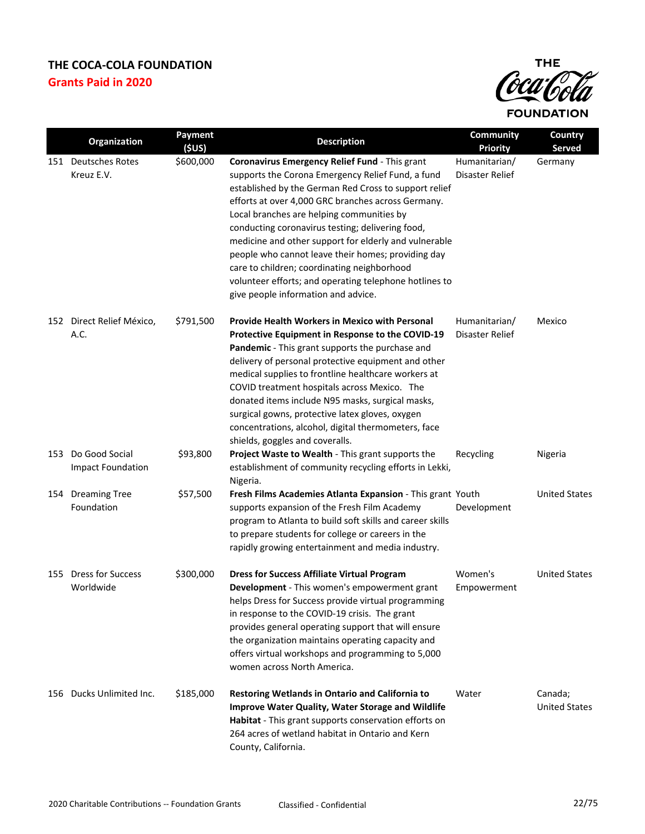

|     | Organization                               | Payment   | <b>Description</b>                                                                                                                                                                                                                                                                                                                                                                                                                                                                                                                                                                 | Community                        | Country                         |
|-----|--------------------------------------------|-----------|------------------------------------------------------------------------------------------------------------------------------------------------------------------------------------------------------------------------------------------------------------------------------------------------------------------------------------------------------------------------------------------------------------------------------------------------------------------------------------------------------------------------------------------------------------------------------------|----------------------------------|---------------------------------|
|     |                                            | (5US)     |                                                                                                                                                                                                                                                                                                                                                                                                                                                                                                                                                                                    | <b>Priority</b>                  | <b>Served</b>                   |
|     | 151 Deutsches Rotes<br>Kreuz E.V.          | \$600,000 | Coronavirus Emergency Relief Fund - This grant<br>supports the Corona Emergency Relief Fund, a fund<br>established by the German Red Cross to support relief<br>efforts at over 4,000 GRC branches across Germany.<br>Local branches are helping communities by<br>conducting coronavirus testing; delivering food,<br>medicine and other support for elderly and vulnerable<br>people who cannot leave their homes; providing day<br>care to children; coordinating neighborhood<br>volunteer efforts; and operating telephone hotlines to<br>give people information and advice. | Humanitarian/<br>Disaster Relief | Germany                         |
| 152 | Direct Relief México,<br>A.C.              | \$791,500 | <b>Provide Health Workers in Mexico with Personal</b><br>Protective Equipment in Response to the COVID-19<br>Pandemic - This grant supports the purchase and<br>delivery of personal protective equipment and other<br>medical supplies to frontline healthcare workers at<br>COVID treatment hospitals across Mexico. The<br>donated items include N95 masks, surgical masks,<br>surgical gowns, protective latex gloves, oxygen<br>concentrations, alcohol, digital thermometers, face<br>shields, goggles and coveralls.                                                        | Humanitarian/<br>Disaster Relief | Mexico                          |
| 153 | Do Good Social<br><b>Impact Foundation</b> | \$93,800  | Project Waste to Wealth - This grant supports the<br>establishment of community recycling efforts in Lekki,<br>Nigeria.                                                                                                                                                                                                                                                                                                                                                                                                                                                            | Recycling                        | Nigeria                         |
|     | 154 Dreaming Tree<br>Foundation            | \$57,500  | Fresh Films Academies Atlanta Expansion - This grant Youth<br>supports expansion of the Fresh Film Academy<br>program to Atlanta to build soft skills and career skills<br>to prepare students for college or careers in the<br>rapidly growing entertainment and media industry.                                                                                                                                                                                                                                                                                                  | Development                      | <b>United States</b>            |
| 155 | <b>Dress for Success</b><br>Worldwide      | \$300,000 | <b>Dress for Success Affiliate Virtual Program</b><br>Development - This women's empowerment grant<br>helps Dress for Success provide virtual programming<br>in response to the COVID-19 crisis. The grant<br>provides general operating support that will ensure<br>the organization maintains operating capacity and<br>offers virtual workshops and programming to 5,000<br>women across North America.                                                                                                                                                                         | Women's<br>Empowerment           | <b>United States</b>            |
|     | 156 Ducks Unlimited Inc.                   | \$185,000 | Restoring Wetlands in Ontario and California to<br>Improve Water Quality, Water Storage and Wildlife<br>Habitat - This grant supports conservation efforts on<br>264 acres of wetland habitat in Ontario and Kern<br>County, California.                                                                                                                                                                                                                                                                                                                                           | Water                            | Canada;<br><b>United States</b> |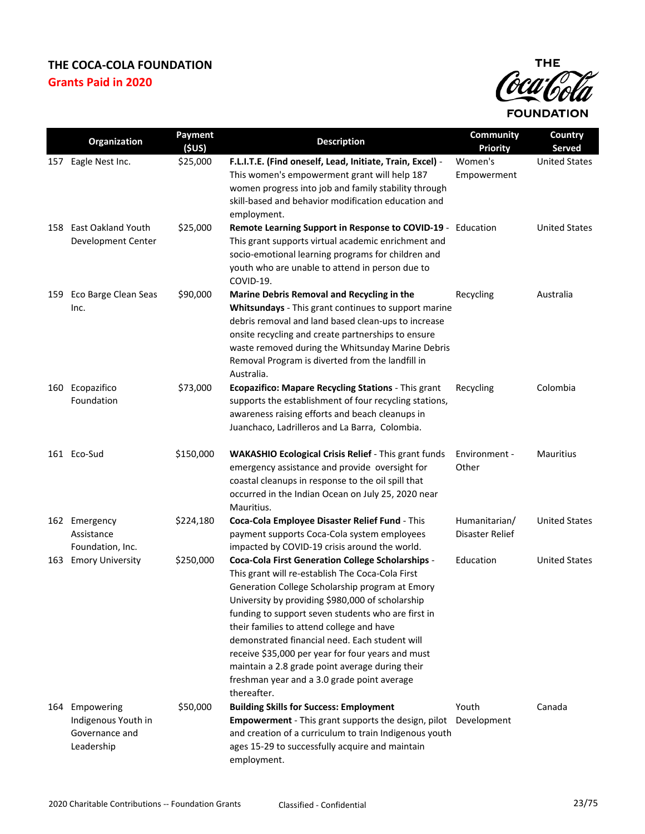

|     | Organization                                                          | Payment<br>(SUS) | <b>Description</b>                                                                                                                                                                                                                                                                                                                                                                                                                                                                                                                             | <b>Community</b><br><b>Priority</b> | <b>Country</b><br><b>Served</b> |
|-----|-----------------------------------------------------------------------|------------------|------------------------------------------------------------------------------------------------------------------------------------------------------------------------------------------------------------------------------------------------------------------------------------------------------------------------------------------------------------------------------------------------------------------------------------------------------------------------------------------------------------------------------------------------|-------------------------------------|---------------------------------|
| 157 | Eagle Nest Inc.                                                       | \$25,000         | F.L.I.T.E. (Find oneself, Lead, Initiate, Train, Excel) -<br>This women's empowerment grant will help 187<br>women progress into job and family stability through<br>skill-based and behavior modification education and<br>employment.                                                                                                                                                                                                                                                                                                        | Women's<br>Empowerment              | <b>United States</b>            |
| 158 | <b>East Oakland Youth</b><br>Development Center                       | \$25,000         | Remote Learning Support in Response to COVID-19 - Education<br>This grant supports virtual academic enrichment and<br>socio-emotional learning programs for children and<br>youth who are unable to attend in person due to<br>COVID-19.                                                                                                                                                                                                                                                                                                       |                                     | <b>United States</b>            |
| 159 | Eco Barge Clean Seas<br>Inc.                                          | \$90,000         | Marine Debris Removal and Recycling in the<br>Whitsundays - This grant continues to support marine<br>debris removal and land based clean-ups to increase<br>onsite recycling and create partnerships to ensure<br>waste removed during the Whitsunday Marine Debris<br>Removal Program is diverted from the landfill in<br>Australia.                                                                                                                                                                                                         | Recycling                           | Australia                       |
| 160 | Ecopazifico<br>Foundation                                             | \$73,000         | Ecopazifico: Mapare Recycling Stations - This grant<br>supports the establishment of four recycling stations,<br>awareness raising efforts and beach cleanups in<br>Juanchaco, Ladrilleros and La Barra, Colombia.                                                                                                                                                                                                                                                                                                                             | Recycling                           | Colombia                        |
|     | 161 Eco-Sud                                                           | \$150,000        | <b>WAKASHIO Ecological Crisis Relief - This grant funds</b><br>emergency assistance and provide oversight for<br>coastal cleanups in response to the oil spill that<br>occurred in the Indian Ocean on July 25, 2020 near<br>Mauritius.                                                                                                                                                                                                                                                                                                        | Environment -<br>Other              | <b>Mauritius</b>                |
|     | 162 Emergency<br>Assistance<br>Foundation, Inc.                       | \$224,180        | Coca-Cola Employee Disaster Relief Fund - This<br>payment supports Coca-Cola system employees<br>impacted by COVID-19 crisis around the world.                                                                                                                                                                                                                                                                                                                                                                                                 | Humanitarian/<br>Disaster Relief    | <b>United States</b>            |
| 163 | <b>Emory University</b>                                               | \$250,000        | <b>Coca-Cola First Generation College Scholarships -</b><br>This grant will re-establish The Coca-Cola First<br>Generation College Scholarship program at Emory<br>University by providing \$980,000 of scholarship<br>funding to support seven students who are first in<br>their families to attend college and have<br>demonstrated financial need. Each student will<br>receive \$35,000 per year for four years and must<br>maintain a 2.8 grade point average during their<br>freshman year and a 3.0 grade point average<br>thereafter. | Education                           | <b>United States</b>            |
|     | 164 Empowering<br>Indigenous Youth in<br>Governance and<br>Leadership | \$50,000         | <b>Building Skills for Success: Employment</b><br><b>Empowerment</b> - This grant supports the design, pilot Development<br>and creation of a curriculum to train Indigenous youth<br>ages 15-29 to successfully acquire and maintain<br>employment.                                                                                                                                                                                                                                                                                           | Youth                               | Canada                          |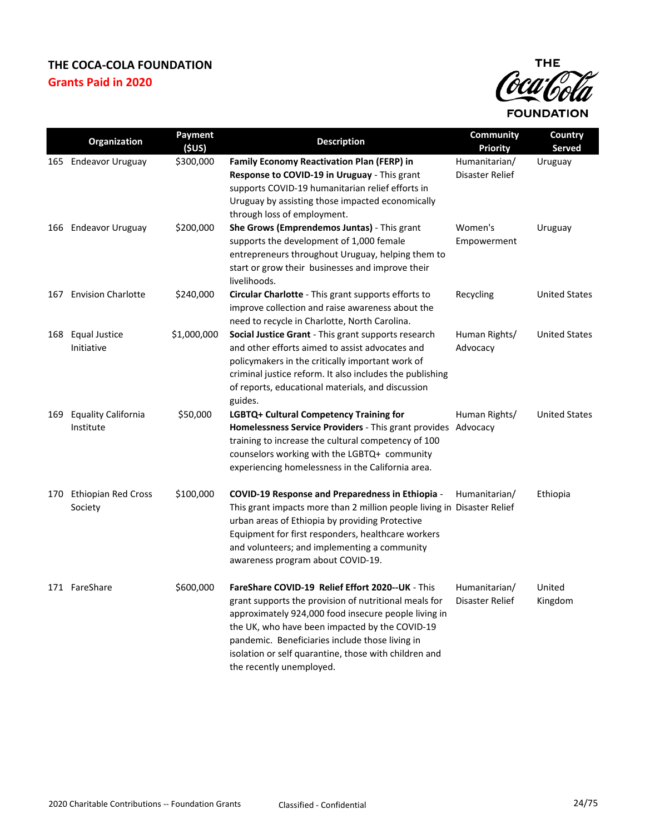

|     | Organization                            | Payment<br>(5US) | <b>Description</b>                                                                                                                                                                                                                                                                                                                                          | <b>Community</b><br><b>Priority</b> | Country<br>Served    |
|-----|-----------------------------------------|------------------|-------------------------------------------------------------------------------------------------------------------------------------------------------------------------------------------------------------------------------------------------------------------------------------------------------------------------------------------------------------|-------------------------------------|----------------------|
|     | 165 Endeavor Uruguay                    | \$300,000        | <b>Family Economy Reactivation Plan (FERP) in</b><br>Response to COVID-19 in Uruguay - This grant<br>supports COVID-19 humanitarian relief efforts in<br>Uruguay by assisting those impacted economically<br>through loss of employment.                                                                                                                    | Humanitarian/<br>Disaster Relief    | Uruguay              |
|     | 166 Endeavor Uruguay                    | \$200,000        | She Grows (Emprendemos Juntas) - This grant<br>supports the development of 1,000 female<br>entrepreneurs throughout Uruguay, helping them to<br>start or grow their businesses and improve their<br>livelihoods.                                                                                                                                            | Women's<br>Empowerment              | Uruguay              |
| 167 | <b>Envision Charlotte</b>               | \$240,000        | Circular Charlotte - This grant supports efforts to<br>improve collection and raise awareness about the<br>need to recycle in Charlotte, North Carolina.                                                                                                                                                                                                    | Recycling                           | <b>United States</b> |
| 168 | <b>Equal Justice</b><br>Initiative      | \$1,000,000      | <b>Social Justice Grant</b> - This grant supports research<br>and other efforts aimed to assist advocates and<br>policymakers in the critically important work of<br>criminal justice reform. It also includes the publishing<br>of reports, educational materials, and discussion<br>guides.                                                               | Human Rights/<br>Advocacy           | <b>United States</b> |
| 169 | <b>Equality California</b><br>Institute | \$50,000         | LGBTQ+ Cultural Competency Training for<br>Homelessness Service Providers - This grant provides Advocacy<br>training to increase the cultural competency of 100<br>counselors working with the LGBTQ+ community<br>experiencing homelessness in the California area.                                                                                        | Human Rights/                       | <b>United States</b> |
|     | 170 Ethiopian Red Cross<br>Society      | \$100,000        | <b>COVID-19 Response and Preparedness in Ethiopia -</b><br>This grant impacts more than 2 million people living in Disaster Relief<br>urban areas of Ethiopia by providing Protective<br>Equipment for first responders, healthcare workers<br>and volunteers; and implementing a community<br>awareness program about COVID-19.                            | Humanitarian/                       | Ethiopia             |
|     | 171 FareShare                           | \$600,000        | FareShare COVID-19 Relief Effort 2020--UK - This<br>grant supports the provision of nutritional meals for<br>approximately 924,000 food insecure people living in<br>the UK, who have been impacted by the COVID-19<br>pandemic. Beneficiaries include those living in<br>isolation or self quarantine, those with children and<br>the recently unemployed. | Humanitarian/<br>Disaster Relief    | United<br>Kingdom    |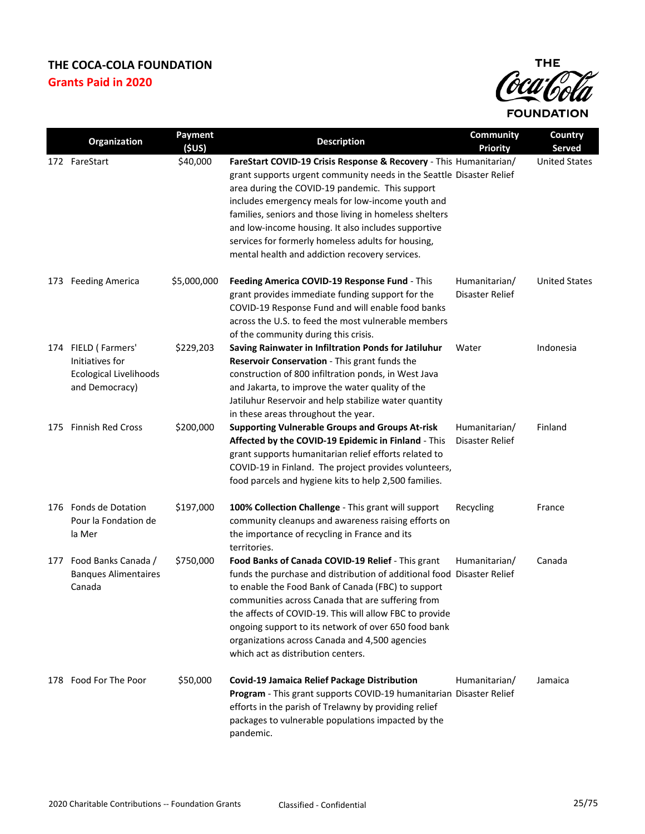

|     | Organization                                                                              | Payment     | <b>Description</b>                                                                                                                                                                                                                                                                                                                                                                                                                                                           | <b>Community</b>                 | Country              |
|-----|-------------------------------------------------------------------------------------------|-------------|------------------------------------------------------------------------------------------------------------------------------------------------------------------------------------------------------------------------------------------------------------------------------------------------------------------------------------------------------------------------------------------------------------------------------------------------------------------------------|----------------------------------|----------------------|
|     |                                                                                           | (SUS)       |                                                                                                                                                                                                                                                                                                                                                                                                                                                                              | <b>Priority</b>                  | <b>Served</b>        |
|     | 172 FareStart                                                                             | \$40,000    | FareStart COVID-19 Crisis Response & Recovery - This Humanitarian/<br>grant supports urgent community needs in the Seattle Disaster Relief<br>area during the COVID-19 pandemic. This support<br>includes emergency meals for low-income youth and<br>families, seniors and those living in homeless shelters<br>and low-income housing. It also includes supportive<br>services for formerly homeless adults for housing,<br>mental health and addiction recovery services. |                                  | <b>United States</b> |
| 173 | <b>Feeding America</b>                                                                    | \$5,000,000 | Feeding America COVID-19 Response Fund - This<br>grant provides immediate funding support for the<br>COVID-19 Response Fund and will enable food banks<br>across the U.S. to feed the most vulnerable members<br>of the community during this crisis.                                                                                                                                                                                                                        | Humanitarian/<br>Disaster Relief | <b>United States</b> |
|     | 174 FIELD (Farmers'<br>Initiatives for<br><b>Ecological Livelihoods</b><br>and Democracy) | \$229,203   | Saving Rainwater in Infiltration Ponds for Jatiluhur<br>Reservoir Conservation - This grant funds the<br>construction of 800 infiltration ponds, in West Java<br>and Jakarta, to improve the water quality of the<br>Jatiluhur Reservoir and help stabilize water quantity<br>in these areas throughout the year.                                                                                                                                                            | Water                            | Indonesia            |
| 175 | <b>Finnish Red Cross</b>                                                                  | \$200,000   | <b>Supporting Vulnerable Groups and Groups At-risk</b><br>Affected by the COVID-19 Epidemic in Finland - This<br>grant supports humanitarian relief efforts related to<br>COVID-19 in Finland. The project provides volunteers,<br>food parcels and hygiene kits to help 2,500 families.                                                                                                                                                                                     | Humanitarian/<br>Disaster Relief | Finland              |
|     | 176 Fonds de Dotation<br>Pour la Fondation de<br>la Mer                                   | \$197,000   | 100% Collection Challenge - This grant will support<br>community cleanups and awareness raising efforts on<br>the importance of recycling in France and its<br>territories.                                                                                                                                                                                                                                                                                                  | Recycling                        | France               |
|     | 177 Food Banks Canada /<br><b>Banques Alimentaires</b><br>Canada                          | \$750,000   | Food Banks of Canada COVID-19 Relief - This grant<br>funds the purchase and distribution of additional food Disaster Relief<br>to enable the Food Bank of Canada (FBC) to support<br>communities across Canada that are suffering from<br>the affects of COVID-19. This will allow FBC to provide<br>ongoing support to its network of over 650 food bank<br>organizations across Canada and 4,500 agencies<br>which act as distribution centers.                            | Humanitarian/                    | Canada               |
|     | 178 Food For The Poor                                                                     | \$50,000    | <b>Covid-19 Jamaica Relief Package Distribution</b><br>Program - This grant supports COVID-19 humanitarian Disaster Relief<br>efforts in the parish of Trelawny by providing relief<br>packages to vulnerable populations impacted by the<br>pandemic.                                                                                                                                                                                                                       | Humanitarian/                    | Jamaica              |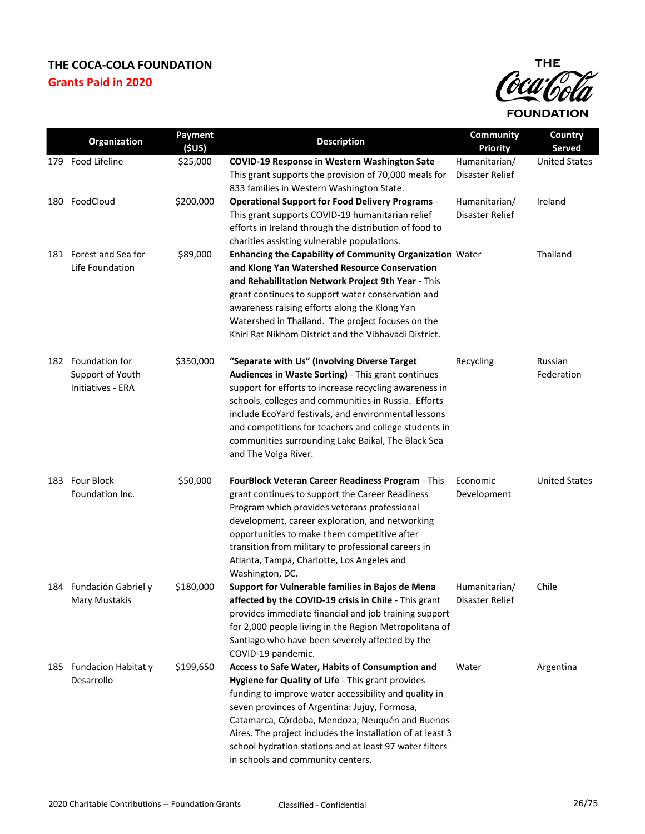

|     | Organization                                                       | Payment<br>(SUS) | <b>Description</b>                                                                                                                                                                                                                                                                                                                                                                                                              | <b>Community</b><br><b>Priority</b> | Country<br><b>Served</b> |
|-----|--------------------------------------------------------------------|------------------|---------------------------------------------------------------------------------------------------------------------------------------------------------------------------------------------------------------------------------------------------------------------------------------------------------------------------------------------------------------------------------------------------------------------------------|-------------------------------------|--------------------------|
| 179 | Food Lifeline                                                      | \$25,000         | COVID-19 Response in Western Washington Sate -<br>This grant supports the provision of 70,000 meals for<br>833 families in Western Washington State.                                                                                                                                                                                                                                                                            | Humanitarian/<br>Disaster Relief    | <b>United States</b>     |
|     | 180 FoodCloud                                                      | \$200,000        | <b>Operational Support for Food Delivery Programs -</b><br>This grant supports COVID-19 humanitarian relief<br>efforts in Ireland through the distribution of food to<br>charities assisting vulnerable populations.                                                                                                                                                                                                            | Humanitarian/<br>Disaster Relief    | Ireland                  |
|     | 181 Forest and Sea for<br>Life Foundation                          | \$89,000         | Enhancing the Capability of Community Organization Water<br>and Klong Yan Watershed Resource Conservation<br>and Rehabilitation Network Project 9th Year - This<br>grant continues to support water conservation and<br>awareness raising efforts along the Klong Yan<br>Watershed in Thailand. The project focuses on the<br>Khiri Rat Nikhom District and the Vibhavadi District.                                             |                                     | Thailand                 |
|     | 182 Foundation for<br>Support of Youth<br><b>Initiatives - ERA</b> | \$350,000        | "Separate with Us" (Involving Diverse Target<br>Audiences in Waste Sorting) - This grant continues<br>support for efforts to increase recycling awareness in<br>schools, colleges and communities in Russia. Efforts<br>include EcoYard festivals, and environmental lessons<br>and competitions for teachers and college students in<br>communities surrounding Lake Baikal, The Black Sea<br>and The Volga River.             | Recycling                           | Russian<br>Federation    |
|     | 183 Four Block<br>Foundation Inc.                                  | \$50,000         | FourBlock Veteran Career Readiness Program - This<br>grant continues to support the Career Readiness<br>Program which provides veterans professional<br>development, career exploration, and networking<br>opportunities to make them competitive after<br>transition from military to professional careers in<br>Atlanta, Tampa, Charlotte, Los Angeles and<br>Washington, DC.                                                 | Economic<br>Development             | <b>United States</b>     |
|     | 184 Fundación Gabriel y<br>Mary Mustakis                           | \$180,000        | Support for Vulnerable families in Bajos de Mena<br>affected by the COVID-19 crisis in Chile - This grant<br>provides immediate financial and job training support<br>for 2,000 people living in the Region Metropolitana of<br>Santiago who have been severely affected by the<br>COVID-19 pandemic.                                                                                                                           | Humanitarian/<br>Disaster Relief    | Chile                    |
|     | 185 Fundacion Habitat y<br>Desarrollo                              | \$199,650        | Access to Safe Water, Habits of Consumption and<br>Hygiene for Quality of Life - This grant provides<br>funding to improve water accessibility and quality in<br>seven provinces of Argentina: Jujuy, Formosa,<br>Catamarca, Córdoba, Mendoza, Neuquén and Buenos<br>Aires. The project includes the installation of at least 3<br>school hydration stations and at least 97 water filters<br>in schools and community centers. | Water                               | Argentina                |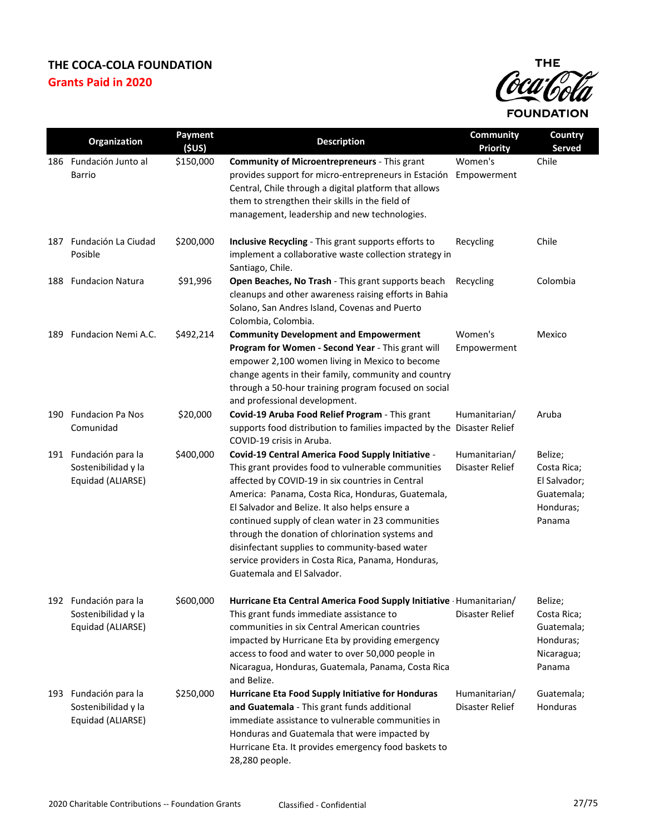

|     | Organization                                                      | Payment<br>(5US) | <b>Description</b>                                                                                                                                                                                                                                                                                                                                                                                                                                                                                                | <b>Community</b><br><b>Priority</b> | Country<br><b>Served</b>                                                    |
|-----|-------------------------------------------------------------------|------------------|-------------------------------------------------------------------------------------------------------------------------------------------------------------------------------------------------------------------------------------------------------------------------------------------------------------------------------------------------------------------------------------------------------------------------------------------------------------------------------------------------------------------|-------------------------------------|-----------------------------------------------------------------------------|
|     | 186 Fundación Junto al<br>Barrio                                  | \$150,000        | <b>Community of Microentrepreneurs - This grant</b><br>provides support for micro-entrepreneurs in Estación<br>Central, Chile through a digital platform that allows<br>them to strengthen their skills in the field of<br>management, leadership and new technologies.                                                                                                                                                                                                                                           | Women's<br>Empowerment              | Chile                                                                       |
| 187 | Fundación La Ciudad<br>Posible                                    | \$200,000        | Inclusive Recycling - This grant supports efforts to<br>implement a collaborative waste collection strategy in<br>Santiago, Chile.                                                                                                                                                                                                                                                                                                                                                                                | Recycling                           | Chile                                                                       |
| 188 | <b>Fundacion Natura</b>                                           | \$91,996         | Open Beaches, No Trash - This grant supports beach<br>cleanups and other awareness raising efforts in Bahia<br>Solano, San Andres Island, Covenas and Puerto<br>Colombia, Colombia.                                                                                                                                                                                                                                                                                                                               | Recycling                           | Colombia                                                                    |
| 189 | Fundacion Nemi A.C.                                               | \$492,214        | <b>Community Development and Empowerment</b><br>Program for Women - Second Year - This grant will<br>empower 2,100 women living in Mexico to become<br>change agents in their family, community and country<br>through a 50-hour training program focused on social<br>and professional development.                                                                                                                                                                                                              | Women's<br>Empowerment              | Mexico                                                                      |
|     | 190 Fundacion Pa Nos<br>Comunidad                                 | \$20,000         | Covid-19 Aruba Food Relief Program - This grant<br>supports food distribution to families impacted by the Disaster Relief<br>COVID-19 crisis in Aruba.                                                                                                                                                                                                                                                                                                                                                            | Humanitarian/                       | Aruba                                                                       |
|     | 191 Fundación para la<br>Sostenibilidad y la<br>Equidad (ALIARSE) | \$400,000        | Covid-19 Central America Food Supply Initiative -<br>This grant provides food to vulnerable communities<br>affected by COVID-19 in six countries in Central<br>America: Panama, Costa Rica, Honduras, Guatemala,<br>El Salvador and Belize. It also helps ensure a<br>continued supply of clean water in 23 communities<br>through the donation of chlorination systems and<br>disinfectant supplies to community-based water<br>service providers in Costa Rica, Panama, Honduras,<br>Guatemala and El Salvador. | Humanitarian/<br>Disaster Relief    | Belize;<br>Costa Rica;<br>El Salvador;<br>Guatemala;<br>Honduras;<br>Panama |
|     | 192 Fundación para la<br>Sostenibilidad y la<br>Equidad (ALIARSE) | \$600,000        | Hurricane Eta Central America Food Supply Initiative Humanitarian/<br>This grant funds immediate assistance to<br>communities in six Central American countries<br>impacted by Hurricane Eta by providing emergency<br>access to food and water to over 50,000 people in<br>Nicaragua, Honduras, Guatemala, Panama, Costa Rica<br>and Belize.                                                                                                                                                                     | Disaster Relief                     | Belize;<br>Costa Rica;<br>Guatemala;<br>Honduras;<br>Nicaragua;<br>Panama   |
|     | 193 Fundación para la<br>Sostenibilidad y la<br>Equidad (ALIARSE) | \$250,000        | Hurricane Eta Food Supply Initiative for Honduras<br>and Guatemala - This grant funds additional<br>immediate assistance to vulnerable communities in<br>Honduras and Guatemala that were impacted by<br>Hurricane Eta. It provides emergency food baskets to<br>28,280 people.                                                                                                                                                                                                                                   | Humanitarian/<br>Disaster Relief    | Guatemala;<br>Honduras                                                      |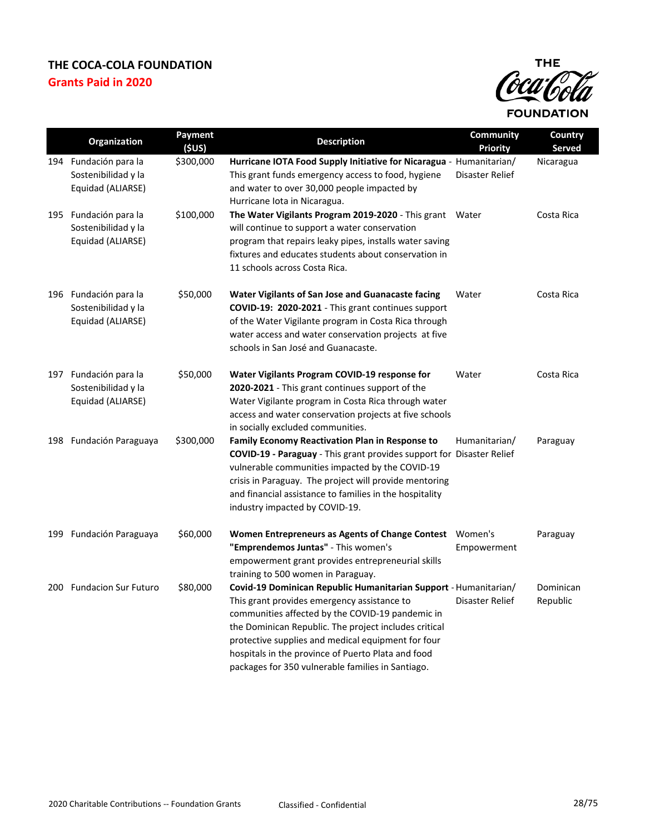

| Organization                                                      | Payment<br>(5US) | <b>Description</b>                                                                                                                                                                                                                                                                                                                                                                            | Community<br><b>Priority</b> | Country<br>Served     |
|-------------------------------------------------------------------|------------------|-----------------------------------------------------------------------------------------------------------------------------------------------------------------------------------------------------------------------------------------------------------------------------------------------------------------------------------------------------------------------------------------------|------------------------------|-----------------------|
| 194 Fundación para la<br>Sostenibilidad y la<br>Equidad (ALIARSE) | \$300,000        | Hurricane IOTA Food Supply Initiative for Nicaragua - Humanitarian/<br>This grant funds emergency access to food, hygiene<br>and water to over 30,000 people impacted by<br>Hurricane lota in Nicaragua.                                                                                                                                                                                      | Disaster Relief              | Nicaragua             |
| 195 Fundación para la<br>Sostenibilidad y la<br>Equidad (ALIARSE) | \$100,000        | The Water Vigilants Program 2019-2020 - This grant Water<br>will continue to support a water conservation<br>program that repairs leaky pipes, installs water saving<br>fixtures and educates students about conservation in<br>11 schools across Costa Rica.                                                                                                                                 |                              | Costa Rica            |
| 196 Fundación para la<br>Sostenibilidad y la<br>Equidad (ALIARSE) | \$50,000         | Water Vigilants of San Jose and Guanacaste facing<br>COVID-19: 2020-2021 - This grant continues support<br>of the Water Vigilante program in Costa Rica through<br>water access and water conservation projects at five<br>schools in San José and Guanacaste.                                                                                                                                | Water                        | Costa Rica            |
| 197 Fundación para la<br>Sostenibilidad y la<br>Equidad (ALIARSE) | \$50,000         | Water Vigilants Program COVID-19 response for<br>2020-2021 - This grant continues support of the<br>Water Vigilante program in Costa Rica through water<br>access and water conservation projects at five schools<br>in socially excluded communities.                                                                                                                                        | Water                        | Costa Rica            |
| 198 Fundación Paraguaya                                           | \$300,000        | <b>Family Economy Reactivation Plan in Response to</b><br><b>COVID-19 - Paraguay</b> - This grant provides support for Disaster Relief<br>vulnerable communities impacted by the COVID-19<br>crisis in Paraguay. The project will provide mentoring<br>and financial assistance to families in the hospitality<br>industry impacted by COVID-19.                                              | Humanitarian/                | Paraguay              |
| 199 Fundación Paraguaya                                           | \$60,000         | Women Entrepreneurs as Agents of Change Contest Women's<br>"Emprendemos Juntas" - This women's<br>empowerment grant provides entrepreneurial skills<br>training to 500 women in Paraguay.                                                                                                                                                                                                     | Empowerment                  | Paraguay              |
| 200 Fundacion Sur Futuro                                          | \$80,000         | Covid-19 Dominican Republic Humanitarian Support - Humanitarian/<br>This grant provides emergency assistance to<br>communities affected by the COVID-19 pandemic in<br>the Dominican Republic. The project includes critical<br>protective supplies and medical equipment for four<br>hospitals in the province of Puerto Plata and food<br>packages for 350 vulnerable families in Santiago. | Disaster Relief              | Dominican<br>Republic |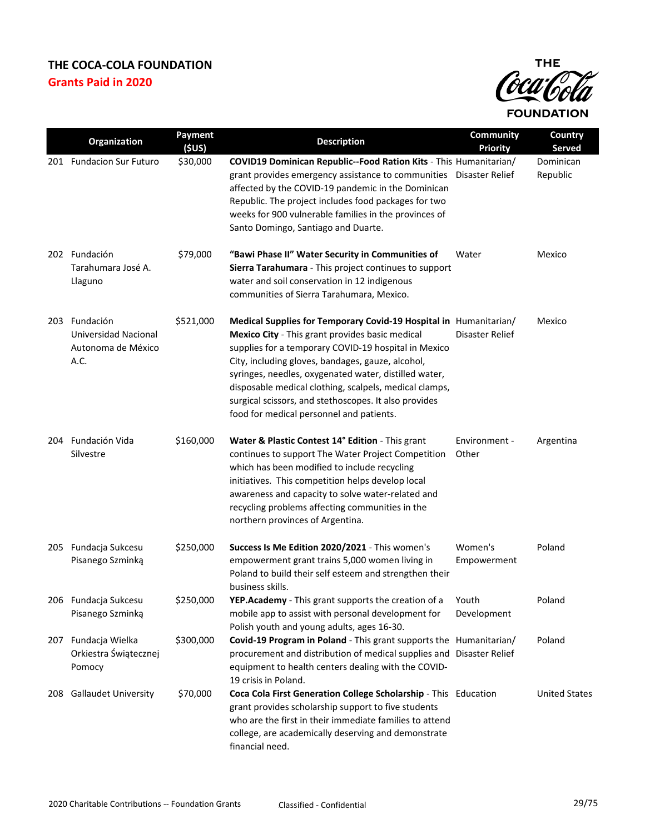

|     | Organization                                                               | Payment   | <b>Description</b>                                                                                                                                                                                                                                                                                                                                                                                                                                        | <b>Community</b>       | Country               |
|-----|----------------------------------------------------------------------------|-----------|-----------------------------------------------------------------------------------------------------------------------------------------------------------------------------------------------------------------------------------------------------------------------------------------------------------------------------------------------------------------------------------------------------------------------------------------------------------|------------------------|-----------------------|
|     |                                                                            | (SUS)     |                                                                                                                                                                                                                                                                                                                                                                                                                                                           | <b>Priority</b>        | Served                |
|     | 201 Fundacion Sur Futuro                                                   | \$30,000  | COVID19 Dominican Republic--Food Ration Kits - This Humanitarian/<br>grant provides emergency assistance to communities Disaster Relief<br>affected by the COVID-19 pandemic in the Dominican<br>Republic. The project includes food packages for two<br>weeks for 900 vulnerable families in the provinces of<br>Santo Domingo, Santiago and Duarte.                                                                                                     |                        | Dominican<br>Republic |
|     | 202 Fundación<br>Tarahumara José A.<br>Llaguno                             | \$79,000  | "Bawi Phase II" Water Security in Communities of<br>Sierra Tarahumara - This project continues to support<br>water and soil conservation in 12 indigenous<br>communities of Sierra Tarahumara, Mexico.                                                                                                                                                                                                                                                    | Water                  | Mexico                |
|     | 203 Fundación<br><b>Universidad Nacional</b><br>Autonoma de México<br>A.C. | \$521,000 | Medical Supplies for Temporary Covid-19 Hospital in Humanitarian/<br>Mexico City - This grant provides basic medical<br>supplies for a temporary COVID-19 hospital in Mexico<br>City, including gloves, bandages, gauze, alcohol,<br>syringes, needles, oxygenated water, distilled water,<br>disposable medical clothing, scalpels, medical clamps,<br>surgical scissors, and stethoscopes. It also provides<br>food for medical personnel and patients. | Disaster Relief        | Mexico                |
|     | 204 Fundación Vida<br>Silvestre                                            | \$160,000 | Water & Plastic Contest 14° Edition - This grant<br>continues to support The Water Project Competition<br>which has been modified to include recycling<br>initiatives. This competition helps develop local<br>awareness and capacity to solve water-related and<br>recycling problems affecting communities in the<br>northern provinces of Argentina.                                                                                                   | Environment -<br>Other | Argentina             |
| 205 | Fundacja Sukcesu<br>Pisanego Szminką                                       | \$250,000 | Success Is Me Edition 2020/2021 - This women's<br>empowerment grant trains 5,000 women living in<br>Poland to build their self esteem and strengthen their<br>business skills.                                                                                                                                                                                                                                                                            | Women's<br>Empowerment | Poland                |
|     | 206 Fundacja Sukcesu<br>Pisanego Szminką                                   | \$250,000 | YEP.Academy - This grant supports the creation of a<br>mobile app to assist with personal development for<br>Polish youth and young adults, ages 16-30.                                                                                                                                                                                                                                                                                                   | Youth<br>Development   | Poland                |
|     | 207 Fundacja Wielka<br>Orkiestra Świątecznej<br>Pomocy                     | \$300,000 | Covid-19 Program in Poland - This grant supports the Humanitarian/<br>procurement and distribution of medical supplies and Disaster Relief<br>equipment to health centers dealing with the COVID-<br>19 crisis in Poland.                                                                                                                                                                                                                                 |                        | Poland                |
| 208 | <b>Gallaudet University</b>                                                | \$70,000  | Coca Cola First Generation College Scholarship - This Education<br>grant provides scholarship support to five students<br>who are the first in their immediate families to attend<br>college, are academically deserving and demonstrate<br>financial need.                                                                                                                                                                                               |                        | <b>United States</b>  |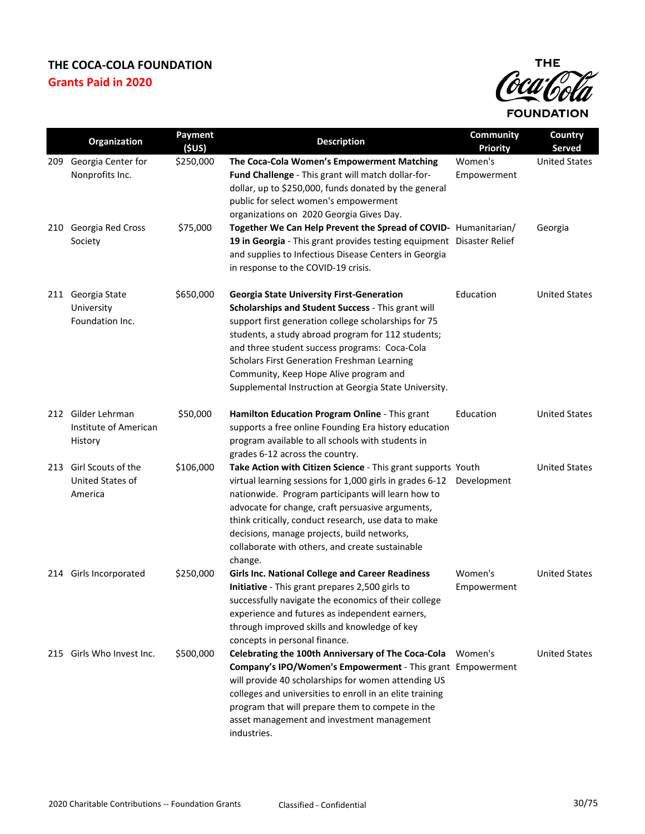

|     | Organization                                           | Payment<br>(5US) | <b>Description</b>                                                                                                                                                                                                                                                                                                                                                                                                             | Community<br><b>Priority</b> | Country<br><b>Served</b> |
|-----|--------------------------------------------------------|------------------|--------------------------------------------------------------------------------------------------------------------------------------------------------------------------------------------------------------------------------------------------------------------------------------------------------------------------------------------------------------------------------------------------------------------------------|------------------------------|--------------------------|
| 209 | Georgia Center for<br>Nonprofits Inc.                  | \$250,000        | The Coca-Cola Women's Empowerment Matching<br>Fund Challenge - This grant will match dollar-for-<br>dollar, up to \$250,000, funds donated by the general<br>public for select women's empowerment<br>organizations on 2020 Georgia Gives Day.                                                                                                                                                                                 | Women's<br>Empowerment       | <b>United States</b>     |
|     | 210 Georgia Red Cross<br>Society                       | \$75,000         | Together We Can Help Prevent the Spread of COVID- Humanitarian/<br>19 in Georgia - This grant provides testing equipment Disaster Relief<br>and supplies to Infectious Disease Centers in Georgia<br>in response to the COVID-19 crisis.                                                                                                                                                                                       |                              | Georgia                  |
| 211 | Georgia State<br>University<br>Foundation Inc.         | \$650,000        | <b>Georgia State University First-Generation</b><br>Scholarships and Student Success - This grant will<br>support first generation college scholarships for 75<br>students, a study abroad program for 112 students;<br>and three student success programs: Coca-Cola<br><b>Scholars First Generation Freshman Learning</b><br>Community, Keep Hope Alive program and<br>Supplemental Instruction at Georgia State University. | Education                    | <b>United States</b>     |
|     | 212 Gilder Lehrman<br>Institute of American<br>History | \$50,000         | Hamilton Education Program Online - This grant<br>supports a free online Founding Era history education<br>program available to all schools with students in<br>grades 6-12 across the country.                                                                                                                                                                                                                                | Education                    | <b>United States</b>     |
|     | 213 Girl Scouts of the<br>United States of<br>America  | \$106,000        | Take Action with Citizen Science - This grant supports Youth<br>virtual learning sessions for 1,000 girls in grades 6-12 Development<br>nationwide. Program participants will learn how to<br>advocate for change, craft persuasive arguments,<br>think critically, conduct research, use data to make<br>decisions, manage projects, build networks,<br>collaborate with others, and create sustainable<br>change.            |                              | <b>United States</b>     |
|     | 214 Girls Incorporated                                 | \$250,000        | <b>Girls Inc. National College and Career Readiness</b><br>Initiative - This grant prepares 2,500 girls to<br>successfully navigate the economics of their college<br>experience and futures as independent earners,<br>through improved skills and knowledge of key<br>concepts in personal finance.                                                                                                                          | Women's<br>Empowerment       | <b>United States</b>     |
|     | 215 Girls Who Invest Inc.                              | \$500,000        | Celebrating the 100th Anniversary of The Coca-Cola Women's<br>Company's IPO/Women's Empowerment - This grant Empowerment<br>will provide 40 scholarships for women attending US<br>colleges and universities to enroll in an elite training<br>program that will prepare them to compete in the<br>asset management and investment management<br>industries.                                                                   |                              | <b>United States</b>     |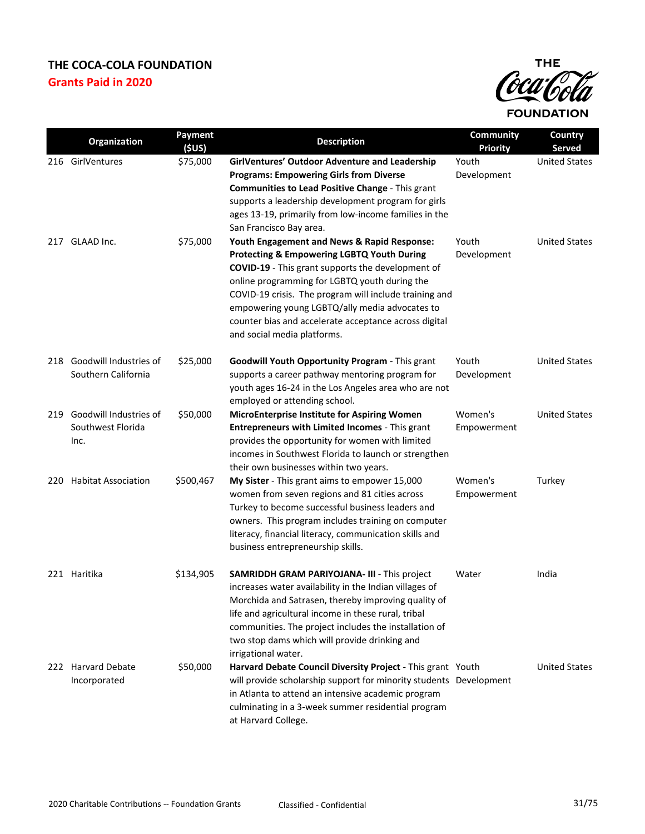

|     | Organization                                  | Payment<br>(5US) | <b>Description</b>                                                                                                       | <b>Community</b><br><b>Priority</b> | <b>Country</b><br><b>Served</b> |
|-----|-----------------------------------------------|------------------|--------------------------------------------------------------------------------------------------------------------------|-------------------------------------|---------------------------------|
|     | 216 GirlVentures                              | \$75,000         | GirlVentures' Outdoor Adventure and Leadership                                                                           | Youth                               | <b>United States</b>            |
|     |                                               |                  | <b>Programs: Empowering Girls from Diverse</b>                                                                           | Development                         |                                 |
|     |                                               |                  | Communities to Lead Positive Change - This grant                                                                         |                                     |                                 |
|     |                                               |                  | supports a leadership development program for girls                                                                      |                                     |                                 |
|     |                                               |                  | ages 13-19, primarily from low-income families in the<br>San Francisco Bay area.                                         |                                     |                                 |
| 217 | GLAAD Inc.                                    | \$75,000         | Youth Engagement and News & Rapid Response:                                                                              | Youth                               | <b>United States</b>            |
|     |                                               |                  | Protecting & Empowering LGBTQ Youth During                                                                               | Development                         |                                 |
|     |                                               |                  | <b>COVID-19</b> - This grant supports the development of                                                                 |                                     |                                 |
|     |                                               |                  | online programming for LGBTQ youth during the                                                                            |                                     |                                 |
|     |                                               |                  | COVID-19 crisis. The program will include training and                                                                   |                                     |                                 |
|     |                                               |                  | empowering young LGBTQ/ally media advocates to<br>counter bias and accelerate acceptance across digital                  |                                     |                                 |
|     |                                               |                  | and social media platforms.                                                                                              |                                     |                                 |
|     |                                               |                  |                                                                                                                          |                                     |                                 |
| 218 | Goodwill Industries of<br>Southern California | \$25,000         | Goodwill Youth Opportunity Program - This grant                                                                          | Youth                               | <b>United States</b>            |
|     |                                               |                  | supports a career pathway mentoring program for<br>youth ages 16-24 in the Los Angeles area who are not                  | Development                         |                                 |
|     |                                               |                  | employed or attending school.                                                                                            |                                     |                                 |
| 219 | Goodwill Industries of                        | \$50,000         | MicroEnterprise Institute for Aspiring Women                                                                             | Women's                             | <b>United States</b>            |
|     | Southwest Florida                             |                  | Entrepreneurs with Limited Incomes - This grant                                                                          | Empowerment                         |                                 |
|     | Inc.                                          |                  | provides the opportunity for women with limited                                                                          |                                     |                                 |
|     |                                               |                  | incomes in Southwest Florida to launch or strengthen                                                                     |                                     |                                 |
|     |                                               |                  | their own businesses within two years.                                                                                   |                                     |                                 |
| 220 | <b>Habitat Association</b>                    | \$500,467        | My Sister - This grant aims to empower 15,000                                                                            | Women's                             | Turkey                          |
|     |                                               |                  | women from seven regions and 81 cities across                                                                            | Empowerment                         |                                 |
|     |                                               |                  | Turkey to become successful business leaders and                                                                         |                                     |                                 |
|     |                                               |                  | owners. This program includes training on computer                                                                       |                                     |                                 |
|     |                                               |                  | literacy, financial literacy, communication skills and                                                                   |                                     |                                 |
|     |                                               |                  | business entrepreneurship skills.                                                                                        |                                     |                                 |
|     | 221 Haritika                                  | \$134,905        | <b>SAMRIDDH GRAM PARIYOJANA- III - This project</b>                                                                      | Water                               | India                           |
|     |                                               |                  | increases water availability in the Indian villages of                                                                   |                                     |                                 |
|     |                                               |                  | Morchida and Satrasen, thereby improving quality of                                                                      |                                     |                                 |
|     |                                               |                  | life and agricultural income in these rural, tribal                                                                      |                                     |                                 |
|     |                                               |                  | communities. The project includes the installation of                                                                    |                                     |                                 |
|     |                                               |                  | two stop dams which will provide drinking and                                                                            |                                     |                                 |
|     |                                               |                  | irrigational water.                                                                                                      |                                     |                                 |
|     | 222 Harvard Debate                            | \$50,000         | Harvard Debate Council Diversity Project - This grant Youth                                                              |                                     | <b>United States</b>            |
|     | Incorporated                                  |                  | will provide scholarship support for minority students Development<br>in Atlanta to attend an intensive academic program |                                     |                                 |
|     |                                               |                  | culminating in a 3-week summer residential program                                                                       |                                     |                                 |
|     |                                               |                  | at Harvard College.                                                                                                      |                                     |                                 |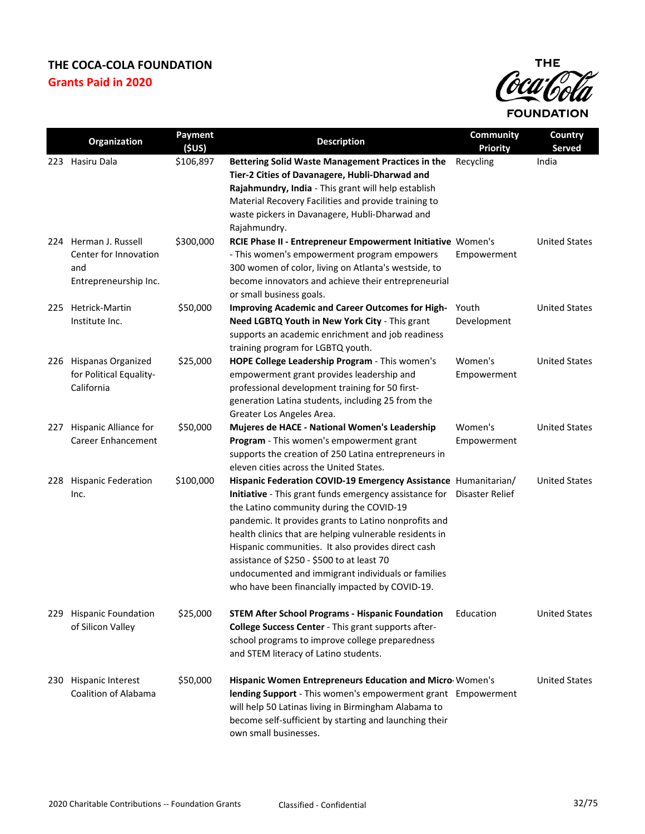

|     | Organization                                                                   | Payment<br>(\$US) | <b>Description</b>                                                                                                                                                                                                                                                                                                                                                                                                                                                                                                      | <b>Community</b><br><b>Priority</b> | Country<br><b>Served</b> |
|-----|--------------------------------------------------------------------------------|-------------------|-------------------------------------------------------------------------------------------------------------------------------------------------------------------------------------------------------------------------------------------------------------------------------------------------------------------------------------------------------------------------------------------------------------------------------------------------------------------------------------------------------------------------|-------------------------------------|--------------------------|
|     | 223 Hasiru Dala                                                                | \$106,897         | Bettering Solid Waste Management Practices in the<br>Tier-2 Cities of Davanagere, Hubli-Dharwad and<br>Rajahmundry, India - This grant will help establish<br>Material Recovery Facilities and provide training to<br>waste pickers in Davanagere, Hubli-Dharwad and<br>Rajahmundry.                                                                                                                                                                                                                                    | Recycling                           | India                    |
|     | 224 Herman J. Russell<br>Center for Innovation<br>and<br>Entrepreneurship Inc. | \$300,000         | RCIE Phase II - Entrepreneur Empowerment Initiative Women's<br>- This women's empowerment program empowers<br>300 women of color, living on Atlanta's westside, to<br>become innovators and achieve their entrepreneurial<br>or small business goals.                                                                                                                                                                                                                                                                   | Empowerment                         | <b>United States</b>     |
| 225 | Hetrick-Martin<br>Institute Inc.                                               | \$50,000          | Improving Academic and Career Outcomes for High-<br>Need LGBTQ Youth in New York City - This grant<br>supports an academic enrichment and job readiness<br>training program for LGBTQ youth.                                                                                                                                                                                                                                                                                                                            | Youth<br>Development                | <b>United States</b>     |
|     | 226 Hispanas Organized<br>for Political Equality-<br>California                | \$25,000          | HOPE College Leadership Program - This women's<br>empowerment grant provides leadership and<br>professional development training for 50 first-<br>generation Latina students, including 25 from the<br>Greater Los Angeles Area.                                                                                                                                                                                                                                                                                        | Women's<br>Empowerment              | <b>United States</b>     |
| 227 | Hispanic Alliance for<br><b>Career Enhancement</b>                             | \$50,000          | Mujeres de HACE - National Women's Leadership<br>Program - This women's empowerment grant<br>supports the creation of 250 Latina entrepreneurs in<br>eleven cities across the United States.                                                                                                                                                                                                                                                                                                                            | Women's<br>Empowerment              | <b>United States</b>     |
| 228 | <b>Hispanic Federation</b><br>Inc.                                             | \$100,000         | Hispanic Federation COVID-19 Emergency Assistance Humanitarian/<br>Initiative - This grant funds emergency assistance for  Disaster Relief<br>the Latino community during the COVID-19<br>pandemic. It provides grants to Latino nonprofits and<br>health clinics that are helping vulnerable residents in<br>Hispanic communities. It also provides direct cash<br>assistance of \$250 - \$500 to at least 70<br>undocumented and immigrant individuals or families<br>who have been financially impacted by COVID-19. |                                     | <b>United States</b>     |
|     | 229 Hispanic Foundation<br>of Silicon Valley                                   | \$25,000          | <b>STEM After School Programs - Hispanic Foundation</b><br>College Success Center - This grant supports after-<br>school programs to improve college preparedness<br>and STEM literacy of Latino students.                                                                                                                                                                                                                                                                                                              | Education                           | <b>United States</b>     |
| 230 | Hispanic Interest<br>Coalition of Alabama                                      | \$50,000          | Hispanic Women Entrepreneurs Education and Micro Women's<br>lending Support - This women's empowerment grant Empowerment<br>will help 50 Latinas living in Birmingham Alabama to<br>become self-sufficient by starting and launching their<br>own small businesses.                                                                                                                                                                                                                                                     |                                     | <b>United States</b>     |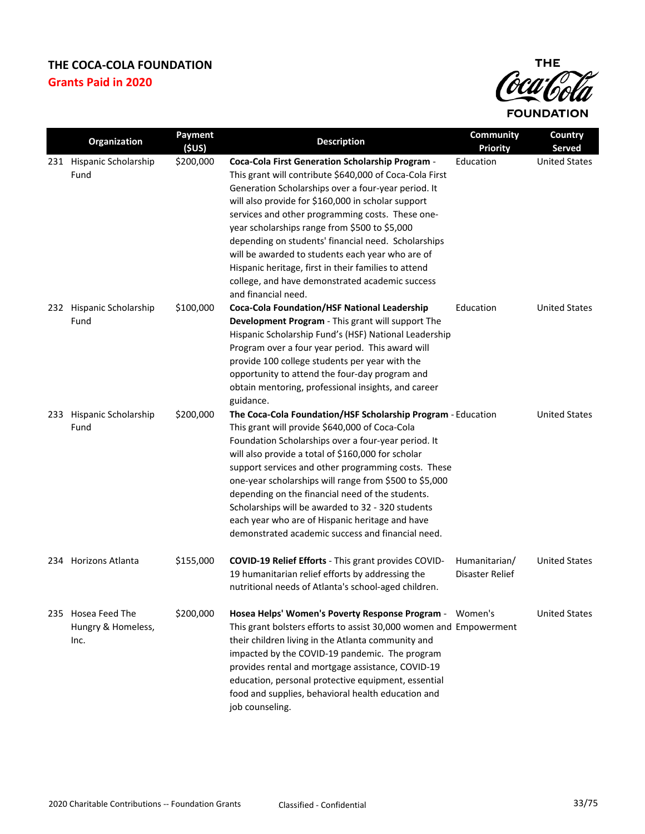

| Organization                                     | Payment<br>(5US) | <b>Description</b>                                                                                                                                                                                                                                                                                                                                                                                                                                                                                                                                                                | Community<br><b>Priority</b>     | Country<br>Served    |
|--------------------------------------------------|------------------|-----------------------------------------------------------------------------------------------------------------------------------------------------------------------------------------------------------------------------------------------------------------------------------------------------------------------------------------------------------------------------------------------------------------------------------------------------------------------------------------------------------------------------------------------------------------------------------|----------------------------------|----------------------|
| 231 Hispanic Scholarship<br>Fund                 | \$200,000        | <b>Coca-Cola First Generation Scholarship Program -</b><br>This grant will contribute \$640,000 of Coca-Cola First<br>Generation Scholarships over a four-year period. It<br>will also provide for \$160,000 in scholar support<br>services and other programming costs. These one-<br>year scholarships range from \$500 to \$5,000<br>depending on students' financial need. Scholarships<br>will be awarded to students each year who are of<br>Hispanic heritage, first in their families to attend<br>college, and have demonstrated academic success<br>and financial need. | Education                        | <b>United States</b> |
| 232 Hispanic Scholarship<br>Fund                 | \$100,000        | <b>Coca-Cola Foundation/HSF National Leadership</b><br>Development Program - This grant will support The<br>Hispanic Scholarship Fund's (HSF) National Leadership<br>Program over a four year period. This award will<br>provide 100 college students per year with the<br>opportunity to attend the four-day program and<br>obtain mentoring, professional insights, and career<br>guidance.                                                                                                                                                                                     | Education                        | <b>United States</b> |
| 233 Hispanic Scholarship<br>Fund                 | \$200,000        | The Coca-Cola Foundation/HSF Scholarship Program - Education<br>This grant will provide \$640,000 of Coca-Cola<br>Foundation Scholarships over a four-year period. It<br>will also provide a total of \$160,000 for scholar<br>support services and other programming costs. These<br>one-year scholarships will range from \$500 to \$5,000<br>depending on the financial need of the students.<br>Scholarships will be awarded to 32 - 320 students<br>each year who are of Hispanic heritage and have<br>demonstrated academic success and financial need.                     |                                  | <b>United States</b> |
| 234 Horizons Atlanta                             | \$155,000        | COVID-19 Relief Efforts - This grant provides COVID-<br>19 humanitarian relief efforts by addressing the<br>nutritional needs of Atlanta's school-aged children.                                                                                                                                                                                                                                                                                                                                                                                                                  | Humanitarian/<br>Disaster Relief | <b>United States</b> |
| 235 Hosea Feed The<br>Hungry & Homeless,<br>Inc. | \$200,000        | Hosea Helps' Women's Poverty Response Program - Women's<br>This grant bolsters efforts to assist 30,000 women and Empowerment<br>their children living in the Atlanta community and<br>impacted by the COVID-19 pandemic. The program<br>provides rental and mortgage assistance, COVID-19<br>education, personal protective equipment, essential<br>food and supplies, behavioral health education and<br>job counseling.                                                                                                                                                        |                                  | <b>United States</b> |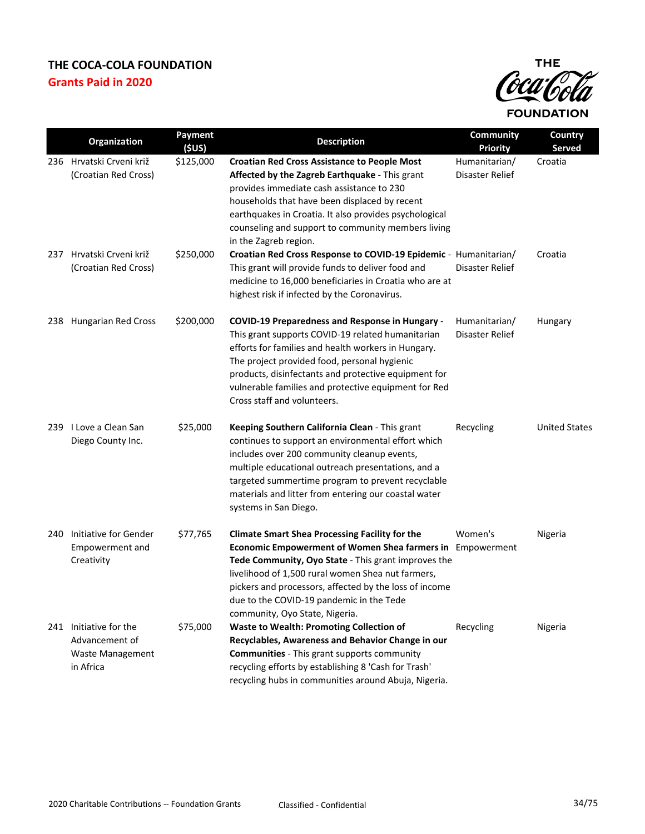

|     | Organization                                                                     | Payment<br>(5US) | <b>Description</b>                                                                                                                                                                                                                                                                                                                                                     | Community<br><b>Priority</b>     | Country<br><b>Served</b> |
|-----|----------------------------------------------------------------------------------|------------------|------------------------------------------------------------------------------------------------------------------------------------------------------------------------------------------------------------------------------------------------------------------------------------------------------------------------------------------------------------------------|----------------------------------|--------------------------|
|     | 236 Hrvatski Crveni križ<br>(Croatian Red Cross)                                 | \$125,000        | <b>Croatian Red Cross Assistance to People Most</b><br>Affected by the Zagreb Earthquake - This grant<br>provides immediate cash assistance to 230<br>households that have been displaced by recent<br>earthquakes in Croatia. It also provides psychological<br>counseling and support to community members living<br>in the Zagreb region.                           | Humanitarian/<br>Disaster Relief | Croatia                  |
| 237 | Hrvatski Crveni križ<br>(Croatian Red Cross)                                     | \$250,000        | Croatian Red Cross Response to COVID-19 Epidemic - Humanitarian/<br>This grant will provide funds to deliver food and<br>medicine to 16,000 beneficiaries in Croatia who are at<br>highest risk if infected by the Coronavirus.                                                                                                                                        | Disaster Relief                  | Croatia                  |
|     | 238 Hungarian Red Cross                                                          | \$200,000        | <b>COVID-19 Preparedness and Response in Hungary -</b><br>This grant supports COVID-19 related humanitarian<br>efforts for families and health workers in Hungary.<br>The project provided food, personal hygienic<br>products, disinfectants and protective equipment for<br>vulnerable families and protective equipment for Red<br>Cross staff and volunteers.      | Humanitarian/<br>Disaster Relief | Hungary                  |
|     | 239 I Love a Clean San<br>Diego County Inc.                                      | \$25,000         | Keeping Southern California Clean - This grant<br>continues to support an environmental effort which<br>includes over 200 community cleanup events,<br>multiple educational outreach presentations, and a<br>targeted summertime program to prevent recyclable<br>materials and litter from entering our coastal water<br>systems in San Diego.                        | Recycling                        | <b>United States</b>     |
| 240 | Initiative for Gender<br>Empowerment and<br>Creativity                           | \$77,765         | <b>Climate Smart Shea Processing Facility for the</b><br>Economic Empowerment of Women Shea farmers in Empowerment<br>Tede Community, Oyo State - This grant improves the<br>livelihood of 1,500 rural women Shea nut farmers,<br>pickers and processors, affected by the loss of income<br>due to the COVID-19 pandemic in the Tede<br>community, Oyo State, Nigeria. | Women's                          | Nigeria                  |
|     | 241 Initiative for the<br>Advancement of<br><b>Waste Management</b><br>in Africa | \$75,000         | <b>Waste to Wealth: Promoting Collection of</b><br>Recyclables, Awareness and Behavior Change in our<br><b>Communities</b> - This grant supports community<br>recycling efforts by establishing 8 'Cash for Trash'<br>recycling hubs in communities around Abuja, Nigeria.                                                                                             | Recycling                        | Nigeria                  |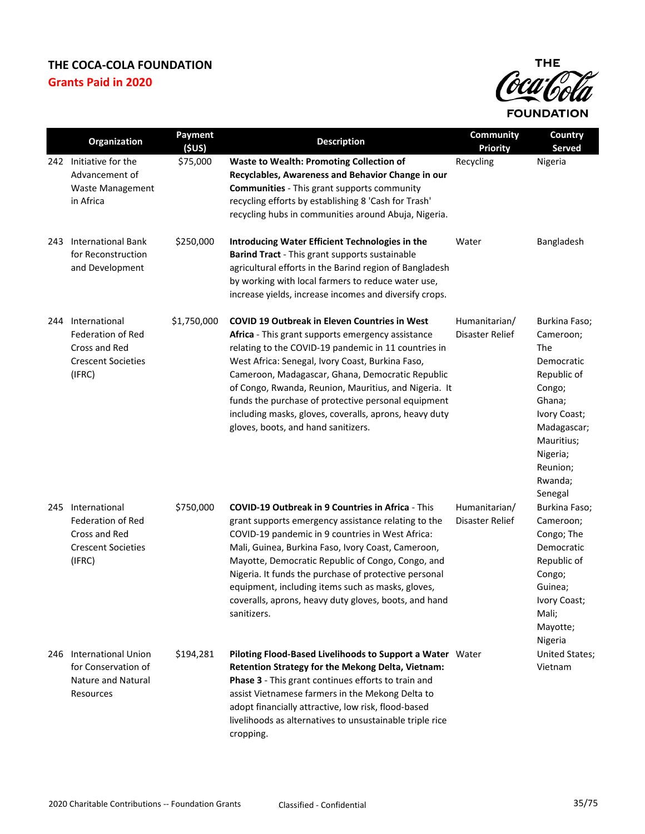

|     | Organization                                                                                      | Payment<br>(SUS) | <b>Description</b>                                                                                                                                                                                                                                                                                                                                                                                                                                                                         | Community<br><b>Priority</b>     | Country<br><b>Served</b>                                                                                                                                                      |
|-----|---------------------------------------------------------------------------------------------------|------------------|--------------------------------------------------------------------------------------------------------------------------------------------------------------------------------------------------------------------------------------------------------------------------------------------------------------------------------------------------------------------------------------------------------------------------------------------------------------------------------------------|----------------------------------|-------------------------------------------------------------------------------------------------------------------------------------------------------------------------------|
|     | 242 Initiative for the<br>Advancement of<br><b>Waste Management</b><br>in Africa                  | \$75,000         | <b>Waste to Wealth: Promoting Collection of</b><br>Recyclables, Awareness and Behavior Change in our<br><b>Communities</b> - This grant supports community<br>recycling efforts by establishing 8 'Cash for Trash'<br>recycling hubs in communities around Abuja, Nigeria.                                                                                                                                                                                                                 | Recycling                        | Nigeria                                                                                                                                                                       |
| 243 | <b>International Bank</b><br>for Reconstruction<br>and Development                                | \$250,000        | Introducing Water Efficient Technologies in the<br>Barind Tract - This grant supports sustainable<br>agricultural efforts in the Barind region of Bangladesh<br>by working with local farmers to reduce water use,<br>increase yields, increase incomes and diversify crops.                                                                                                                                                                                                               | Water                            | Bangladesh                                                                                                                                                                    |
| 244 | International<br><b>Federation of Red</b><br>Cross and Red<br><b>Crescent Societies</b><br>(IFRC) | \$1,750,000      | <b>COVID 19 Outbreak in Eleven Countries in West</b><br>Africa - This grant supports emergency assistance<br>relating to the COVID-19 pandemic in 11 countries in<br>West Africa: Senegal, Ivory Coast, Burkina Faso,<br>Cameroon, Madagascar, Ghana, Democratic Republic<br>of Congo, Rwanda, Reunion, Mauritius, and Nigeria. It<br>funds the purchase of protective personal equipment<br>including masks, gloves, coveralls, aprons, heavy duty<br>gloves, boots, and hand sanitizers. | Humanitarian/<br>Disaster Relief | Burkina Faso;<br>Cameroon;<br>The<br>Democratic<br>Republic of<br>Congo;<br>Ghana;<br>Ivory Coast;<br>Madagascar;<br>Mauritius;<br>Nigeria;<br>Reunion;<br>Rwanda;<br>Senegal |
| 245 | International<br><b>Federation of Red</b><br>Cross and Red<br><b>Crescent Societies</b><br>(IFRC) | \$750,000        | <b>COVID-19 Outbreak in 9 Countries in Africa - This</b><br>grant supports emergency assistance relating to the<br>COVID-19 pandemic in 9 countries in West Africa:<br>Mali, Guinea, Burkina Faso, Ivory Coast, Cameroon,<br>Mayotte, Democratic Republic of Congo, Congo, and<br>Nigeria. It funds the purchase of protective personal<br>equipment, including items such as masks, gloves,<br>coveralls, aprons, heavy duty gloves, boots, and hand<br>sanitizers.                       | Humanitarian/<br>Disaster Relief | Burkina Faso;<br>Cameroon;<br>Congo; The<br>Democratic<br>Republic of<br>Congo;<br>Guinea;<br>Ivory Coast;<br>Mali;<br>Mayotte;<br>Nigeria                                    |
|     | 246 International Union<br>for Conservation of<br>Nature and Natural<br>Resources                 | \$194,281        | Piloting Flood-Based Livelihoods to Support a Water Water<br>Retention Strategy for the Mekong Delta, Vietnam:<br>Phase 3 - This grant continues efforts to train and<br>assist Vietnamese farmers in the Mekong Delta to<br>adopt financially attractive, low risk, flood-based<br>livelihoods as alternatives to unsustainable triple rice<br>cropping.                                                                                                                                  |                                  | United States;<br>Vietnam                                                                                                                                                     |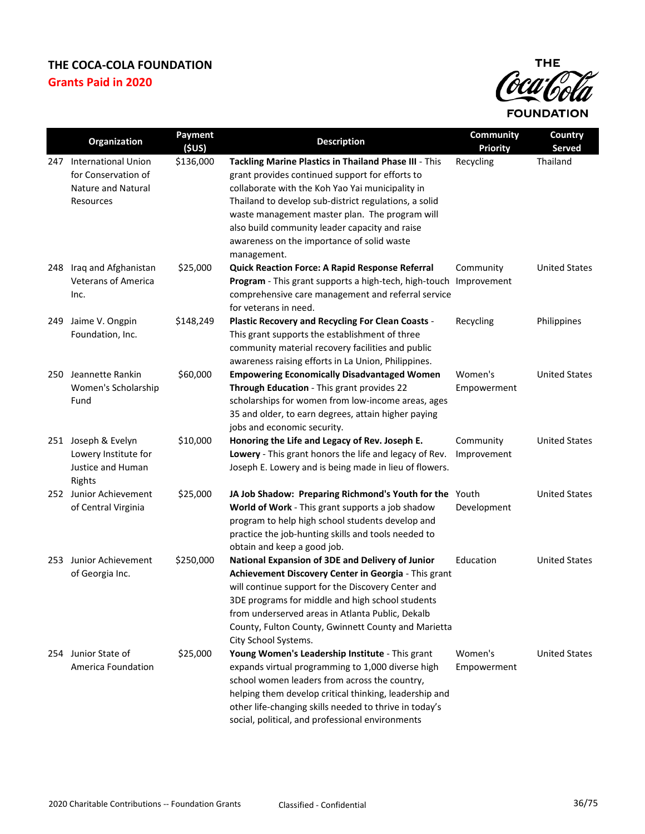

|     | Organization                                                                             | <b>Payment</b><br>(5US) | <b>Description</b>                                                                                                                                                                                                                                                                                                                                                                     | Community<br><b>Priority</b> | Country<br><b>Served</b> |
|-----|------------------------------------------------------------------------------------------|-------------------------|----------------------------------------------------------------------------------------------------------------------------------------------------------------------------------------------------------------------------------------------------------------------------------------------------------------------------------------------------------------------------------------|------------------------------|--------------------------|
|     | 247 International Union<br>for Conservation of<br><b>Nature and Natural</b><br>Resources | \$136,000               | Tackling Marine Plastics in Thailand Phase III - This<br>grant provides continued support for efforts to<br>collaborate with the Koh Yao Yai municipality in<br>Thailand to develop sub-district regulations, a solid<br>waste management master plan. The program will<br>also build community leader capacity and raise<br>awareness on the importance of solid waste<br>management. | Recycling                    | Thailand                 |
| 248 | Iraq and Afghanistan<br><b>Veterans of America</b><br>Inc.                               | \$25,000                | Quick Reaction Force: A Rapid Response Referral<br>Program - This grant supports a high-tech, high-touch Improvement<br>comprehensive care management and referral service<br>for veterans in need.                                                                                                                                                                                    | Community                    | <b>United States</b>     |
| 249 | Jaime V. Ongpin<br>Foundation, Inc.                                                      | \$148,249               | Plastic Recovery and Recycling For Clean Coasts -<br>This grant supports the establishment of three<br>community material recovery facilities and public<br>awareness raising efforts in La Union, Philippines.                                                                                                                                                                        | Recycling                    | Philippines              |
| 250 | Jeannette Rankin<br>Women's Scholarship<br>Fund                                          | \$60,000                | <b>Empowering Economically Disadvantaged Women</b><br>Through Education - This grant provides 22<br>scholarships for women from low-income areas, ages<br>35 and older, to earn degrees, attain higher paying<br>jobs and economic security.                                                                                                                                           | Women's<br>Empowerment       | <b>United States</b>     |
|     | 251 Joseph & Evelyn<br>Lowery Institute for<br>Justice and Human<br>Rights               | \$10,000                | Honoring the Life and Legacy of Rev. Joseph E.<br>Lowery - This grant honors the life and legacy of Rev.<br>Joseph E. Lowery and is being made in lieu of flowers.                                                                                                                                                                                                                     | Community<br>Improvement     | <b>United States</b>     |
|     | 252 Junior Achievement<br>of Central Virginia                                            | \$25,000                | JA Job Shadow: Preparing Richmond's Youth for the Youth<br>World of Work - This grant supports a job shadow<br>program to help high school students develop and<br>practice the job-hunting skills and tools needed to<br>obtain and keep a good job.                                                                                                                                  | Development                  | <b>United States</b>     |
| 253 | Junior Achievement<br>of Georgia Inc.                                                    | \$250,000               | National Expansion of 3DE and Delivery of Junior<br>Achievement Discovery Center in Georgia - This grant<br>will continue support for the Discovery Center and<br>3DE programs for middle and high school students<br>from underserved areas in Atlanta Public, Dekalb<br>County, Fulton County, Gwinnett County and Marietta<br>City School Systems.                                  | Education                    | <b>United States</b>     |
| 254 | Junior State of<br>America Foundation                                                    | \$25,000                | Young Women's Leadership Institute - This grant<br>expands virtual programming to 1,000 diverse high<br>school women leaders from across the country,<br>helping them develop critical thinking, leadership and<br>other life-changing skills needed to thrive in today's<br>social, political, and professional environments                                                          | Women's<br>Empowerment       | <b>United States</b>     |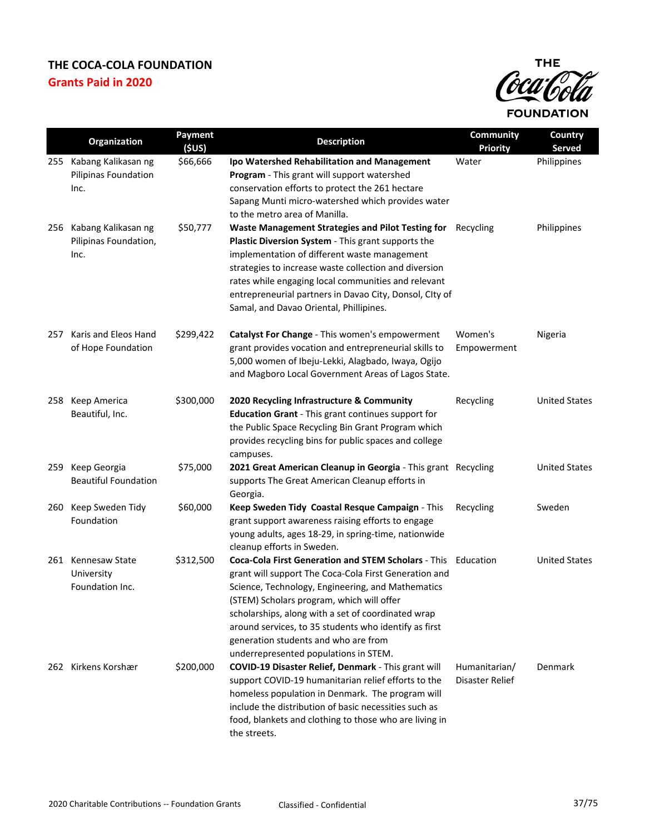

|     | Organization                                         | Payment<br>(SUS) | <b>Description</b>                                                                                                                                                                                                                                                                                                                                                                                                       | <b>Community</b><br><b>Priority</b> | Country<br><b>Served</b> |
|-----|------------------------------------------------------|------------------|--------------------------------------------------------------------------------------------------------------------------------------------------------------------------------------------------------------------------------------------------------------------------------------------------------------------------------------------------------------------------------------------------------------------------|-------------------------------------|--------------------------|
| 255 | Kabang Kalikasan ng<br>Pilipinas Foundation<br>Inc.  | \$66,666         | Ipo Watershed Rehabilitation and Management<br>Program - This grant will support watershed<br>conservation efforts to protect the 261 hectare<br>Sapang Munti micro-watershed which provides water<br>to the metro area of Manilla.                                                                                                                                                                                      | Water                               | Philippines              |
| 256 | Kabang Kalikasan ng<br>Pilipinas Foundation,<br>Inc. | \$50,777         | Waste Management Strategies and Pilot Testing for<br>Plastic Diversion System - This grant supports the<br>implementation of different waste management<br>strategies to increase waste collection and diversion<br>rates while engaging local communities and relevant<br>entrepreneurial partners in Davao City, Donsol, CIty of<br>Samal, and Davao Oriental, Phillipines.                                            | Recycling                           | Philippines              |
| 257 | Karis and Eleos Hand<br>of Hope Foundation           | \$299,422        | Catalyst For Change - This women's empowerment<br>grant provides vocation and entrepreneurial skills to<br>5,000 women of Ibeju-Lekki, Alagbado, Iwaya, Ogijo<br>and Magboro Local Government Areas of Lagos State.                                                                                                                                                                                                      | Women's<br>Empowerment              | Nigeria                  |
| 258 | Keep America<br>Beautiful, Inc.                      | \$300,000        | 2020 Recycling Infrastructure & Community<br><b>Education Grant</b> - This grant continues support for<br>the Public Space Recycling Bin Grant Program which<br>provides recycling bins for public spaces and college<br>campuses.                                                                                                                                                                                       | Recycling                           | <b>United States</b>     |
| 259 | Keep Georgia<br><b>Beautiful Foundation</b>          | \$75,000         | 2021 Great American Cleanup in Georgia - This grant Recycling<br>supports The Great American Cleanup efforts in<br>Georgia.                                                                                                                                                                                                                                                                                              |                                     | <b>United States</b>     |
| 260 | Keep Sweden Tidy<br>Foundation                       | \$60,000         | Keep Sweden Tidy Coastal Resque Campaign - This<br>grant support awareness raising efforts to engage<br>young adults, ages 18-29, in spring-time, nationwide<br>cleanup efforts in Sweden.                                                                                                                                                                                                                               | Recycling                           | Sweden                   |
|     | 261 Kennesaw State<br>University<br>Foundation Inc.  | \$312,500        | Coca-Cola First Generation and STEM Scholars - This Education<br>grant will support The Coca-Cola First Generation and<br>Science, Technology, Engineering, and Mathematics<br>(STEM) Scholars program, which will offer<br>scholarships, along with a set of coordinated wrap<br>around services, to 35 students who identify as first<br>generation students and who are from<br>underrepresented populations in STEM. |                                     | <b>United States</b>     |
|     | 262 Kirkens Korshær                                  | \$200,000        | COVID-19 Disaster Relief, Denmark - This grant will<br>support COVID-19 humanitarian relief efforts to the<br>homeless population in Denmark. The program will<br>include the distribution of basic necessities such as<br>food, blankets and clothing to those who are living in<br>the streets.                                                                                                                        | Humanitarian/<br>Disaster Relief    | <b>Denmark</b>           |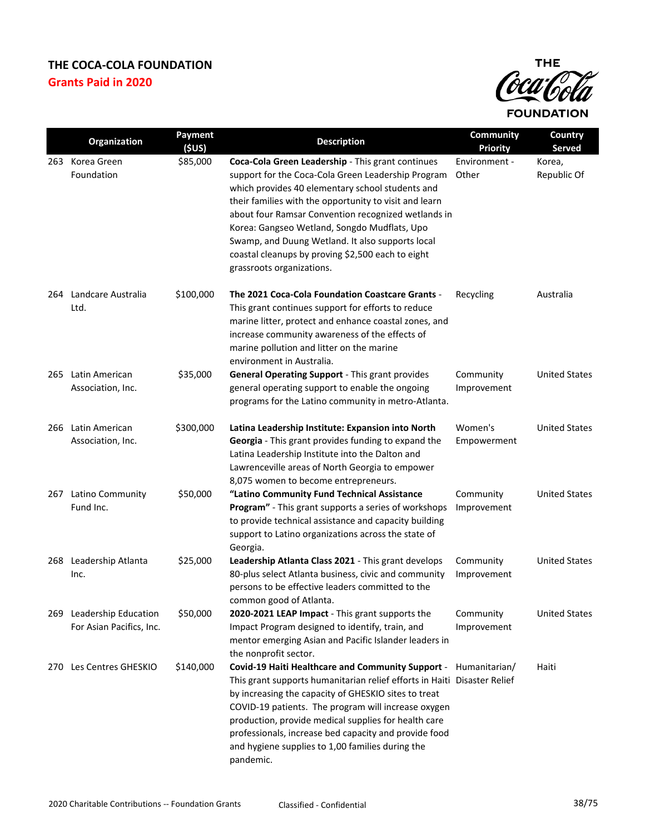

| Organization                                         | Payment<br>(SUS) | <b>Description</b>                                                                                                                                                                                                                                                                                                                                                                                                                                                 | Community<br><b>Priority</b> | Country<br>Served     |
|------------------------------------------------------|------------------|--------------------------------------------------------------------------------------------------------------------------------------------------------------------------------------------------------------------------------------------------------------------------------------------------------------------------------------------------------------------------------------------------------------------------------------------------------------------|------------------------------|-----------------------|
| 263 Korea Green<br>Foundation                        | \$85,000         | Coca-Cola Green Leadership - This grant continues<br>support for the Coca-Cola Green Leadership Program<br>which provides 40 elementary school students and<br>their families with the opportunity to visit and learn<br>about four Ramsar Convention recognized wetlands in<br>Korea: Gangseo Wetland, Songdo Mudflats, Upo<br>Swamp, and Duung Wetland. It also supports local<br>coastal cleanups by proving \$2,500 each to eight<br>grassroots organizations. | Environment -<br>Other       | Korea,<br>Republic Of |
| 264 Landcare Australia<br>Ltd.                       | \$100,000        | The 2021 Coca-Cola Foundation Coastcare Grants -<br>This grant continues support for efforts to reduce<br>marine litter, protect and enhance coastal zones, and<br>increase community awareness of the effects of<br>marine pollution and litter on the marine<br>environment in Australia.                                                                                                                                                                        | Recycling                    | Australia             |
| 265 Latin American<br>Association, Inc.              | \$35,000         | General Operating Support - This grant provides<br>general operating support to enable the ongoing<br>programs for the Latino community in metro-Atlanta.                                                                                                                                                                                                                                                                                                          | Community<br>Improvement     | <b>United States</b>  |
| 266 Latin American<br>Association, Inc.              | \$300,000        | Latina Leadership Institute: Expansion into North<br>Georgia - This grant provides funding to expand the<br>Latina Leadership Institute into the Dalton and<br>Lawrenceville areas of North Georgia to empower<br>8,075 women to become entrepreneurs.                                                                                                                                                                                                             | Women's<br>Empowerment       | <b>United States</b>  |
| 267 Latino Community<br>Fund Inc.                    | \$50,000         | "Latino Community Fund Technical Assistance<br>Program" - This grant supports a series of workshops<br>to provide technical assistance and capacity building<br>support to Latino organizations across the state of<br>Georgia.                                                                                                                                                                                                                                    | Community<br>Improvement     | <b>United States</b>  |
| 268 Leadership Atlanta<br>Inc.                       | \$25,000         | Leadership Atlanta Class 2021 - This grant develops<br>80-plus select Atlanta business, civic and community<br>persons to be effective leaders committed to the<br>common good of Atlanta.                                                                                                                                                                                                                                                                         | Community<br>Improvement     | <b>United States</b>  |
| 269 Leadership Education<br>For Asian Pacifics, Inc. | \$50,000         | 2020-2021 LEAP Impact - This grant supports the<br>Impact Program designed to identify, train, and<br>mentor emerging Asian and Pacific Islander leaders in<br>the nonprofit sector.                                                                                                                                                                                                                                                                               | Community<br>Improvement     | <b>United States</b>  |
| 270 Les Centres GHESKIO                              | \$140,000        | Covid-19 Haiti Healthcare and Community Support - Humanitarian/<br>This grant supports humanitarian relief efforts in Haiti Disaster Relief<br>by increasing the capacity of GHESKIO sites to treat<br>COVID-19 patients. The program will increase oxygen<br>production, provide medical supplies for health care<br>professionals, increase bed capacity and provide food<br>and hygiene supplies to 1,00 families during the<br>pandemic.                       |                              | Haiti                 |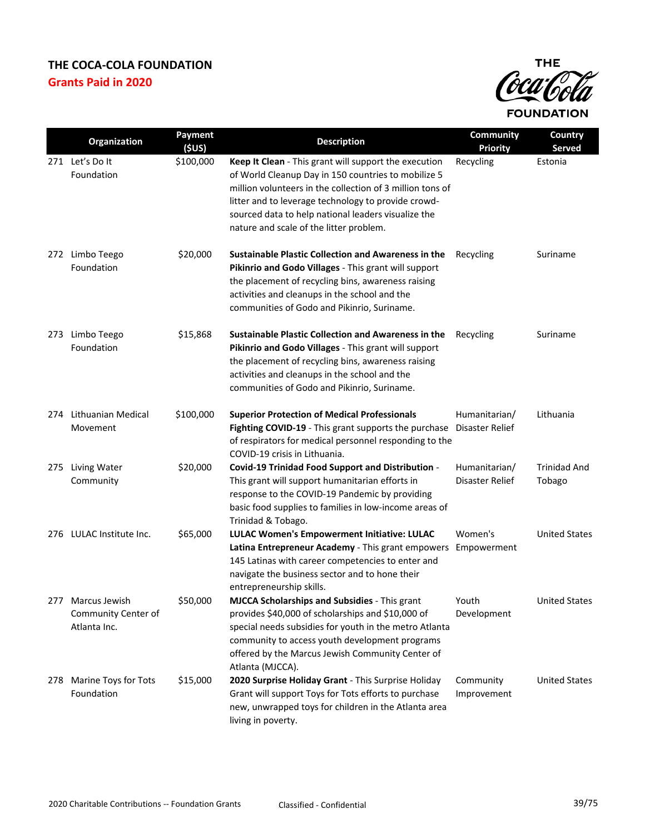

|     | Organization                                             | Payment<br>(\$US) | <b>Description</b>                                                                                                                                                                                                                                                                                                                 | <b>Community</b><br><b>Priority</b> | Country<br>Served             |
|-----|----------------------------------------------------------|-------------------|------------------------------------------------------------------------------------------------------------------------------------------------------------------------------------------------------------------------------------------------------------------------------------------------------------------------------------|-------------------------------------|-------------------------------|
|     | 271 Let's Dolt<br>Foundation                             | \$100,000         | Keep It Clean - This grant will support the execution<br>of World Cleanup Day in 150 countries to mobilize 5<br>million volunteers in the collection of 3 million tons of<br>litter and to leverage technology to provide crowd-<br>sourced data to help national leaders visualize the<br>nature and scale of the litter problem. | Recycling                           | Estonia                       |
|     | 272 Limbo Teego<br>Foundation                            | \$20,000          | <b>Sustainable Plastic Collection and Awareness in the</b><br>Pikinrio and Godo Villages - This grant will support<br>the placement of recycling bins, awareness raising<br>activities and cleanups in the school and the<br>communities of Godo and Pikinrio, Suriname.                                                           | Recycling                           | Suriname                      |
|     | 273 Limbo Teego<br>Foundation                            | \$15,868          | <b>Sustainable Plastic Collection and Awareness in the</b><br>Pikinrio and Godo Villages - This grant will support<br>the placement of recycling bins, awareness raising<br>activities and cleanups in the school and the<br>communities of Godo and Pikinrio, Suriname.                                                           | Recycling                           | Suriname                      |
| 274 | Lithuanian Medical<br>Movement                           | \$100,000         | <b>Superior Protection of Medical Professionals</b><br>Fighting COVID-19 - This grant supports the purchase Disaster Relief<br>of respirators for medical personnel responding to the<br>COVID-19 crisis in Lithuania.                                                                                                             | Humanitarian/                       | Lithuania                     |
| 275 | <b>Living Water</b><br>Community                         | \$20,000          | Covid-19 Trinidad Food Support and Distribution -<br>This grant will support humanitarian efforts in<br>response to the COVID-19 Pandemic by providing<br>basic food supplies to families in low-income areas of<br>Trinidad & Tobago.                                                                                             | Humanitarian/<br>Disaster Relief    | <b>Trinidad And</b><br>Tobago |
|     | 276 LULAC Institute Inc.                                 | \$65,000          | LULAC Women's Empowerment Initiative: LULAC<br>Latina Entrepreneur Academy - This grant empowers<br>145 Latinas with career competencies to enter and<br>navigate the business sector and to hone their<br>entrepreneurship skills.                                                                                                | Women's<br>Empowerment              | <b>United States</b>          |
|     | 277 Marcus Jewish<br>Community Center of<br>Atlanta Inc. | \$50,000          | <b>MJCCA Scholarships and Subsidies - This grant</b><br>provides \$40,000 of scholarships and \$10,000 of<br>special needs subsidies for youth in the metro Atlanta<br>community to access youth development programs<br>offered by the Marcus Jewish Community Center of<br>Atlanta (MJCCA).                                      | Youth<br>Development                | <b>United States</b>          |
| 278 | Marine Toys for Tots<br>Foundation                       | \$15,000          | 2020 Surprise Holiday Grant - This Surprise Holiday<br>Grant will support Toys for Tots efforts to purchase<br>new, unwrapped toys for children in the Atlanta area<br>living in poverty.                                                                                                                                          | Community<br>Improvement            | <b>United States</b>          |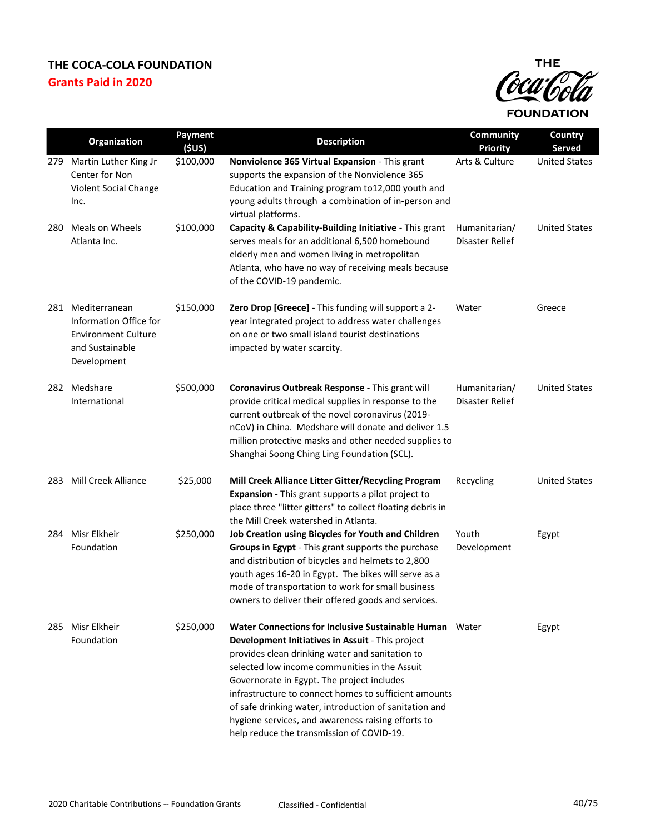

|     | Organization                                                                                            | Payment<br>(SUS) | <b>Description</b>                                                                                                                                                                                                                                                                                                                                                                                                                                                                  | Community<br><b>Priority</b>     | Country<br><b>Served</b> |
|-----|---------------------------------------------------------------------------------------------------------|------------------|-------------------------------------------------------------------------------------------------------------------------------------------------------------------------------------------------------------------------------------------------------------------------------------------------------------------------------------------------------------------------------------------------------------------------------------------------------------------------------------|----------------------------------|--------------------------|
| 279 | Martin Luther King Jr<br>Center for Non<br>Violent Social Change<br>Inc.                                | \$100,000        | Nonviolence 365 Virtual Expansion - This grant<br>supports the expansion of the Nonviolence 365<br>Education and Training program to12,000 youth and<br>young adults through a combination of in-person and<br>virtual platforms.                                                                                                                                                                                                                                                   | Arts & Culture                   | <b>United States</b>     |
| 280 | Meals on Wheels<br>Atlanta Inc.                                                                         | \$100,000        | Capacity & Capability-Building Initiative - This grant<br>serves meals for an additional 6,500 homebound<br>elderly men and women living in metropolitan<br>Atlanta, who have no way of receiving meals because<br>of the COVID-19 pandemic.                                                                                                                                                                                                                                        | Humanitarian/<br>Disaster Relief | <b>United States</b>     |
| 281 | Mediterranean<br>Information Office for<br><b>Environment Culture</b><br>and Sustainable<br>Development | \$150,000        | Zero Drop [Greece] - This funding will support a 2-<br>year integrated project to address water challenges<br>on one or two small island tourist destinations<br>impacted by water scarcity.                                                                                                                                                                                                                                                                                        | Water                            | Greece                   |
|     | 282 Medshare<br>International                                                                           | \$500,000        | Coronavirus Outbreak Response - This grant will<br>provide critical medical supplies in response to the<br>current outbreak of the novel coronavirus (2019-<br>nCoV) in China. Medshare will donate and deliver 1.5<br>million protective masks and other needed supplies to<br>Shanghai Soong Ching Ling Foundation (SCL).                                                                                                                                                         | Humanitarian/<br>Disaster Relief | <b>United States</b>     |
| 283 | Mill Creek Alliance                                                                                     | \$25,000         | Mill Creek Alliance Litter Gitter/Recycling Program<br>Expansion - This grant supports a pilot project to<br>place three "litter gitters" to collect floating debris in<br>the Mill Creek watershed in Atlanta.                                                                                                                                                                                                                                                                     | Recycling                        | <b>United States</b>     |
| 284 | Misr Elkheir<br>Foundation                                                                              | \$250,000        | Job Creation using Bicycles for Youth and Children<br>Groups in Egypt - This grant supports the purchase<br>and distribution of bicycles and helmets to 2,800<br>youth ages 16-20 in Egypt. The bikes will serve as a<br>mode of transportation to work for small business<br>owners to deliver their offered goods and services.                                                                                                                                                   | Youth<br>Development             | Egypt                    |
| 285 | Misr Elkheir<br>Foundation                                                                              | \$250,000        | Water Connections for Inclusive Sustainable Human Water<br>Development Initiatives in Assuit - This project<br>provides clean drinking water and sanitation to<br>selected low income communities in the Assuit<br>Governorate in Egypt. The project includes<br>infrastructure to connect homes to sufficient amounts<br>of safe drinking water, introduction of sanitation and<br>hygiene services, and awareness raising efforts to<br>help reduce the transmission of COVID-19. |                                  | Egypt                    |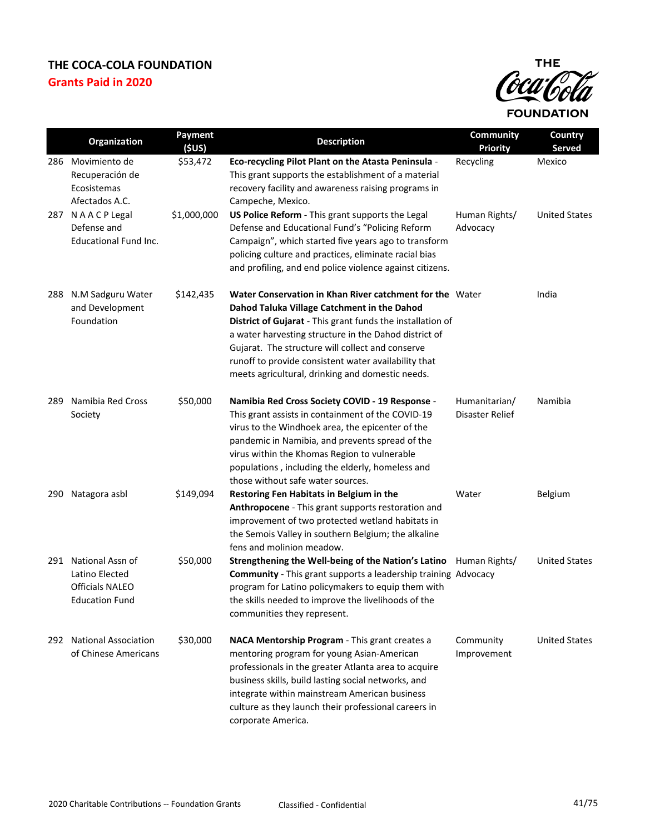

|     | Organization                                                                              | Payment<br>(5US) | <b>Description</b>                                                                                                                                                                                                                                                                                                                                                                             | Community<br><b>Priority</b>     | Country<br><b>Served</b> |
|-----|-------------------------------------------------------------------------------------------|------------------|------------------------------------------------------------------------------------------------------------------------------------------------------------------------------------------------------------------------------------------------------------------------------------------------------------------------------------------------------------------------------------------------|----------------------------------|--------------------------|
| 286 | Movimiento de<br>Recuperación de<br>Ecosistemas<br>Afectados A.C.                         | \$53,472         | Eco-recycling Pilot Plant on the Atasta Peninsula -<br>This grant supports the establishment of a material<br>recovery facility and awareness raising programs in<br>Campeche, Mexico.                                                                                                                                                                                                         | Recycling                        | Mexico                   |
|     | 287 NAACP Legal<br>Defense and<br><b>Educational Fund Inc.</b>                            | \$1,000,000      | US Police Reform - This grant supports the Legal<br>Defense and Educational Fund's "Policing Reform<br>Campaign", which started five years ago to transform<br>policing culture and practices, eliminate racial bias<br>and profiling, and end police violence against citizens.                                                                                                               | Human Rights/<br>Advocacy        | <b>United States</b>     |
| 288 | N.M Sadguru Water<br>and Development<br>Foundation                                        | \$142,435        | Water Conservation in Khan River catchment for the Water<br>Dahod Taluka Village Catchment in the Dahod<br>District of Gujarat - This grant funds the installation of<br>a water harvesting structure in the Dahod district of<br>Gujarat. The structure will collect and conserve<br>runoff to provide consistent water availability that<br>meets agricultural, drinking and domestic needs. |                                  | India                    |
| 289 | Namibia Red Cross<br>Society                                                              | \$50,000         | Namibia Red Cross Society COVID - 19 Response -<br>This grant assists in containment of the COVID-19<br>virus to the Windhoek area, the epicenter of the<br>pandemic in Namibia, and prevents spread of the<br>virus within the Khomas Region to vulnerable<br>populations, including the elderly, homeless and<br>those without safe water sources.                                           | Humanitarian/<br>Disaster Relief | Namibia                  |
|     | 290 Natagora asbl                                                                         | \$149,094        | Restoring Fen Habitats in Belgium in the<br>Anthropocene - This grant supports restoration and<br>improvement of two protected wetland habitats in<br>the Semois Valley in southern Belgium; the alkaline<br>fens and molinion meadow.                                                                                                                                                         | Water                            | Belgium                  |
|     | 291 National Assn of<br>Latino Elected<br><b>Officials NALEO</b><br><b>Education Fund</b> | \$50,000         | Strengthening the Well-being of the Nation's Latino Human Rights/<br><b>Community</b> - This grant supports a leadership training Advocacy<br>program for Latino policymakers to equip them with<br>the skills needed to improve the livelihoods of the<br>communities they represent.                                                                                                         |                                  | <b>United States</b>     |
| 292 | <b>National Association</b><br>of Chinese Americans                                       | \$30,000         | NACA Mentorship Program - This grant creates a<br>mentoring program for young Asian-American<br>professionals in the greater Atlanta area to acquire<br>business skills, build lasting social networks, and<br>integrate within mainstream American business<br>culture as they launch their professional careers in<br>corporate America.                                                     | Community<br>Improvement         | <b>United States</b>     |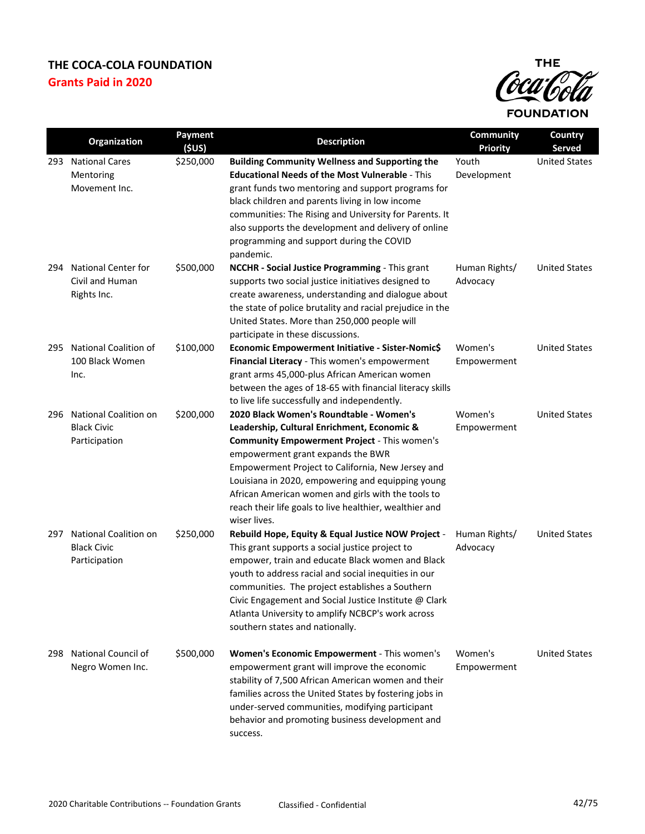

|     | Organization                                                        | <b>Payment</b><br>(SUS) | <b>Description</b>                                                                                                                                                                                                                                                                                                                                                                                                            | Community<br><b>Priority</b> | Country<br>Served    |
|-----|---------------------------------------------------------------------|-------------------------|-------------------------------------------------------------------------------------------------------------------------------------------------------------------------------------------------------------------------------------------------------------------------------------------------------------------------------------------------------------------------------------------------------------------------------|------------------------------|----------------------|
| 293 | <b>National Cares</b><br>Mentoring<br>Movement Inc.                 | \$250,000               | <b>Building Community Wellness and Supporting the</b><br><b>Educational Needs of the Most Vulnerable - This</b><br>grant funds two mentoring and support programs for<br>black children and parents living in low income<br>communities: The Rising and University for Parents. It<br>also supports the development and delivery of online<br>programming and support during the COVID<br>pandemic.                           | Youth<br>Development         | <b>United States</b> |
| 294 | <b>National Center for</b><br>Civil and Human<br>Rights Inc.        | \$500,000               | NCCHR - Social Justice Programming - This grant<br>supports two social justice initiatives designed to<br>create awareness, understanding and dialogue about<br>the state of police brutality and racial prejudice in the<br>United States. More than 250,000 people will<br>participate in these discussions.                                                                                                                | Human Rights/<br>Advocacy    | <b>United States</b> |
| 295 | National Coalition of<br>100 Black Women<br>Inc.                    | \$100,000               | Economic Empowerment Initiative - Sister-Nomic\$<br>Financial Literacy - This women's empowerment<br>grant arms 45,000-plus African American women<br>between the ages of 18-65 with financial literacy skills<br>to live life successfully and independently.                                                                                                                                                                | Women's<br>Empowerment       | <b>United States</b> |
| 296 | National Coalition on<br><b>Black Civic</b><br>Participation        | \$200,000               | 2020 Black Women's Roundtable - Women's<br>Leadership, Cultural Enrichment, Economic &<br><b>Community Empowerment Project - This women's</b><br>empowerment grant expands the BWR<br>Empowerment Project to California, New Jersey and<br>Louisiana in 2020, empowering and equipping young<br>African American women and girls with the tools to<br>reach their life goals to live healthier, wealthier and<br>wiser lives. | Women's<br>Empowerment       | <b>United States</b> |
| 297 | <b>National Coalition on</b><br><b>Black Civic</b><br>Participation | \$250,000               | Rebuild Hope, Equity & Equal Justice NOW Project -<br>This grant supports a social justice project to<br>empower, train and educate Black women and Black<br>youth to address racial and social inequities in our<br>communities. The project establishes a Southern<br>Civic Engagement and Social Justice Institute $\omega$ Clark<br>Atlanta University to amplify NCBCP's work across<br>southern states and nationally.  | Human Rights/<br>Advocacy    | <b>United States</b> |
| 298 | National Council of<br>Negro Women Inc.                             | \$500,000               | Women's Economic Empowerment - This women's<br>empowerment grant will improve the economic<br>stability of 7,500 African American women and their<br>families across the United States by fostering jobs in<br>under-served communities, modifying participant<br>behavior and promoting business development and<br>success.                                                                                                 | Women's<br>Empowerment       | <b>United States</b> |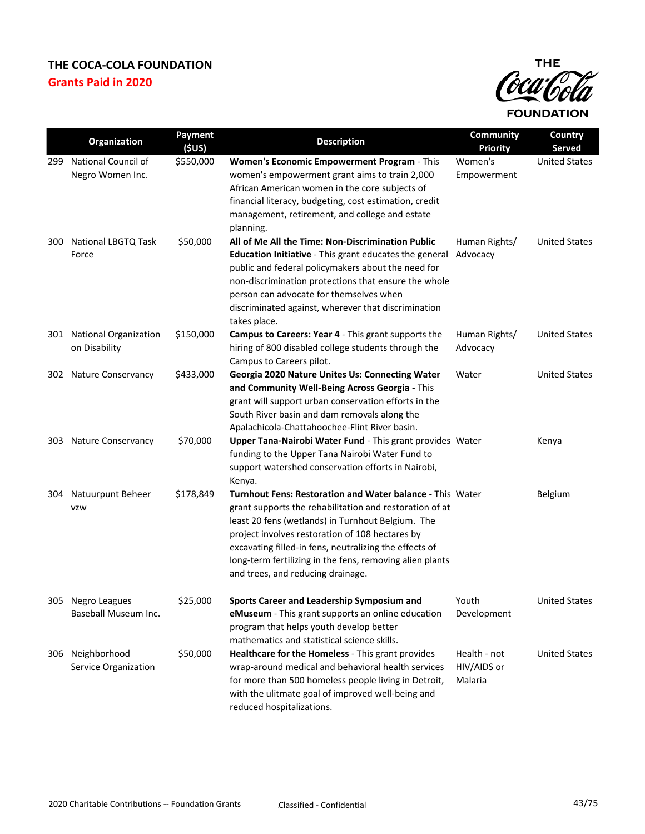

|     | Organization                               | Payment<br>(\$US) | <b>Description</b>                                                                                                                                                                                                                                                                                                                                                                      | <b>Community</b><br><b>Priority</b>    | Country<br><b>Served</b> |
|-----|--------------------------------------------|-------------------|-----------------------------------------------------------------------------------------------------------------------------------------------------------------------------------------------------------------------------------------------------------------------------------------------------------------------------------------------------------------------------------------|----------------------------------------|--------------------------|
| 299 | National Council of<br>Negro Women Inc.    | \$550,000         | Women's Economic Empowerment Program - This<br>women's empowerment grant aims to train 2,000<br>African American women in the core subjects of<br>financial literacy, budgeting, cost estimation, credit<br>management, retirement, and college and estate<br>planning.                                                                                                                 | Women's<br>Empowerment                 | <b>United States</b>     |
| 300 | <b>National LBGTQ Task</b><br>Force        | \$50,000          | All of Me All the Time: Non-Discrimination Public<br>Education Initiative - This grant educates the general<br>public and federal policymakers about the need for<br>non-discrimination protections that ensure the whole<br>person can advocate for themselves when<br>discriminated against, wherever that discrimination<br>takes place.                                             | Human Rights/<br>Advocacy              | <b>United States</b>     |
|     | 301 National Organization<br>on Disability | \$150,000         | <b>Campus to Careers: Year 4 - This grant supports the</b><br>hiring of 800 disabled college students through the<br>Campus to Careers pilot.                                                                                                                                                                                                                                           | Human Rights/<br>Advocacy              | <b>United States</b>     |
|     | 302 Nature Conservancy                     | \$433,000         | Georgia 2020 Nature Unites Us: Connecting Water<br>and Community Well-Being Across Georgia - This<br>grant will support urban conservation efforts in the<br>South River basin and dam removals along the<br>Apalachicola-Chattahoochee-Flint River basin.                                                                                                                              | Water                                  | <b>United States</b>     |
|     | 303 Nature Conservancy                     | \$70,000          | Upper Tana-Nairobi Water Fund - This grant provides Water<br>funding to the Upper Tana Nairobi Water Fund to<br>support watershed conservation efforts in Nairobi,<br>Kenya.                                                                                                                                                                                                            |                                        | Kenya                    |
| 304 | Natuurpunt Beheer<br><b>VZW</b>            | \$178,849         | Turnhout Fens: Restoration and Water balance - This Water<br>grant supports the rehabilitation and restoration of at<br>least 20 fens (wetlands) in Turnhout Belgium. The<br>project involves restoration of 108 hectares by<br>excavating filled-in fens, neutralizing the effects of<br>long-term fertilizing in the fens, removing alien plants<br>and trees, and reducing drainage. |                                        | <b>Belgium</b>           |
|     | 305 Negro Leagues<br>Baseball Museum Inc.  | \$25,000          | Sports Career and Leadership Symposium and<br>eMuseum - This grant supports an online education<br>program that helps youth develop better<br>mathematics and statistical science skills.                                                                                                                                                                                               | Youth<br>Development                   | <b>United States</b>     |
| 306 | Neighborhood<br>Service Organization       | \$50,000          | Healthcare for the Homeless - This grant provides<br>wrap-around medical and behavioral health services<br>for more than 500 homeless people living in Detroit,<br>with the ulitmate goal of improved well-being and<br>reduced hospitalizations.                                                                                                                                       | Health - not<br>HIV/AIDS or<br>Malaria | <b>United States</b>     |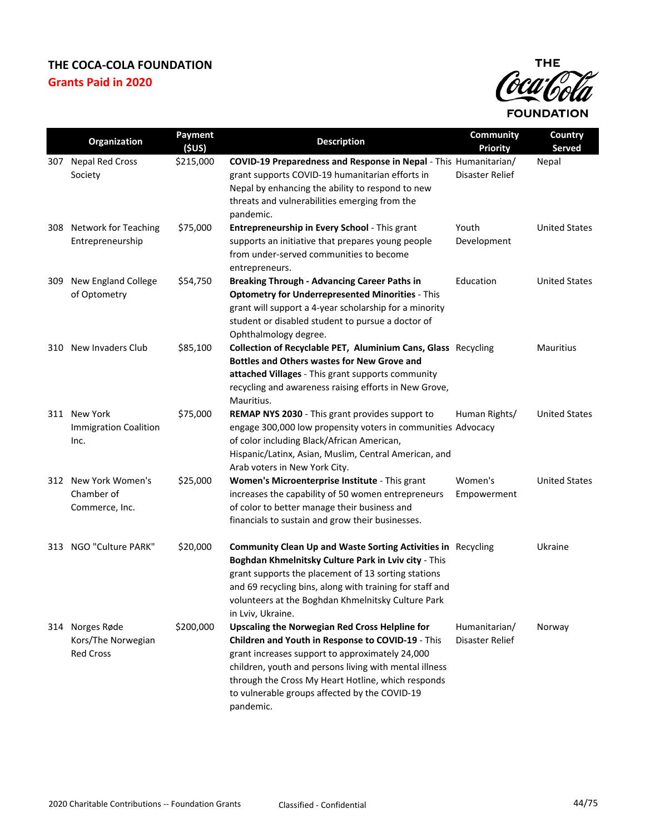

|     | Organization                                          | Payment<br>(SUS) | <b>Description</b>                                                                                                                                                                                                                                                                                                                          | Community<br><b>Priority</b>     | Country<br><b>Served</b> |
|-----|-------------------------------------------------------|------------------|---------------------------------------------------------------------------------------------------------------------------------------------------------------------------------------------------------------------------------------------------------------------------------------------------------------------------------------------|----------------------------------|--------------------------|
| 307 | <b>Nepal Red Cross</b><br>Society                     | \$215,000        | COVID-19 Preparedness and Response in Nepal - This Humanitarian/<br>grant supports COVID-19 humanitarian efforts in<br>Nepal by enhancing the ability to respond to new<br>threats and vulnerabilities emerging from the<br>pandemic.                                                                                                       | Disaster Relief                  | Nepal                    |
|     | 308 Network for Teaching<br>Entrepreneurship          | \$75,000         | Entrepreneurship in Every School - This grant<br>supports an initiative that prepares young people<br>from under-served communities to become<br>entrepreneurs.                                                                                                                                                                             | Youth<br>Development             | <b>United States</b>     |
| 309 | New England College<br>of Optometry                   | \$54,750         | <b>Breaking Through - Advancing Career Paths in</b><br><b>Optometry for Underrepresented Minorities - This</b><br>grant will support a 4-year scholarship for a minority<br>student or disabled student to pursue a doctor of<br>Ophthalmology degree.                                                                                      | Education                        | <b>United States</b>     |
|     | 310 New Invaders Club                                 | \$85,100         | Collection of Recyclable PET, Aluminium Cans, Glass Recycling<br><b>Bottles and Others wastes for New Grove and</b><br>attached Villages - This grant supports community<br>recycling and awareness raising efforts in New Grove,<br>Mauritius.                                                                                             |                                  | <b>Mauritius</b>         |
|     | 311 New York<br><b>Immigration Coalition</b><br>Inc.  | \$75,000         | REMAP NYS 2030 - This grant provides support to<br>engage 300,000 low propensity voters in communities Advocacy<br>of color including Black/African American,<br>Hispanic/Latinx, Asian, Muslim, Central American, and<br>Arab voters in New York City.                                                                                     | Human Rights/                    | <b>United States</b>     |
|     | 312 New York Women's<br>Chamber of<br>Commerce, Inc.  | \$25,000         | Women's Microenterprise Institute - This grant<br>increases the capability of 50 women entrepreneurs<br>of color to better manage their business and<br>financials to sustain and grow their businesses.                                                                                                                                    | Women's<br>Empowerment           | <b>United States</b>     |
| 313 | NGO "Culture PARK"                                    | \$20,000         | <b>Community Clean Up and Waste Sorting Activities in Recycling</b><br>Boghdan Khmelnitsky Culture Park in Lviv city - This<br>grant supports the placement of 13 sorting stations<br>and 69 recycling bins, along with training for staff and<br>volunteers at the Boghdan Khmelnitsky Culture Park<br>in Lviv, Ukraine.                   |                                  | Ukraine                  |
| 314 | Norges Røde<br>Kors/The Norwegian<br><b>Red Cross</b> | \$200,000        | <b>Upscaling the Norwegian Red Cross Helpline for</b><br>Children and Youth in Response to COVID-19 - This<br>grant increases support to approximately 24,000<br>children, youth and persons living with mental illness<br>through the Cross My Heart Hotline, which responds<br>to vulnerable groups affected by the COVID-19<br>pandemic. | Humanitarian/<br>Disaster Relief | Norway                   |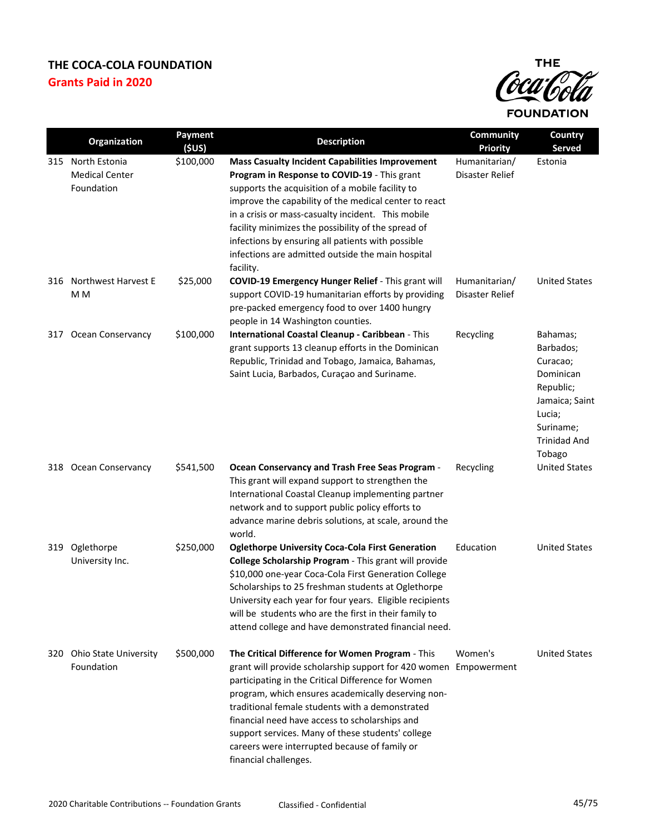

|     | Organization                                             | Payment<br>(SUS) | <b>Description</b>                                                                                                                                                                                                                                                                                                                                                                                                                                                   | Community<br><b>Priority</b>     | Country<br><b>Served</b>                                                                                                              |
|-----|----------------------------------------------------------|------------------|----------------------------------------------------------------------------------------------------------------------------------------------------------------------------------------------------------------------------------------------------------------------------------------------------------------------------------------------------------------------------------------------------------------------------------------------------------------------|----------------------------------|---------------------------------------------------------------------------------------------------------------------------------------|
|     | 315 North Estonia<br><b>Medical Center</b><br>Foundation | \$100,000        | <b>Mass Casualty Incident Capabilities Improvement</b><br>Program in Response to COVID-19 - This grant<br>supports the acquisition of a mobile facility to<br>improve the capability of the medical center to react<br>in a crisis or mass-casualty incident. This mobile<br>facility minimizes the possibility of the spread of<br>infections by ensuring all patients with possible<br>infections are admitted outside the main hospital<br>facility.              | Humanitarian/<br>Disaster Relief | Estonia                                                                                                                               |
| 316 | Northwest Harvest E<br>M M                               | \$25,000         | COVID-19 Emergency Hunger Relief - This grant will<br>support COVID-19 humanitarian efforts by providing<br>pre-packed emergency food to over 1400 hungry<br>people in 14 Washington counties.                                                                                                                                                                                                                                                                       | Humanitarian/<br>Disaster Relief | <b>United States</b>                                                                                                                  |
| 317 | <b>Ocean Conservancy</b>                                 | \$100,000        | International Coastal Cleanup - Caribbean - This<br>grant supports 13 cleanup efforts in the Dominican<br>Republic, Trinidad and Tobago, Jamaica, Bahamas,<br>Saint Lucia, Barbados, Curaçao and Suriname.                                                                                                                                                                                                                                                           | Recycling                        | Bahamas;<br>Barbados;<br>Curacao;<br>Dominican<br>Republic;<br>Jamaica; Saint<br>Lucia;<br>Suriname;<br><b>Trinidad And</b><br>Tobago |
|     | 318 Ocean Conservancy                                    | \$541,500        | Ocean Conservancy and Trash Free Seas Program -<br>This grant will expand support to strengthen the<br>International Coastal Cleanup implementing partner<br>network and to support public policy efforts to<br>advance marine debris solutions, at scale, around the<br>world.                                                                                                                                                                                      | Recycling                        | <b>United States</b>                                                                                                                  |
| 319 | Oglethorpe<br>University Inc.                            | \$250,000        | <b>Oglethorpe University Coca-Cola First Generation</b><br>College Scholarship Program - This grant will provide<br>\$10,000 one-year Coca-Cola First Generation College<br>Scholarships to 25 freshman students at Oglethorpe<br>University each year for four years. Eligible recipients<br>will be students who are the first in their family to<br>attend college and have demonstrated financial need.                                                          | Education                        | <b>United States</b>                                                                                                                  |
|     | 320 Ohio State University<br>Foundation                  | \$500,000        | The Critical Difference for Women Program - This<br>grant will provide scholarship support for 420 women Empowerment<br>participating in the Critical Difference for Women<br>program, which ensures academically deserving non-<br>traditional female students with a demonstrated<br>financial need have access to scholarships and<br>support services. Many of these students' college<br>careers were interrupted because of family or<br>financial challenges. | Women's                          | <b>United States</b>                                                                                                                  |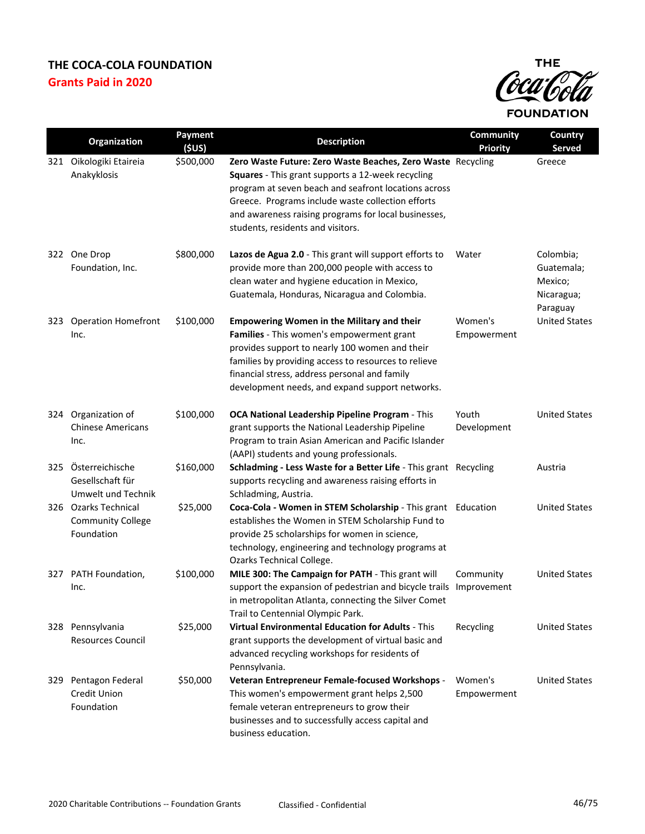

|     | Organization                                                   | Payment<br>(SUS) | <b>Description</b>                                                                                                                                                                                                                                                                                                         | <b>Community</b><br><b>Priority</b> | Country<br>Served                                            |
|-----|----------------------------------------------------------------|------------------|----------------------------------------------------------------------------------------------------------------------------------------------------------------------------------------------------------------------------------------------------------------------------------------------------------------------------|-------------------------------------|--------------------------------------------------------------|
| 321 | Oikologiki Etaireia<br>Anakyklosis                             | \$500,000        | Zero Waste Future: Zero Waste Beaches, Zero Waste Recycling<br>Squares - This grant supports a 12-week recycling<br>program at seven beach and seafront locations across<br>Greece. Programs include waste collection efforts<br>and awareness raising programs for local businesses,<br>students, residents and visitors. |                                     | Greece                                                       |
| 322 | One Drop<br>Foundation, Inc.                                   | \$800,000        | Lazos de Agua 2.0 - This grant will support efforts to<br>provide more than 200,000 people with access to<br>clean water and hygiene education in Mexico,<br>Guatemala, Honduras, Nicaragua and Colombia.                                                                                                                  | Water                               | Colombia;<br>Guatemala;<br>Mexico;<br>Nicaragua;<br>Paraguay |
| 323 | <b>Operation Homefront</b><br>Inc.                             | \$100,000        | <b>Empowering Women in the Military and their</b><br>Families - This women's empowerment grant<br>provides support to nearly 100 women and their<br>families by providing access to resources to relieve<br>financial stress, address personal and family<br>development needs, and expand support networks.               | Women's<br>Empowerment              | <b>United States</b>                                         |
| 324 | Organization of<br><b>Chinese Americans</b><br>Inc.            | \$100,000        | OCA National Leadership Pipeline Program - This<br>grant supports the National Leadership Pipeline<br>Program to train Asian American and Pacific Islander<br>(AAPI) students and young professionals.                                                                                                                     | Youth<br>Development                | <b>United States</b>                                         |
| 325 | Österreichische<br>Gesellschaft für<br>Umwelt und Technik      | \$160,000        | Schladming - Less Waste for a Better Life - This grant Recycling<br>supports recycling and awareness raising efforts in<br>Schladming, Austria.                                                                                                                                                                            |                                     | Austria                                                      |
|     | 326 Ozarks Technical<br><b>Community College</b><br>Foundation | \$25,000         | Coca-Cola - Women in STEM Scholarship - This grant Education<br>establishes the Women in STEM Scholarship Fund to<br>provide 25 scholarships for women in science,<br>technology, engineering and technology programs at<br>Ozarks Technical College.                                                                      |                                     | <b>United States</b>                                         |
|     | 327 PATH Foundation,<br>Inc.                                   | \$100,000        | MILE 300: The Campaign for PATH - This grant will<br>support the expansion of pedestrian and bicycle trails Improvement<br>in metropolitan Atlanta, connecting the Silver Comet<br>Trail to Centennial Olympic Park.                                                                                                       | Community                           | <b>United States</b>                                         |
|     | 328 Pennsylvania<br><b>Resources Council</b>                   | \$25,000         | Virtual Environmental Education for Adults - This<br>grant supports the development of virtual basic and<br>advanced recycling workshops for residents of<br>Pennsylvania.                                                                                                                                                 | Recycling                           | <b>United States</b>                                         |
| 329 | Pentagon Federal<br><b>Credit Union</b><br>Foundation          | \$50,000         | Veteran Entrepreneur Female-focused Workshops -<br>This women's empowerment grant helps 2,500<br>female veteran entrepreneurs to grow their<br>businesses and to successfully access capital and<br>business education.                                                                                                    | Women's<br>Empowerment              | <b>United States</b>                                         |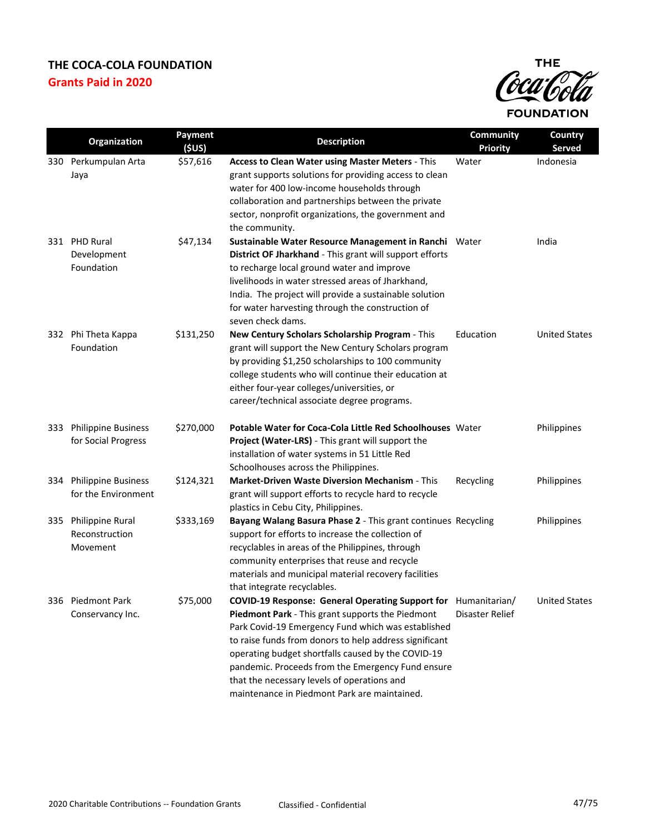

|     | <b>Organization</b>                               | Payment<br>(\$US) | <b>Description</b>                                                                                                                                                                                                                                                                                                                                                                                                                           | Community<br><b>Priority</b> | Country<br>Served    |
|-----|---------------------------------------------------|-------------------|----------------------------------------------------------------------------------------------------------------------------------------------------------------------------------------------------------------------------------------------------------------------------------------------------------------------------------------------------------------------------------------------------------------------------------------------|------------------------------|----------------------|
|     | 330 Perkumpulan Arta<br>Jaya                      | \$57,616          | Access to Clean Water using Master Meters - This<br>grant supports solutions for providing access to clean<br>water for 400 low-income households through<br>collaboration and partnerships between the private<br>sector, nonprofit organizations, the government and<br>the community.                                                                                                                                                     | Water                        | Indonesia            |
|     | 331 PHD Rural<br>Development<br>Foundation        | \$47,134          | Sustainable Water Resource Management in Ranchi Water<br>District OF Jharkhand - This grant will support efforts<br>to recharge local ground water and improve<br>livelihoods in water stressed areas of Jharkhand,<br>India. The project will provide a sustainable solution<br>for water harvesting through the construction of<br>seven check dams.                                                                                       |                              | India                |
|     | 332 Phi Theta Kappa<br>Foundation                 | \$131,250         | New Century Scholars Scholarship Program - This<br>grant will support the New Century Scholars program<br>by providing \$1,250 scholarships to 100 community<br>college students who will continue their education at<br>either four-year colleges/universities, or<br>career/technical associate degree programs.                                                                                                                           | Education                    | <b>United States</b> |
| 333 | <b>Philippine Business</b><br>for Social Progress | \$270,000         | Potable Water for Coca-Cola Little Red Schoolhouses Water<br>Project (Water-LRS) - This grant will support the<br>installation of water systems in 51 Little Red<br>Schoolhouses across the Philippines.                                                                                                                                                                                                                                     |                              | Philippines          |
| 334 | <b>Philippine Business</b><br>for the Environment | \$124,321         | Market-Driven Waste Diversion Mechanism - This<br>grant will support efforts to recycle hard to recycle<br>plastics in Cebu City, Philippines.                                                                                                                                                                                                                                                                                               | Recycling                    | Philippines          |
| 335 | Philippine Rural<br>Reconstruction<br>Movement    | \$333,169         | Bayang Walang Basura Phase 2 - This grant continues Recycling<br>support for efforts to increase the collection of<br>recyclables in areas of the Philippines, through<br>community enterprises that reuse and recycle<br>materials and municipal material recovery facilities<br>that integrate recyclables.                                                                                                                                |                              | Philippines          |
|     | 336 Piedmont Park<br>Conservancy Inc.             | \$75,000          | COVID-19 Response: General Operating Support for Humanitarian/<br>Piedmont Park - This grant supports the Piedmont<br>Park Covid-19 Emergency Fund which was established<br>to raise funds from donors to help address significant<br>operating budget shortfalls caused by the COVID-19<br>pandemic. Proceeds from the Emergency Fund ensure<br>that the necessary levels of operations and<br>maintenance in Piedmont Park are maintained. | Disaster Relief              | <b>United States</b> |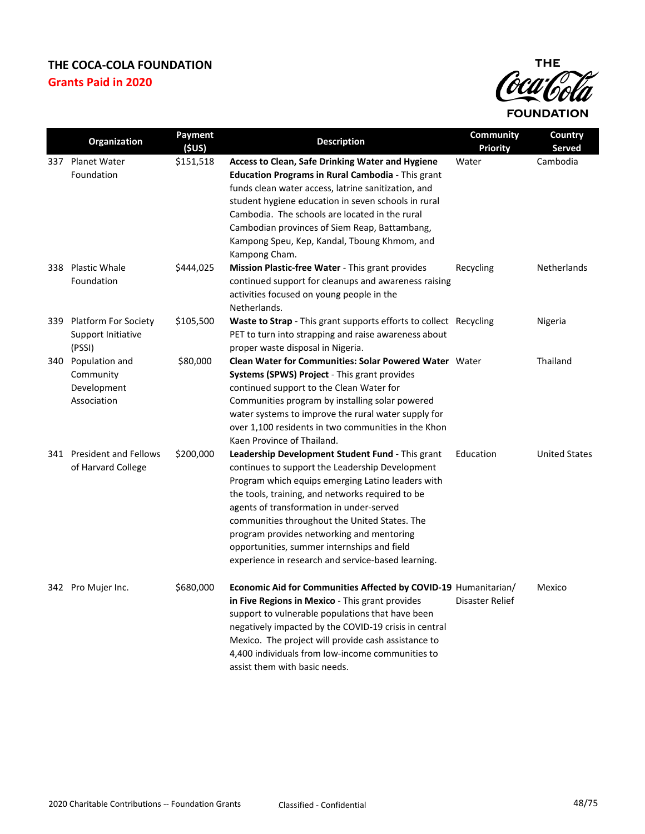

|     | Organization                                                  | Payment<br>(SUS) | <b>Description</b>                                                                                                                                                                                                                                                                                                                                                                                                                                          | Community<br><b>Priority</b> | Country<br>Served    |
|-----|---------------------------------------------------------------|------------------|-------------------------------------------------------------------------------------------------------------------------------------------------------------------------------------------------------------------------------------------------------------------------------------------------------------------------------------------------------------------------------------------------------------------------------------------------------------|------------------------------|----------------------|
| 337 | <b>Planet Water</b><br>Foundation                             | \$151,518        | Access to Clean, Safe Drinking Water and Hygiene<br><b>Education Programs in Rural Cambodia - This grant</b><br>funds clean water access, latrine sanitization, and<br>student hygiene education in seven schools in rural<br>Cambodia. The schools are located in the rural<br>Cambodian provinces of Siem Reap, Battambang,<br>Kampong Speu, Kep, Kandal, Tboung Khmom, and<br>Kampong Cham.                                                              | Water                        | Cambodia             |
|     | 338 Plastic Whale<br>Foundation                               | \$444,025        | Mission Plastic-free Water - This grant provides<br>continued support for cleanups and awareness raising<br>activities focused on young people in the<br>Netherlands.                                                                                                                                                                                                                                                                                       | Recycling                    | Netherlands          |
| 339 | <b>Platform For Society</b><br>Support Initiative<br>(PSSI)   | \$105,500        | <b>Waste to Strap</b> - This grant supports efforts to collect Recycling<br>PET to turn into strapping and raise awareness about<br>proper waste disposal in Nigeria.                                                                                                                                                                                                                                                                                       |                              | Nigeria              |
|     | 340 Population and<br>Community<br>Development<br>Association | \$80,000         | <b>Clean Water for Communities: Solar Powered Water</b> Water<br>Systems (SPWS) Project - This grant provides<br>continued support to the Clean Water for<br>Communities program by installing solar powered<br>water systems to improve the rural water supply for<br>over 1,100 residents in two communities in the Khon<br>Kaen Province of Thailand.                                                                                                    |                              | Thailand             |
|     | 341 President and Fellows<br>of Harvard College               | \$200,000        | Leadership Development Student Fund - This grant<br>continues to support the Leadership Development<br>Program which equips emerging Latino leaders with<br>the tools, training, and networks required to be<br>agents of transformation in under-served<br>communities throughout the United States. The<br>program provides networking and mentoring<br>opportunities, summer internships and field<br>experience in research and service-based learning. | Education                    | <b>United States</b> |
|     | 342 Pro Mujer Inc.                                            | \$680,000        | Economic Aid for Communities Affected by COVID-19 Humanitarian/<br>in Five Regions in Mexico - This grant provides<br>support to vulnerable populations that have been<br>negatively impacted by the COVID-19 crisis in central<br>Mexico. The project will provide cash assistance to<br>4,400 individuals from low-income communities to<br>assist them with basic needs.                                                                                 | Disaster Relief              | Mexico               |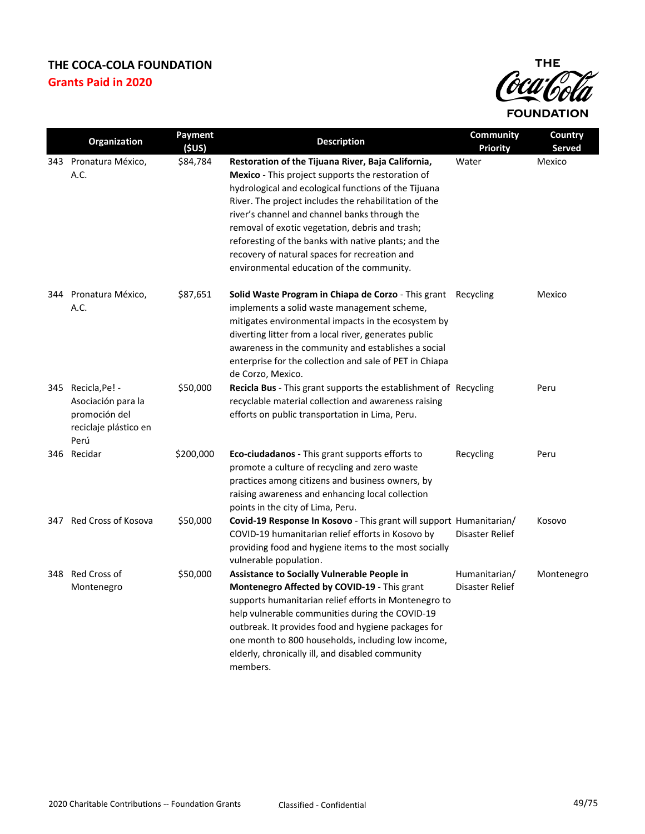

|     | Organization                                                                               | <b>Payment</b><br>(5US) | <b>Description</b>                                                                                                                                                                                                                                                                                                                                                                                                                                                                 | Community<br><b>Priority</b>     | Country<br>Served |
|-----|--------------------------------------------------------------------------------------------|-------------------------|------------------------------------------------------------------------------------------------------------------------------------------------------------------------------------------------------------------------------------------------------------------------------------------------------------------------------------------------------------------------------------------------------------------------------------------------------------------------------------|----------------------------------|-------------------|
|     | 343 Pronatura México,<br>A.C.                                                              | \$84,784                | Restoration of the Tijuana River, Baja California,<br>Mexico - This project supports the restoration of<br>hydrological and ecological functions of the Tijuana<br>River. The project includes the rehabilitation of the<br>river's channel and channel banks through the<br>removal of exotic vegetation, debris and trash;<br>reforesting of the banks with native plants; and the<br>recovery of natural spaces for recreation and<br>environmental education of the community. | Water                            | Mexico            |
|     | 344 Pronatura México,<br>A.C.                                                              | \$87,651                | Solid Waste Program in Chiapa de Corzo - This grant Recycling<br>implements a solid waste management scheme,<br>mitigates environmental impacts in the ecosystem by<br>diverting litter from a local river, generates public<br>awareness in the community and establishes a social<br>enterprise for the collection and sale of PET in Chiapa<br>de Corzo, Mexico.                                                                                                                |                                  | Mexico            |
|     | 345 Recicla, Pe! -<br>Asociación para la<br>promoción del<br>reciclaje plástico en<br>Perú | \$50,000                | Recicla Bus - This grant supports the establishment of Recycling<br>recyclable material collection and awareness raising<br>efforts on public transportation in Lima, Peru.                                                                                                                                                                                                                                                                                                        |                                  | Peru              |
|     | 346 Recidar                                                                                | \$200,000               | <b>Eco-ciudadanos</b> - This grant supports efforts to<br>promote a culture of recycling and zero waste<br>practices among citizens and business owners, by<br>raising awareness and enhancing local collection<br>points in the city of Lima, Peru.                                                                                                                                                                                                                               | Recycling                        | Peru              |
| 347 | Red Cross of Kosova                                                                        | \$50,000                | Covid-19 Response In Kosovo - This grant will support Humanitarian/<br>COVID-19 humanitarian relief efforts in Kosovo by<br>providing food and hygiene items to the most socially<br>vulnerable population.                                                                                                                                                                                                                                                                        | Disaster Relief                  | Kosovo            |
| 348 | Red Cross of<br>Montenegro                                                                 | \$50,000                | <b>Assistance to Socially Vulnerable People in</b><br>Montenegro Affected by COVID-19 - This grant<br>supports humanitarian relief efforts in Montenegro to<br>help vulnerable communities during the COVID-19<br>outbreak. It provides food and hygiene packages for<br>one month to 800 households, including low income,<br>elderly, chronically ill, and disabled community<br>members.                                                                                        | Humanitarian/<br>Disaster Relief | Montenegro        |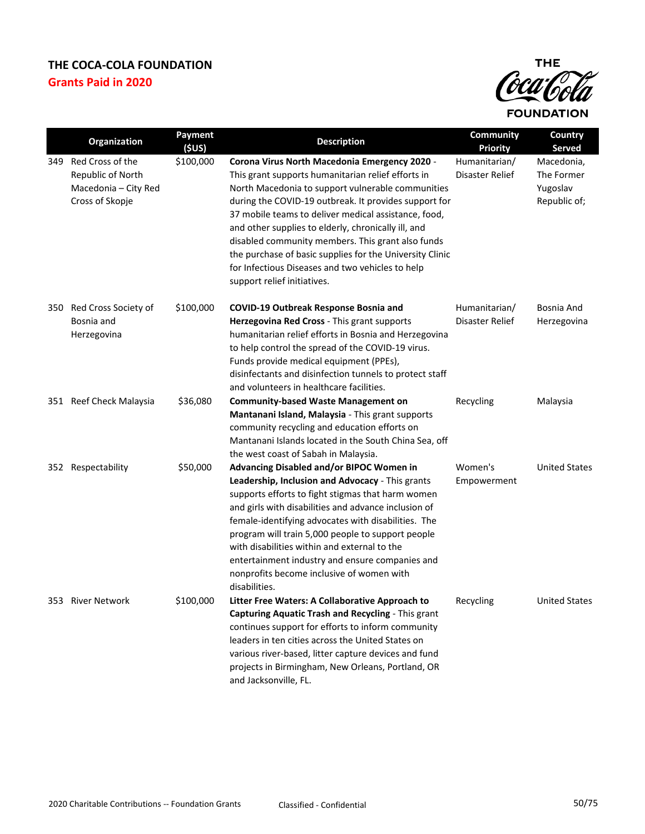

|     | Organization                                                                     | Payment<br>(SUS) | <b>Description</b>                                                                                                                                                                                                                                                                                                                                                                                                                                                                                                                   | Community<br><b>Priority</b>     | Country<br>Served                                    |
|-----|----------------------------------------------------------------------------------|------------------|--------------------------------------------------------------------------------------------------------------------------------------------------------------------------------------------------------------------------------------------------------------------------------------------------------------------------------------------------------------------------------------------------------------------------------------------------------------------------------------------------------------------------------------|----------------------------------|------------------------------------------------------|
| 349 | Red Cross of the<br>Republic of North<br>Macedonia - City Red<br>Cross of Skopje | \$100,000        | Corona Virus North Macedonia Emergency 2020 -<br>This grant supports humanitarian relief efforts in<br>North Macedonia to support vulnerable communities<br>during the COVID-19 outbreak. It provides support for<br>37 mobile teams to deliver medical assistance, food,<br>and other supplies to elderly, chronically ill, and<br>disabled community members. This grant also funds<br>the purchase of basic supplies for the University Clinic<br>for Infectious Diseases and two vehicles to help<br>support relief initiatives. | Humanitarian/<br>Disaster Relief | Macedonia,<br>The Former<br>Yugoslav<br>Republic of; |
|     | 350 Red Cross Society of<br>Bosnia and<br>Herzegovina                            | \$100,000        | <b>COVID-19 Outbreak Response Bosnia and</b><br>Herzegovina Red Cross - This grant supports<br>humanitarian relief efforts in Bosnia and Herzegovina<br>to help control the spread of the COVID-19 virus.<br>Funds provide medical equipment (PPEs),<br>disinfectants and disinfection tunnels to protect staff<br>and volunteers in healthcare facilities.                                                                                                                                                                          | Humanitarian/<br>Disaster Relief | Bosnia And<br>Herzegovina                            |
|     | 351 Reef Check Malaysia                                                          | \$36,080         | <b>Community-based Waste Management on</b><br>Mantanani Island, Malaysia - This grant supports<br>community recycling and education efforts on<br>Mantanani Islands located in the South China Sea, off<br>the west coast of Sabah in Malaysia.                                                                                                                                                                                                                                                                                      | Recycling                        | Malaysia                                             |
| 352 | Respectability                                                                   | \$50,000         | Advancing Disabled and/or BIPOC Women in<br>Leadership, Inclusion and Advocacy - This grants<br>supports efforts to fight stigmas that harm women<br>and girls with disabilities and advance inclusion of<br>female-identifying advocates with disabilities. The<br>program will train 5,000 people to support people<br>with disabilities within and external to the<br>entertainment industry and ensure companies and<br>nonprofits become inclusive of women with<br>disabilities.                                               | Women's<br>Empowerment           | <b>United States</b>                                 |
|     | 353 River Network                                                                | \$100,000        | Litter Free Waters: A Collaborative Approach to<br>Capturing Aquatic Trash and Recycling - This grant<br>continues support for efforts to inform community<br>leaders in ten cities across the United States on<br>various river-based, litter capture devices and fund<br>projects in Birmingham, New Orleans, Portland, OR<br>and Jacksonville, FL.                                                                                                                                                                                | Recycling                        | <b>United States</b>                                 |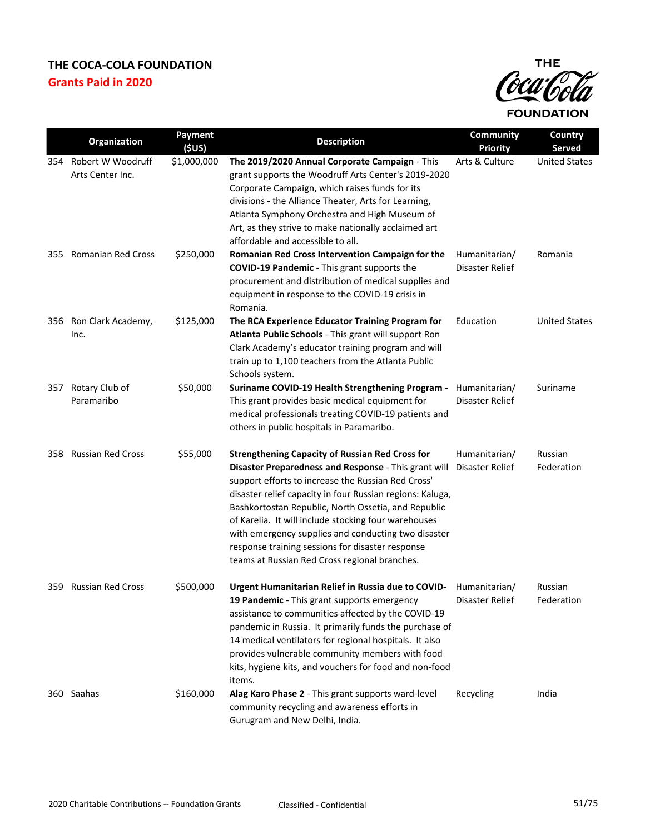

|     | Organization                          | Payment<br>(5US) | <b>Description</b>                                                                                                                                                                                                                                                                                                                                                                                                                                                                                           | <b>Community</b><br><b>Priority</b> | Country<br><b>Served</b> |
|-----|---------------------------------------|------------------|--------------------------------------------------------------------------------------------------------------------------------------------------------------------------------------------------------------------------------------------------------------------------------------------------------------------------------------------------------------------------------------------------------------------------------------------------------------------------------------------------------------|-------------------------------------|--------------------------|
| 354 | Robert W Woodruff<br>Arts Center Inc. | \$1,000,000      | The 2019/2020 Annual Corporate Campaign - This<br>grant supports the Woodruff Arts Center's 2019-2020<br>Corporate Campaign, which raises funds for its<br>divisions - the Alliance Theater, Arts for Learning,<br>Atlanta Symphony Orchestra and High Museum of<br>Art, as they strive to make nationally acclaimed art<br>affordable and accessible to all.                                                                                                                                                | Arts & Culture                      | <b>United States</b>     |
| 355 | <b>Romanian Red Cross</b>             | \$250,000        | Romanian Red Cross Intervention Campaign for the<br><b>COVID-19 Pandemic</b> - This grant supports the<br>procurement and distribution of medical supplies and<br>equipment in response to the COVID-19 crisis in<br>Romania.                                                                                                                                                                                                                                                                                | Humanitarian/<br>Disaster Relief    | Romania                  |
|     | 356 Ron Clark Academy,<br>Inc.        | \$125,000        | The RCA Experience Educator Training Program for<br>Atlanta Public Schools - This grant will support Ron<br>Clark Academy's educator training program and will<br>train up to 1,100 teachers from the Atlanta Public<br>Schools system.                                                                                                                                                                                                                                                                      | Education                           | <b>United States</b>     |
| 357 | Rotary Club of<br>Paramaribo          | \$50,000         | Suriname COVID-19 Health Strengthening Program -<br>This grant provides basic medical equipment for<br>medical professionals treating COVID-19 patients and<br>others in public hospitals in Paramaribo.                                                                                                                                                                                                                                                                                                     | Humanitarian/<br>Disaster Relief    | Suriname                 |
| 358 | <b>Russian Red Cross</b>              | \$55,000         | <b>Strengthening Capacity of Russian Red Cross for</b><br>Disaster Preparedness and Response - This grant will<br>support efforts to increase the Russian Red Cross'<br>disaster relief capacity in four Russian regions: Kaluga,<br>Bashkortostan Republic, North Ossetia, and Republic<br>of Karelia. It will include stocking four warehouses<br>with emergency supplies and conducting two disaster<br>response training sessions for disaster response<br>teams at Russian Red Cross regional branches. | Humanitarian/<br>Disaster Relief    | Russian<br>Federation    |
|     | 359 Russian Red Cross                 | \$500,000        | Urgent Humanitarian Relief in Russia due to COVID- Humanitarian/<br>19 Pandemic - This grant supports emergency<br>assistance to communities affected by the COVID-19<br>pandemic in Russia. It primarily funds the purchase of<br>14 medical ventilators for regional hospitals. It also<br>provides vulnerable community members with food<br>kits, hygiene kits, and vouchers for food and non-food<br>items.                                                                                             | Disaster Relief                     | Russian<br>Federation    |
|     | 360 Saahas                            | \$160,000        | Alag Karo Phase 2 - This grant supports ward-level<br>community recycling and awareness efforts in<br>Gurugram and New Delhi, India.                                                                                                                                                                                                                                                                                                                                                                         | Recycling                           | India                    |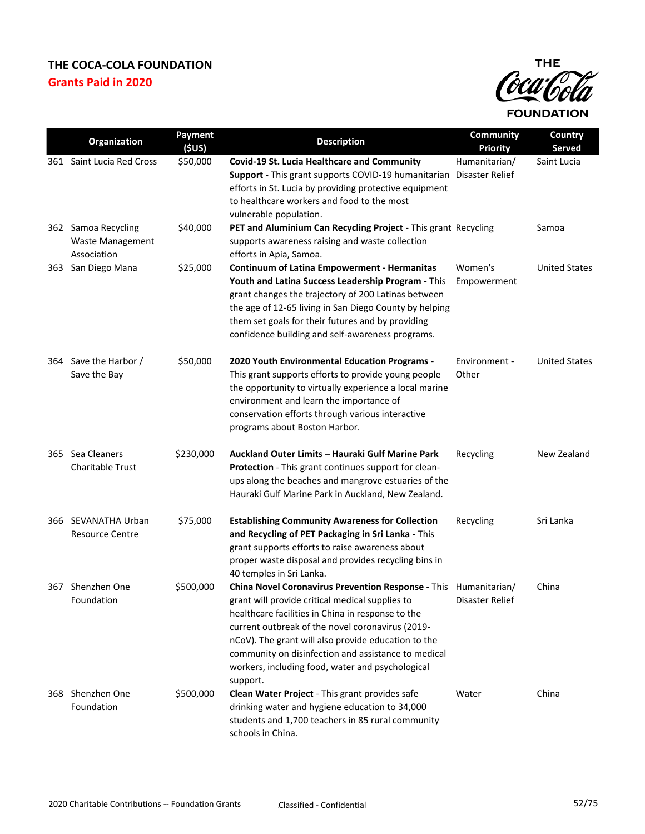

|     | Organization                                                  | Payment<br>(5US) | <b>Description</b>                                                                                                                                                                                                                                                                                                                                                                                         | <b>Community</b><br><b>Priority</b> | Country<br>Served    |
|-----|---------------------------------------------------------------|------------------|------------------------------------------------------------------------------------------------------------------------------------------------------------------------------------------------------------------------------------------------------------------------------------------------------------------------------------------------------------------------------------------------------------|-------------------------------------|----------------------|
|     | 361 Saint Lucia Red Cross                                     | \$50,000         | Covid-19 St. Lucia Healthcare and Community<br>Support - This grant supports COVID-19 humanitarian Disaster Relief<br>efforts in St. Lucia by providing protective equipment<br>to healthcare workers and food to the most<br>vulnerable population.                                                                                                                                                       | Humanitarian/                       | Saint Lucia          |
|     | 362 Samoa Recycling<br><b>Waste Management</b><br>Association | \$40,000         | PET and Aluminium Can Recycling Project - This grant Recycling<br>supports awareness raising and waste collection<br>efforts in Apia, Samoa.                                                                                                                                                                                                                                                               |                                     | Samoa                |
| 363 | San Diego Mana                                                | \$25,000         | <b>Continuum of Latina Empowerment - Hermanitas</b><br>Youth and Latina Success Leadership Program - This<br>grant changes the trajectory of 200 Latinas between<br>the age of 12-65 living in San Diego County by helping<br>them set goals for their futures and by providing<br>confidence building and self-awareness programs.                                                                        | Women's<br>Empowerment              | <b>United States</b> |
|     | 364 Save the Harbor /<br>Save the Bay                         | \$50,000         | 2020 Youth Environmental Education Programs -<br>This grant supports efforts to provide young people<br>the opportunity to virtually experience a local marine<br>environment and learn the importance of<br>conservation efforts through various interactive<br>programs about Boston Harbor.                                                                                                             | Environment -<br>Other              | <b>United States</b> |
|     | 365 Sea Cleaners<br><b>Charitable Trust</b>                   | \$230,000        | Auckland Outer Limits - Hauraki Gulf Marine Park<br>Protection - This grant continues support for clean-<br>ups along the beaches and mangrove estuaries of the<br>Hauraki Gulf Marine Park in Auckland, New Zealand.                                                                                                                                                                                      | Recycling                           | New Zealand          |
|     | 366 SEVANATHA Urban<br><b>Resource Centre</b>                 | \$75,000         | <b>Establishing Community Awareness for Collection</b><br>and Recycling of PET Packaging in Sri Lanka - This<br>grant supports efforts to raise awareness about<br>proper waste disposal and provides recycling bins in<br>40 temples in Sri Lanka.                                                                                                                                                        | Recycling                           | Sri Lanka            |
|     | 367 Shenzhen One<br>Foundation                                | \$500,000        | China Novel Coronavirus Prevention Response - This Humanitarian/<br>grant will provide critical medical supplies to<br>healthcare facilities in China in response to the<br>current outbreak of the novel coronavirus (2019-<br>nCoV). The grant will also provide education to the<br>community on disinfection and assistance to medical<br>workers, including food, water and psychological<br>support. | Disaster Relief                     | China                |
| 368 | Shenzhen One<br>Foundation                                    | \$500,000        | Clean Water Project - This grant provides safe<br>drinking water and hygiene education to 34,000<br>students and 1,700 teachers in 85 rural community<br>schools in China.                                                                                                                                                                                                                                 | Water                               | China                |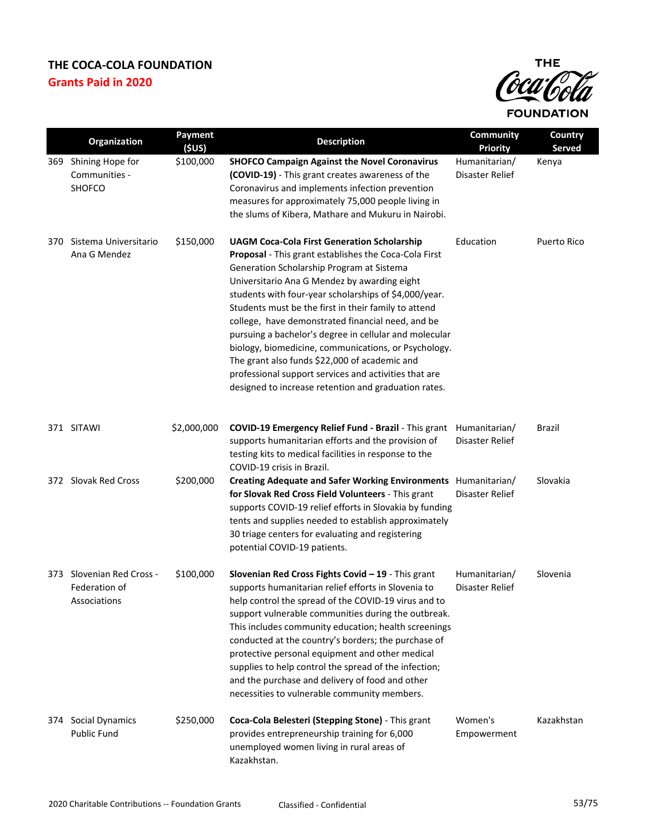

|     | <b>Organization</b>                                        | Payment<br>(\$US) | <b>Description</b>                                                                                                                                                                                                                                                                                                                                                                                                                                                                                                                                                                                                                                                 | Community<br><b>Priority</b>     | Country<br><b>Served</b> |
|-----|------------------------------------------------------------|-------------------|--------------------------------------------------------------------------------------------------------------------------------------------------------------------------------------------------------------------------------------------------------------------------------------------------------------------------------------------------------------------------------------------------------------------------------------------------------------------------------------------------------------------------------------------------------------------------------------------------------------------------------------------------------------------|----------------------------------|--------------------------|
| 369 | Shining Hope for<br>Communities -<br>SHOFCO                | \$100,000         | <b>SHOFCO Campaign Against the Novel Coronavirus</b><br>(COVID-19) - This grant creates awareness of the<br>Coronavirus and implements infection prevention<br>measures for approximately 75,000 people living in<br>the slums of Kibera, Mathare and Mukuru in Nairobi.                                                                                                                                                                                                                                                                                                                                                                                           | Humanitarian/<br>Disaster Relief | Kenya                    |
| 370 | Sistema Universitario<br>Ana G Mendez                      | \$150,000         | <b>UAGM Coca-Cola First Generation Scholarship</b><br>Proposal - This grant establishes the Coca-Cola First<br>Generation Scholarship Program at Sistema<br>Universitario Ana G Mendez by awarding eight<br>students with four-year scholarships of \$4,000/year.<br>Students must be the first in their family to attend<br>college, have demonstrated financial need, and be<br>pursuing a bachelor's degree in cellular and molecular<br>biology, biomedicine, communications, or Psychology.<br>The grant also funds \$22,000 of academic and<br>professional support services and activities that are<br>designed to increase retention and graduation rates. | Education                        | Puerto Rico              |
|     | 371 SITAWI                                                 | \$2,000,000       | COVID-19 Emergency Relief Fund - Brazil - This grant Humanitarian/<br>supports humanitarian efforts and the provision of<br>testing kits to medical facilities in response to the<br>COVID-19 crisis in Brazil.                                                                                                                                                                                                                                                                                                                                                                                                                                                    | Disaster Relief                  | <b>Brazil</b>            |
|     | 372 Slovak Red Cross                                       | \$200,000         | Creating Adequate and Safer Working Environments Humanitarian/<br>for Slovak Red Cross Field Volunteers - This grant<br>supports COVID-19 relief efforts in Slovakia by funding<br>tents and supplies needed to establish approximately<br>30 triage centers for evaluating and registering<br>potential COVID-19 patients.                                                                                                                                                                                                                                                                                                                                        | Disaster Relief                  | Slovakia                 |
|     | 373 Slovenian Red Cross -<br>Federation of<br>Associations | \$100,000         | Slovenian Red Cross Fights Covid - 19 - This grant<br>supports humanitarian relief efforts in Slovenia to<br>help control the spread of the COVID-19 virus and to<br>support vulnerable communities during the outbreak.<br>This includes community education; health screenings<br>conducted at the country's borders; the purchase of<br>protective personal equipment and other medical<br>supplies to help control the spread of the infection;<br>and the purchase and delivery of food and other<br>necessities to vulnerable community members.                                                                                                             | Humanitarian/<br>Disaster Relief | Slovenia                 |
| 374 | Social Dynamics<br>Public Fund                             | \$250,000         | Coca-Cola Belesteri (Stepping Stone) - This grant<br>provides entrepreneurship training for 6,000<br>unemployed women living in rural areas of<br>Kazakhstan.                                                                                                                                                                                                                                                                                                                                                                                                                                                                                                      | Women's<br>Empowerment           | Kazakhstan               |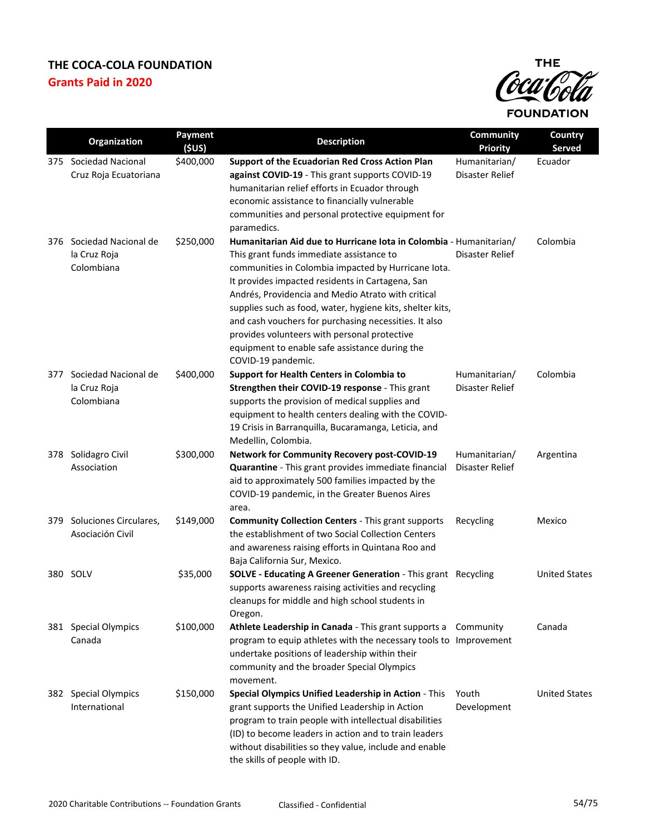

|     | Organization                                       | Payment   | <b>Description</b>                                                                                                                                                                                                                                                                                                                                                                                                                                                                                                            | <b>Community</b>                 | Country              |
|-----|----------------------------------------------------|-----------|-------------------------------------------------------------------------------------------------------------------------------------------------------------------------------------------------------------------------------------------------------------------------------------------------------------------------------------------------------------------------------------------------------------------------------------------------------------------------------------------------------------------------------|----------------------------------|----------------------|
|     |                                                    | (5US)     |                                                                                                                                                                                                                                                                                                                                                                                                                                                                                                                               | <b>Priority</b>                  | <b>Served</b>        |
| 375 | Sociedad Nacional<br>Cruz Roja Ecuatoriana         | \$400,000 | Support of the Ecuadorian Red Cross Action Plan<br>against COVID-19 - This grant supports COVID-19<br>humanitarian relief efforts in Ecuador through<br>economic assistance to financially vulnerable<br>communities and personal protective equipment for<br>paramedics.                                                                                                                                                                                                                                                     | Humanitarian/<br>Disaster Relief | Ecuador              |
| 376 | Sociedad Nacional de<br>la Cruz Roja<br>Colombiana | \$250,000 | Humanitarian Aid due to Hurricane lota in Colombia - Humanitarian/<br>This grant funds immediate assistance to<br>communities in Colombia impacted by Hurricane Iota.<br>It provides impacted residents in Cartagena, San<br>Andrés, Providencia and Medio Atrato with critical<br>supplies such as food, water, hygiene kits, shelter kits,<br>and cash vouchers for purchasing necessities. It also<br>provides volunteers with personal protective<br>equipment to enable safe assistance during the<br>COVID-19 pandemic. | Disaster Relief                  | Colombia             |
| 377 | Sociedad Nacional de<br>la Cruz Roja<br>Colombiana | \$400,000 | Support for Health Centers in Colombia to<br>Strengthen their COVID-19 response - This grant<br>supports the provision of medical supplies and<br>equipment to health centers dealing with the COVID-<br>19 Crisis in Barranquilla, Bucaramanga, Leticia, and<br>Medellin, Colombia.                                                                                                                                                                                                                                          | Humanitarian/<br>Disaster Relief | Colombia             |
| 378 | Solidagro Civil<br>Association                     | \$300,000 | <b>Network for Community Recovery post-COVID-19</b><br>Quarantine - This grant provides immediate financial<br>aid to approximately 500 families impacted by the<br>COVID-19 pandemic, in the Greater Buenos Aires<br>area.                                                                                                                                                                                                                                                                                                   | Humanitarian/<br>Disaster Relief | Argentina            |
| 379 | Soluciones Circulares,<br>Asociación Civil         | \$149,000 | <b>Community Collection Centers - This grant supports</b><br>the establishment of two Social Collection Centers<br>and awareness raising efforts in Quintana Roo and<br>Baja California Sur, Mexico.                                                                                                                                                                                                                                                                                                                          | Recycling                        | Mexico               |
|     | 380 SOLV                                           | \$35,000  | <b>SOLVE - Educating A Greener Generation - This grant Recycling</b><br>supports awareness raising activities and recycling<br>cleanups for middle and high school students in<br>Oregon.                                                                                                                                                                                                                                                                                                                                     |                                  | <b>United States</b> |
|     | 381 Special Olympics<br>Canada                     | \$100,000 | Athlete Leadership in Canada - This grant supports a<br>program to equip athletes with the necessary tools to Improvement<br>undertake positions of leadership within their<br>community and the broader Special Olympics<br>movement.                                                                                                                                                                                                                                                                                        | Community                        | Canada               |
|     | 382 Special Olympics<br>International              | \$150,000 | <b>Special Olympics Unified Leadership in Action - This</b><br>grant supports the Unified Leadership in Action<br>program to train people with intellectual disabilities<br>(ID) to become leaders in action and to train leaders<br>without disabilities so they value, include and enable<br>the skills of people with ID.                                                                                                                                                                                                  | Youth<br>Development             | <b>United States</b> |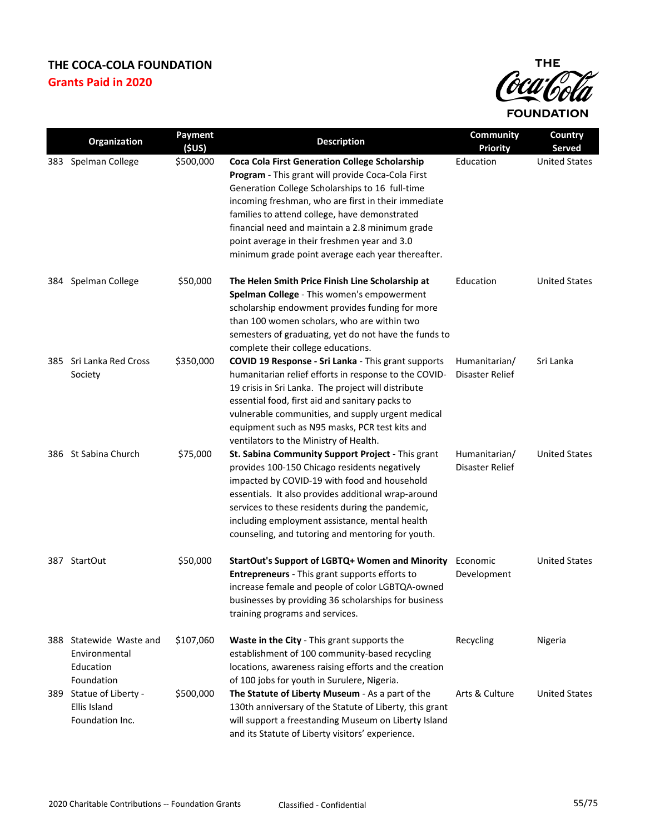

|     | Organization                                                    | Payment<br>(5US) | <b>Description</b>                                                                                                                                                                                                                                                                                                                                                                                                            | <b>Community</b><br><b>Priority</b> | Country<br>Served    |
|-----|-----------------------------------------------------------------|------------------|-------------------------------------------------------------------------------------------------------------------------------------------------------------------------------------------------------------------------------------------------------------------------------------------------------------------------------------------------------------------------------------------------------------------------------|-------------------------------------|----------------------|
|     | 383 Spelman College                                             | \$500,000        | <b>Coca Cola First Generation College Scholarship</b><br>Program - This grant will provide Coca-Cola First<br>Generation College Scholarships to 16 full-time<br>incoming freshman, who are first in their immediate<br>families to attend college, have demonstrated<br>financial need and maintain a 2.8 minimum grade<br>point average in their freshmen year and 3.0<br>minimum grade point average each year thereafter. | Education                           | <b>United States</b> |
| 384 | Spelman College                                                 | \$50,000         | The Helen Smith Price Finish Line Scholarship at<br>Spelman College - This women's empowerment<br>scholarship endowment provides funding for more<br>than 100 women scholars, who are within two<br>semesters of graduating, yet do not have the funds to<br>complete their college educations.                                                                                                                               | Education                           | <b>United States</b> |
| 385 | Sri Lanka Red Cross<br>Society                                  | \$350,000        | COVID 19 Response - Sri Lanka - This grant supports<br>humanitarian relief efforts in response to the COVID-<br>19 crisis in Sri Lanka. The project will distribute<br>essential food, first aid and sanitary packs to<br>vulnerable communities, and supply urgent medical<br>equipment such as N95 masks, PCR test kits and<br>ventilators to the Ministry of Health.                                                       | Humanitarian/<br>Disaster Relief    | Sri Lanka            |
|     | 386 St Sabina Church                                            | \$75,000         | St. Sabina Community Support Project - This grant<br>provides 100-150 Chicago residents negatively<br>impacted by COVID-19 with food and household<br>essentials. It also provides additional wrap-around<br>services to these residents during the pandemic,<br>including employment assistance, mental health<br>counseling, and tutoring and mentoring for youth.                                                          | Humanitarian/<br>Disaster Relief    | <b>United States</b> |
|     | 387 StartOut                                                    | \$50,000         | StartOut's Support of LGBTQ+ Women and Minority<br>Entrepreneurs - This grant supports efforts to<br>increase female and people of color LGBTQA-owned<br>businesses by providing 36 scholarships for business<br>training programs and services.                                                                                                                                                                              | Economic<br>Development             | <b>United States</b> |
| 388 | Statewide Waste and<br>Environmental<br>Education<br>Foundation | \$107,060        | <b>Waste in the City - This grant supports the</b><br>establishment of 100 community-based recycling<br>locations, awareness raising efforts and the creation<br>of 100 jobs for youth in Surulere, Nigeria.                                                                                                                                                                                                                  | Recycling                           | Nigeria              |
|     | 389 Statue of Liberty -<br>Ellis Island<br>Foundation Inc.      | \$500,000        | The Statute of Liberty Museum - As a part of the<br>130th anniversary of the Statute of Liberty, this grant<br>will support a freestanding Museum on Liberty Island<br>and its Statute of Liberty visitors' experience.                                                                                                                                                                                                       | Arts & Culture                      | <b>United States</b> |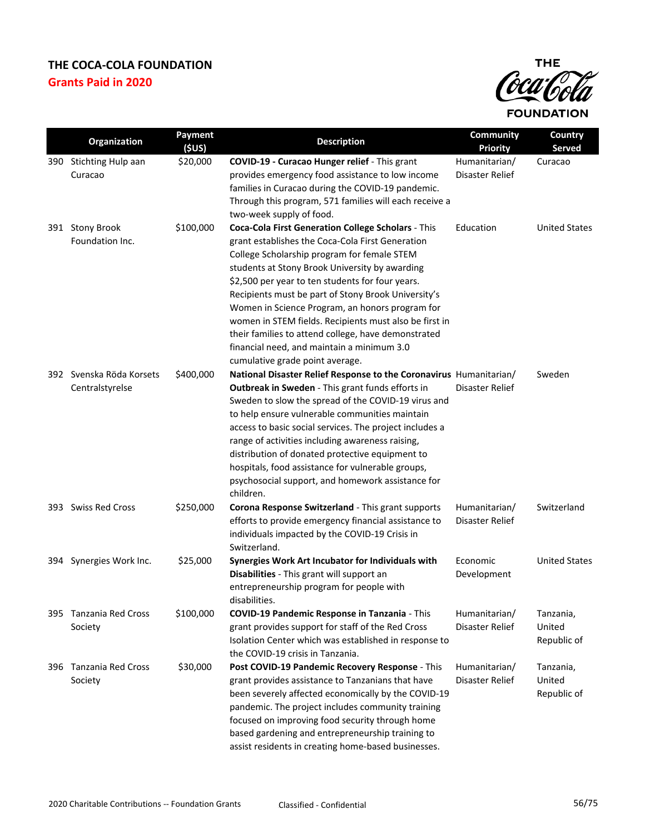

|     | Organization                                | Payment<br>(SUS) | <b>Description</b>                                                                                                                                                                                                                                                                                                                                                                                                                                                                                                                                                      | <b>Community</b><br><b>Priority</b> | Country<br><b>Served</b>           |
|-----|---------------------------------------------|------------------|-------------------------------------------------------------------------------------------------------------------------------------------------------------------------------------------------------------------------------------------------------------------------------------------------------------------------------------------------------------------------------------------------------------------------------------------------------------------------------------------------------------------------------------------------------------------------|-------------------------------------|------------------------------------|
|     | 390 Stichting Hulp aan<br>Curacao           | \$20,000         | COVID-19 - Curacao Hunger relief - This grant<br>provides emergency food assistance to low income<br>families in Curacao during the COVID-19 pandemic.<br>Through this program, 571 families will each receive a<br>two-week supply of food.                                                                                                                                                                                                                                                                                                                            | Humanitarian/<br>Disaster Relief    | Curacao                            |
|     | 391 Stony Brook<br>Foundation Inc.          | \$100,000        | Coca-Cola First Generation College Scholars - This<br>grant establishes the Coca-Cola First Generation<br>College Scholarship program for female STEM<br>students at Stony Brook University by awarding<br>\$2,500 per year to ten students for four years.<br>Recipients must be part of Stony Brook University's<br>Women in Science Program, an honors program for<br>women in STEM fields. Recipients must also be first in<br>their families to attend college, have demonstrated<br>financial need, and maintain a minimum 3.0<br>cumulative grade point average. | Education                           | <b>United States</b>               |
|     | 392 Svenska Röda Korsets<br>Centralstyrelse | \$400,000        | National Disaster Relief Response to the Coronavirus Humanitarian/<br>Outbreak in Sweden - This grant funds efforts in<br>Sweden to slow the spread of the COVID-19 virus and<br>to help ensure vulnerable communities maintain<br>access to basic social services. The project includes a<br>range of activities including awareness raising,<br>distribution of donated protective equipment to<br>hospitals, food assistance for vulnerable groups,<br>psychosocial support, and homework assistance for<br>children.                                                | Disaster Relief                     | Sweden                             |
|     | 393 Swiss Red Cross                         | \$250,000        | Corona Response Switzerland - This grant supports<br>efforts to provide emergency financial assistance to<br>individuals impacted by the COVID-19 Crisis in<br>Switzerland.                                                                                                                                                                                                                                                                                                                                                                                             | Humanitarian/<br>Disaster Relief    | Switzerland                        |
| 394 | Synergies Work Inc.                         | \$25,000         | Synergies Work Art Incubator for Individuals with<br>Disabilities - This grant will support an<br>entrepreneurship program for people with<br>disabilities.                                                                                                                                                                                                                                                                                                                                                                                                             | Economic<br>Development             | <b>United States</b>               |
|     | 395 Tanzania Red Cross<br>Society           | \$100,000        | COVID-19 Pandemic Response in Tanzania - This<br>grant provides support for staff of the Red Cross<br>Isolation Center which was established in response to<br>the COVID-19 crisis in Tanzania.                                                                                                                                                                                                                                                                                                                                                                         | Humanitarian/<br>Disaster Relief    | Tanzania,<br>United<br>Republic of |
| 396 | Tanzania Red Cross<br>Society               | \$30,000         | Post COVID-19 Pandemic Recovery Response - This<br>grant provides assistance to Tanzanians that have<br>been severely affected economically by the COVID-19<br>pandemic. The project includes community training<br>focused on improving food security through home<br>based gardening and entrepreneurship training to<br>assist residents in creating home-based businesses.                                                                                                                                                                                          | Humanitarian/<br>Disaster Relief    | Tanzania,<br>United<br>Republic of |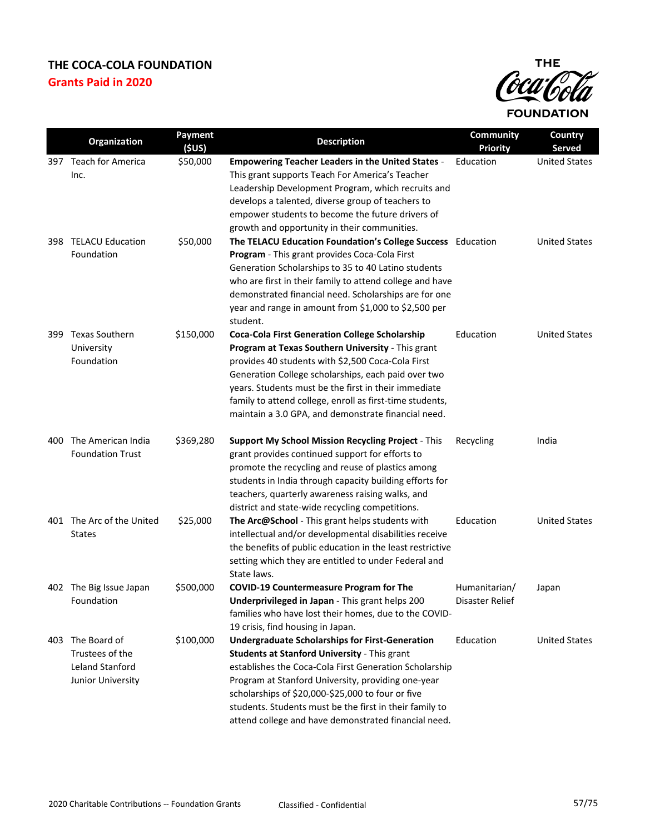

|      | Organization              | Payment           | <b>Description</b>                                                                                       | Community                    | <b>Country</b>                 |
|------|---------------------------|-------------------|----------------------------------------------------------------------------------------------------------|------------------------------|--------------------------------|
|      | 397 Teach for America     | (5US)<br>\$50,000 | <b>Empowering Teacher Leaders in the United States -</b>                                                 | <b>Priority</b><br>Education | Served<br><b>United States</b> |
|      | Inc.                      |                   | This grant supports Teach For America's Teacher                                                          |                              |                                |
|      |                           |                   | Leadership Development Program, which recruits and                                                       |                              |                                |
|      |                           |                   | develops a talented, diverse group of teachers to                                                        |                              |                                |
|      |                           |                   | empower students to become the future drivers of                                                         |                              |                                |
|      |                           |                   | growth and opportunity in their communities.                                                             |                              |                                |
|      | 398 TELACU Education      | \$50,000          | The TELACU Education Foundation's College Success Education                                              |                              | <b>United States</b>           |
|      | Foundation                |                   | Program - This grant provides Coca-Cola First                                                            |                              |                                |
|      |                           |                   | Generation Scholarships to 35 to 40 Latino students                                                      |                              |                                |
|      |                           |                   | who are first in their family to attend college and have                                                 |                              |                                |
|      |                           |                   | demonstrated financial need. Scholarships are for one                                                    |                              |                                |
|      |                           |                   | year and range in amount from \$1,000 to \$2,500 per                                                     |                              |                                |
|      |                           |                   | student.                                                                                                 |                              |                                |
| 399. | <b>Texas Southern</b>     | \$150,000         | <b>Coca-Cola First Generation College Scholarship</b>                                                    | Education                    | <b>United States</b>           |
|      | University                |                   | Program at Texas Southern University - This grant                                                        |                              |                                |
|      | Foundation                |                   | provides 40 students with \$2,500 Coca-Cola First<br>Generation College scholarships, each paid over two |                              |                                |
|      |                           |                   | years. Students must be the first in their immediate                                                     |                              |                                |
|      |                           |                   | family to attend college, enroll as first-time students,                                                 |                              |                                |
|      |                           |                   | maintain a 3.0 GPA, and demonstrate financial need.                                                      |                              |                                |
|      |                           |                   |                                                                                                          |                              |                                |
|      | 400 The American India    | \$369,280         | Support My School Mission Recycling Project - This                                                       | Recycling                    | India                          |
|      | <b>Foundation Trust</b>   |                   | grant provides continued support for efforts to                                                          |                              |                                |
|      |                           |                   | promote the recycling and reuse of plastics among                                                        |                              |                                |
|      |                           |                   | students in India through capacity building efforts for                                                  |                              |                                |
|      |                           |                   | teachers, quarterly awareness raising walks, and                                                         |                              |                                |
|      |                           |                   | district and state-wide recycling competitions.                                                          |                              |                                |
|      | 401 The Arc of the United | \$25,000          | The Arc@School - This grant helps students with                                                          | Education                    | <b>United States</b>           |
|      | <b>States</b>             |                   | intellectual and/or developmental disabilities receive                                                   |                              |                                |
|      |                           |                   | the benefits of public education in the least restrictive                                                |                              |                                |
|      |                           |                   | setting which they are entitled to under Federal and<br>State laws.                                      |                              |                                |
|      | 402 The Big Issue Japan   | \$500,000         | <b>COVID-19 Countermeasure Program for The</b>                                                           | Humanitarian/                | Japan                          |
|      | Foundation                |                   | Underprivileged in Japan - This grant helps 200                                                          | Disaster Relief              |                                |
|      |                           |                   | families who have lost their homes, due to the COVID-                                                    |                              |                                |
|      |                           |                   | 19 crisis, find housing in Japan.                                                                        |                              |                                |
|      | 403 The Board of          | \$100,000         | <b>Undergraduate Scholarships for First-Generation</b>                                                   | Education                    | <b>United States</b>           |
|      | Trustees of the           |                   | Students at Stanford University - This grant                                                             |                              |                                |
|      | Leland Stanford           |                   | establishes the Coca-Cola First Generation Scholarship                                                   |                              |                                |
|      | Junior University         |                   | Program at Stanford University, providing one-year                                                       |                              |                                |
|      |                           |                   | scholarships of \$20,000-\$25,000 to four or five                                                        |                              |                                |
|      |                           |                   | students. Students must be the first in their family to                                                  |                              |                                |
|      |                           |                   | attend college and have demonstrated financial need.                                                     |                              |                                |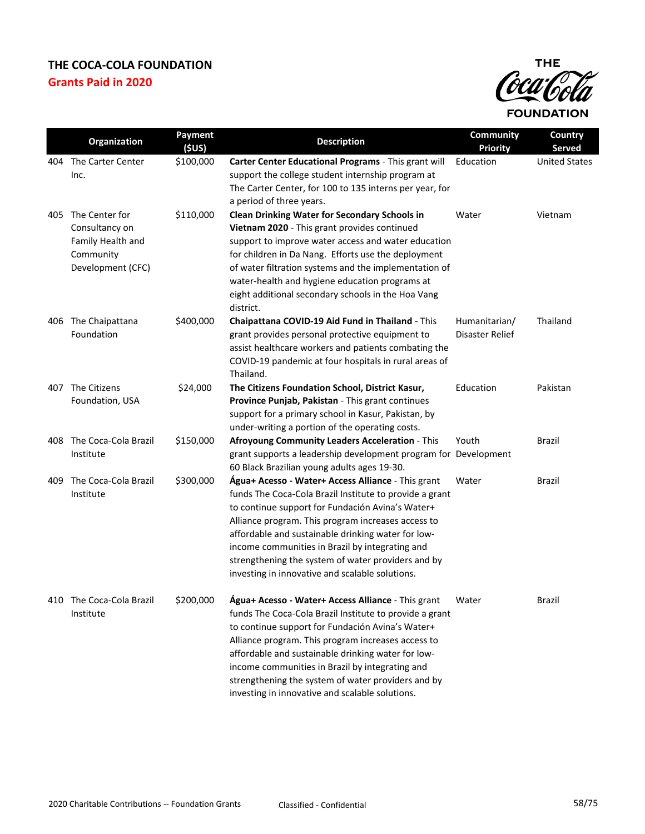

|     | Organization                                                                                | <b>Payment</b><br>(5US) | <b>Description</b>                                                                                                                                                                                                                                                                                                                                                                                                                        | Community<br><b>Priority</b>     | Country<br>Served    |
|-----|---------------------------------------------------------------------------------------------|-------------------------|-------------------------------------------------------------------------------------------------------------------------------------------------------------------------------------------------------------------------------------------------------------------------------------------------------------------------------------------------------------------------------------------------------------------------------------------|----------------------------------|----------------------|
| 404 | The Carter Center<br>Inc.                                                                   | \$100,000               | Carter Center Educational Programs - This grant will<br>support the college student internship program at<br>The Carter Center, for 100 to 135 interns per year, for<br>a period of three years.                                                                                                                                                                                                                                          | Education                        | <b>United States</b> |
|     | 405 The Center for<br>Consultancy on<br>Family Health and<br>Community<br>Development (CFC) | \$110,000               | <b>Clean Drinking Water for Secondary Schools in</b><br>Vietnam 2020 - This grant provides continued<br>support to improve water access and water education<br>for children in Da Nang. Efforts use the deployment<br>of water filtration systems and the implementation of<br>water-health and hygiene education programs at<br>eight additional secondary schools in the Hoa Vang<br>district.                                          | Water                            | Vietnam              |
| 406 | The Chaipattana<br>Foundation                                                               | \$400,000               | Chaipattana COVID-19 Aid Fund in Thailand - This<br>grant provides personal protective equipment to<br>assist healthcare workers and patients combating the<br>COVID-19 pandemic at four hospitals in rural areas of<br>Thailand.                                                                                                                                                                                                         | Humanitarian/<br>Disaster Relief | Thailand             |
| 407 | The Citizens<br>Foundation, USA                                                             | \$24,000                | The Citizens Foundation School, District Kasur,<br>Province Punjab, Pakistan - This grant continues<br>support for a primary school in Kasur, Pakistan, by<br>under-writing a portion of the operating costs.                                                                                                                                                                                                                             | Education                        | Pakistan             |
|     | 408 The Coca-Cola Brazil<br>Institute                                                       | \$150,000               | Afroyoung Community Leaders Acceleration - This<br>grant supports a leadership development program for Development<br>60 Black Brazilian young adults ages 19-30.                                                                                                                                                                                                                                                                         | Youth                            | Brazil               |
| 409 | The Coca-Cola Brazil<br>Institute                                                           | \$300,000               | Água+ Acesso - Water+ Access Alliance - This grant<br>funds The Coca-Cola Brazil Institute to provide a grant<br>to continue support for Fundación Avina's Water+<br>Alliance program. This program increases access to<br>affordable and sustainable drinking water for low-<br>income communities in Brazil by integrating and<br>strengthening the system of water providers and by<br>investing in innovative and scalable solutions. | Water                            | Brazil               |
| 410 | The Coca-Cola Brazil<br>Institute                                                           | \$200,000               | Água+ Acesso - Water+ Access Alliance - This grant<br>funds The Coca-Cola Brazil Institute to provide a grant<br>to continue support for Fundación Avina's Water+<br>Alliance program. This program increases access to<br>affordable and sustainable drinking water for low-<br>income communities in Brazil by integrating and<br>strengthening the system of water providers and by<br>investing in innovative and scalable solutions. | Water                            | <b>Brazil</b>        |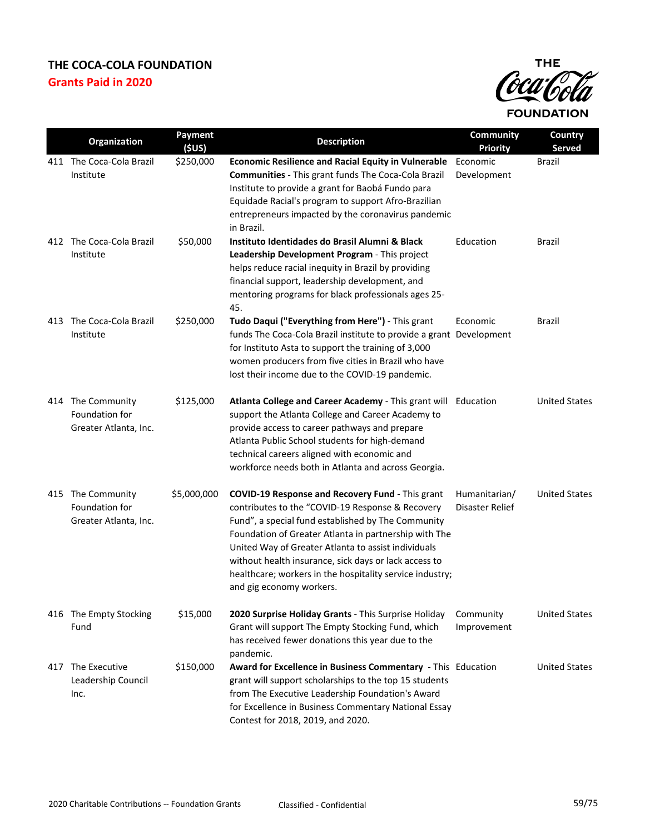

|     | Organization                                                 | Payment<br>(\$US) | <b>Description</b>                                                                                                                                                                                                                                                                                                                                                                                                          | Community<br><b>Priority</b>     | Country<br>Served    |
|-----|--------------------------------------------------------------|-------------------|-----------------------------------------------------------------------------------------------------------------------------------------------------------------------------------------------------------------------------------------------------------------------------------------------------------------------------------------------------------------------------------------------------------------------------|----------------------------------|----------------------|
|     | 411 The Coca-Cola Brazil<br>Institute                        | \$250,000         | <b>Economic Resilience and Racial Equity in Vulnerable</b><br>Communities - This grant funds The Coca-Cola Brazil<br>Institute to provide a grant for Baobá Fundo para<br>Equidade Racial's program to support Afro-Brazilian<br>entrepreneurs impacted by the coronavirus pandemic<br>in Brazil.                                                                                                                           | Economic<br>Development          | <b>Brazil</b>        |
|     | 412 The Coca-Cola Brazil<br>Institute                        | \$50,000          | Instituto Identidades do Brasil Alumni & Black<br>Leadership Development Program - This project<br>helps reduce racial inequity in Brazil by providing<br>financial support, leadership development, and<br>mentoring programs for black professionals ages 25-<br>45.                                                                                                                                                      | Education                        | Brazil               |
| 413 | The Coca-Cola Brazil<br>Institute                            | \$250,000         | Tudo Daqui ("Everything from Here") - This grant<br>funds The Coca-Cola Brazil institute to provide a grant Development<br>for Instituto Asta to support the training of 3,000<br>women producers from five cities in Brazil who have<br>lost their income due to the COVID-19 pandemic.                                                                                                                                    | Economic                         | Brazil               |
|     | 414 The Community<br>Foundation for<br>Greater Atlanta, Inc. | \$125,000         | Atlanta College and Career Academy - This grant will Education<br>support the Atlanta College and Career Academy to<br>provide access to career pathways and prepare<br>Atlanta Public School students for high-demand<br>technical careers aligned with economic and<br>workforce needs both in Atlanta and across Georgia.                                                                                                |                                  | <b>United States</b> |
|     | 415 The Community<br>Foundation for<br>Greater Atlanta, Inc. | \$5,000,000       | COVID-19 Response and Recovery Fund - This grant<br>contributes to the "COVID-19 Response & Recovery<br>Fund", a special fund established by The Community<br>Foundation of Greater Atlanta in partnership with The<br>United Way of Greater Atlanta to assist individuals<br>without health insurance, sick days or lack access to<br>healthcare; workers in the hospitality service industry;<br>and gig economy workers. | Humanitarian/<br>Disaster Relief | <b>United States</b> |
|     | 416 The Empty Stocking<br>Fund                               | \$15,000          | 2020 Surprise Holiday Grants - This Surprise Holiday<br>Grant will support The Empty Stocking Fund, which<br>has received fewer donations this year due to the<br>pandemic.                                                                                                                                                                                                                                                 | Community<br>Improvement         | <b>United States</b> |
| 417 | The Executive<br>Leadership Council<br>Inc.                  | \$150,000         | Award for Excellence in Business Commentary - This Education<br>grant will support scholarships to the top 15 students<br>from The Executive Leadership Foundation's Award<br>for Excellence in Business Commentary National Essay<br>Contest for 2018, 2019, and 2020.                                                                                                                                                     |                                  | <b>United States</b> |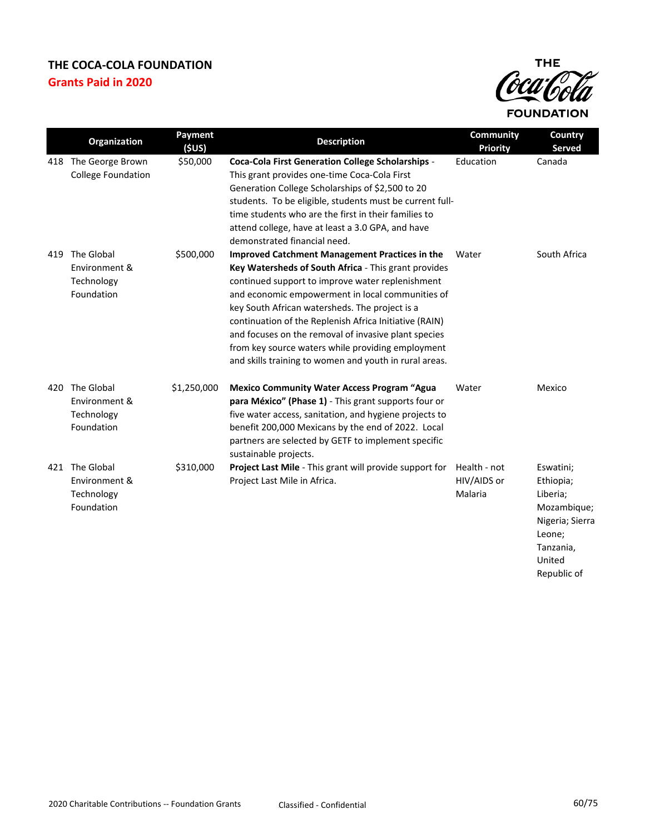

|     | Organization                                            | <b>Payment</b><br>(5US) | <b>Description</b>                                                                                                                                                                                                                                                                                                                                                                                                                                                                                       | Community<br><b>Priority</b>           | Country<br>Served                                                                                                    |
|-----|---------------------------------------------------------|-------------------------|----------------------------------------------------------------------------------------------------------------------------------------------------------------------------------------------------------------------------------------------------------------------------------------------------------------------------------------------------------------------------------------------------------------------------------------------------------------------------------------------------------|----------------------------------------|----------------------------------------------------------------------------------------------------------------------|
|     | 418 The George Brown<br><b>College Foundation</b>       | \$50,000                | <b>Coca-Cola First Generation College Scholarships -</b><br>This grant provides one-time Coca-Cola First<br>Generation College Scholarships of \$2,500 to 20<br>students. To be eligible, students must be current full-<br>time students who are the first in their families to<br>attend college, have at least a 3.0 GPA, and have<br>demonstrated financial need.                                                                                                                                    | Education                              | Canada                                                                                                               |
| 419 | The Global<br>Environment &<br>Technology<br>Foundation | \$500,000               | <b>Improved Catchment Management Practices in the</b><br>Key Watersheds of South Africa - This grant provides<br>continued support to improve water replenishment<br>and economic empowerment in local communities of<br>key South African watersheds. The project is a<br>continuation of the Replenish Africa Initiative (RAIN)<br>and focuses on the removal of invasive plant species<br>from key source waters while providing employment<br>and skills training to women and youth in rural areas. | Water                                  | South Africa                                                                                                         |
| 420 | The Global<br>Environment &<br>Technology<br>Foundation | \$1,250,000             | <b>Mexico Community Water Access Program "Agua</b><br>para México" (Phase 1) - This grant supports four or<br>five water access, sanitation, and hygiene projects to<br>benefit 200,000 Mexicans by the end of 2022. Local<br>partners are selected by GETF to implement specific<br>sustainable projects.                                                                                                                                                                                               | Water                                  | Mexico                                                                                                               |
| 421 | The Global<br>Environment &<br>Technology<br>Foundation | \$310,000               | Project Last Mile - This grant will provide support for<br>Project Last Mile in Africa.                                                                                                                                                                                                                                                                                                                                                                                                                  | Health - not<br>HIV/AIDS or<br>Malaria | Eswatini;<br>Ethiopia;<br>Liberia;<br>Mozambique;<br>Nigeria; Sierra<br>Leone;<br>Tanzania,<br>United<br>Republic of |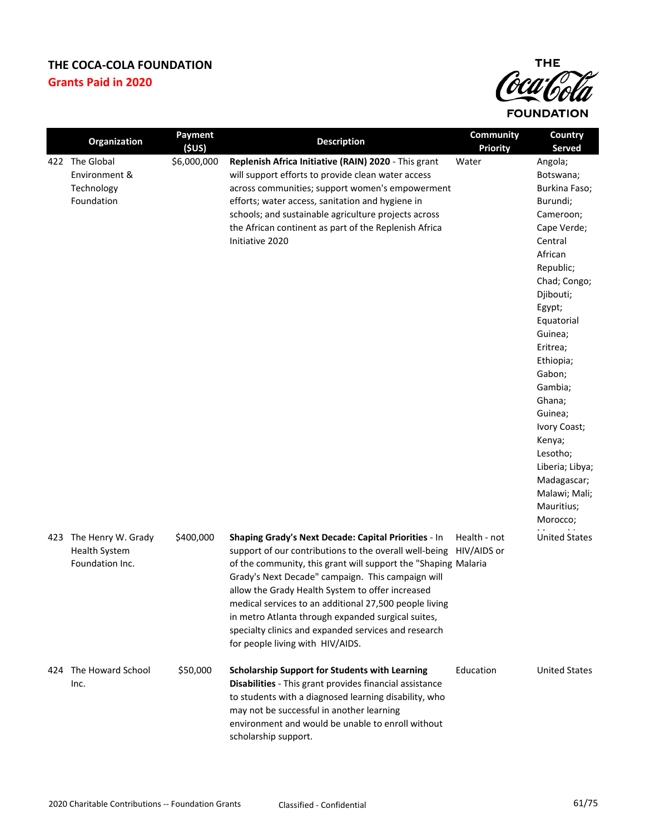

|     | Organization                                                  | <b>Payment</b><br>(SUS) | <b>Description</b>                                                                                                                                                                                                                                                                                                                                                                                                                                                                                                | Community<br><b>Priority</b> | Country<br><b>Served</b>                                                                                                                                                                                                                                                                                                                                               |
|-----|---------------------------------------------------------------|-------------------------|-------------------------------------------------------------------------------------------------------------------------------------------------------------------------------------------------------------------------------------------------------------------------------------------------------------------------------------------------------------------------------------------------------------------------------------------------------------------------------------------------------------------|------------------------------|------------------------------------------------------------------------------------------------------------------------------------------------------------------------------------------------------------------------------------------------------------------------------------------------------------------------------------------------------------------------|
|     | 422 The Global<br>Environment &<br>Technology<br>Foundation   | \$6,000,000             | Replenish Africa Initiative (RAIN) 2020 - This grant<br>will support efforts to provide clean water access<br>across communities; support women's empowerment<br>efforts; water access, sanitation and hygiene in<br>schools; and sustainable agriculture projects across<br>the African continent as part of the Replenish Africa<br>Initiative 2020                                                                                                                                                             | Water                        | Angola;<br>Botswana;<br>Burkina Faso;<br>Burundi;<br>Cameroon;<br>Cape Verde;<br>Central<br>African<br>Republic;<br>Chad; Congo;<br>Djibouti;<br>Egypt;<br>Equatorial<br>Guinea;<br>Eritrea;<br>Ethiopia;<br>Gabon;<br>Gambia;<br>Ghana;<br>Guinea;<br>Ivory Coast;<br>Kenya;<br>Lesotho;<br>Liberia; Libya;<br>Madagascar;<br>Malawi; Mali;<br>Mauritius;<br>Morocco; |
| 423 | The Henry W. Grady<br><b>Health System</b><br>Foundation Inc. | \$400,000               | Shaping Grady's Next Decade: Capital Priorities - In<br>support of our contributions to the overall well-being HIV/AIDS or<br>of the community, this grant will support the "Shaping Malaria<br>Grady's Next Decade" campaign. This campaign will<br>allow the Grady Health System to offer increased<br>medical services to an additional 27,500 people living<br>in metro Atlanta through expanded surgical suites,<br>specialty clinics and expanded services and research<br>for people living with HIV/AIDS. | Health - not                 | <b>United States</b>                                                                                                                                                                                                                                                                                                                                                   |
| 424 | The Howard School<br>Inc.                                     | \$50,000                | <b>Scholarship Support for Students with Learning</b><br>Disabilities - This grant provides financial assistance<br>to students with a diagnosed learning disability, who<br>may not be successful in another learning<br>environment and would be unable to enroll without<br>scholarship support.                                                                                                                                                                                                               | Education                    | <b>United States</b>                                                                                                                                                                                                                                                                                                                                                   |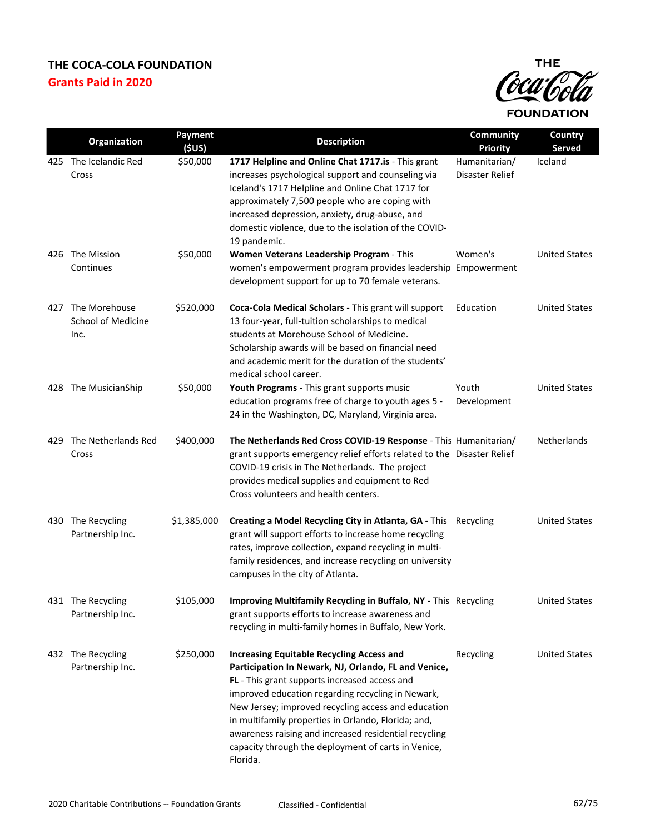

|     | Organization                                       | Payment<br>(5US) | <b>Description</b>                                                                                                                                                                                                                                                                                                                                                                                                                                       | Community<br><b>Priority</b>     | Country<br>Served    |
|-----|----------------------------------------------------|------------------|----------------------------------------------------------------------------------------------------------------------------------------------------------------------------------------------------------------------------------------------------------------------------------------------------------------------------------------------------------------------------------------------------------------------------------------------------------|----------------------------------|----------------------|
| 425 | The Icelandic Red<br>Cross                         | \$50,000         | 1717 Helpline and Online Chat 1717.is - This grant<br>increases psychological support and counseling via<br>Iceland's 1717 Helpline and Online Chat 1717 for<br>approximately 7,500 people who are coping with<br>increased depression, anxiety, drug-abuse, and<br>domestic violence, due to the isolation of the COVID-<br>19 pandemic.                                                                                                                | Humanitarian/<br>Disaster Relief | Iceland              |
| 426 | The Mission<br>Continues                           | \$50,000         | Women Veterans Leadership Program - This<br>women's empowerment program provides leadership Empowerment<br>development support for up to 70 female veterans.                                                                                                                                                                                                                                                                                             | Women's                          | <b>United States</b> |
| 427 | The Morehouse<br><b>School of Medicine</b><br>Inc. | \$520,000        | Coca-Cola Medical Scholars - This grant will support<br>13 four-year, full-tuition scholarships to medical<br>students at Morehouse School of Medicine.<br>Scholarship awards will be based on financial need<br>and academic merit for the duration of the students'<br>medical school career.                                                                                                                                                          | Education                        | <b>United States</b> |
|     | 428 The MusicianShip                               | \$50,000         | Youth Programs - This grant supports music<br>education programs free of charge to youth ages 5 -<br>24 in the Washington, DC, Maryland, Virginia area.                                                                                                                                                                                                                                                                                                  | Youth<br>Development             | <b>United States</b> |
| 429 | The Netherlands Red<br>Cross                       | \$400,000        | The Netherlands Red Cross COVID-19 Response - This Humanitarian/<br>grant supports emergency relief efforts related to the Disaster Relief<br>COVID-19 crisis in The Netherlands. The project<br>provides medical supplies and equipment to Red<br>Cross volunteers and health centers.                                                                                                                                                                  |                                  | Netherlands          |
| 430 | The Recycling<br>Partnership Inc.                  | \$1,385,000      | Creating a Model Recycling City in Atlanta, GA - This Recycling<br>grant will support efforts to increase home recycling<br>rates, improve collection, expand recycling in multi-<br>family residences, and increase recycling on university<br>campuses in the city of Atlanta.                                                                                                                                                                         |                                  | <b>United States</b> |
|     | 431 The Recycling<br>Partnership Inc.              | \$105,000        | Improving Multifamily Recycling in Buffalo, NY - This Recycling<br>grant supports efforts to increase awareness and<br>recycling in multi-family homes in Buffalo, New York.                                                                                                                                                                                                                                                                             |                                  | <b>United States</b> |
|     | 432 The Recycling<br>Partnership Inc.              | \$250,000        | <b>Increasing Equitable Recycling Access and</b><br>Participation In Newark, NJ, Orlando, FL and Venice,<br>FL - This grant supports increased access and<br>improved education regarding recycling in Newark,<br>New Jersey; improved recycling access and education<br>in multifamily properties in Orlando, Florida; and,<br>awareness raising and increased residential recycling<br>capacity through the deployment of carts in Venice,<br>Florida. | Recycling                        | <b>United States</b> |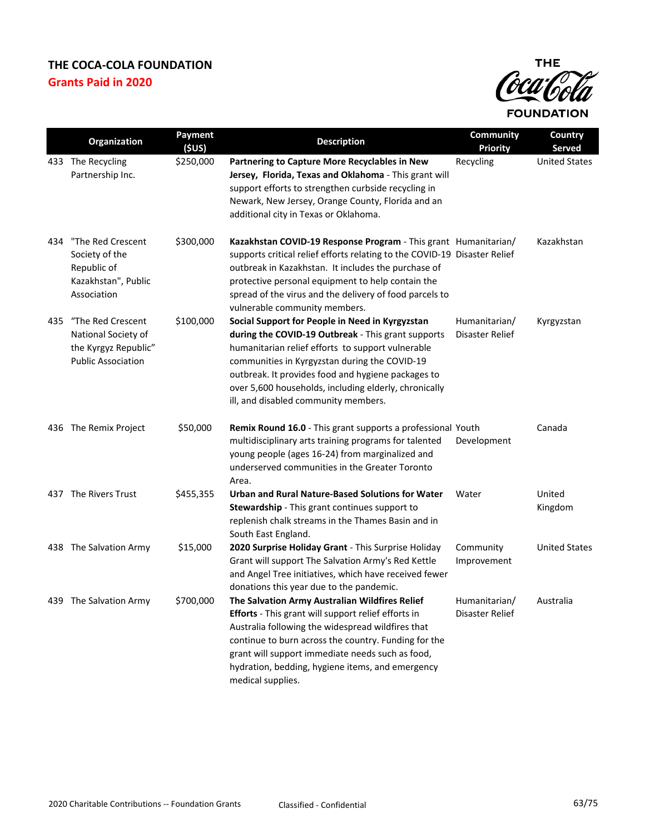

|     | Organization                                                                                  | Payment<br>(5US) | <b>Description</b>                                                                                                                                                                                                                                                                                                                                                 | <b>Community</b><br><b>Priority</b> | Country<br><b>Served</b> |
|-----|-----------------------------------------------------------------------------------------------|------------------|--------------------------------------------------------------------------------------------------------------------------------------------------------------------------------------------------------------------------------------------------------------------------------------------------------------------------------------------------------------------|-------------------------------------|--------------------------|
|     | 433 The Recycling<br>Partnership Inc.                                                         | \$250,000        | Partnering to Capture More Recyclables in New<br>Jersey, Florida, Texas and Oklahoma - This grant will<br>support efforts to strengthen curbside recycling in<br>Newark, New Jersey, Orange County, Florida and an<br>additional city in Texas or Oklahoma.                                                                                                        | Recycling                           | <b>United States</b>     |
| 434 | "The Red Crescent<br>Society of the<br>Republic of<br>Kazakhstan", Public<br>Association      | \$300,000        | Kazakhstan COVID-19 Response Program - This grant Humanitarian/<br>supports critical relief efforts relating to the COVID-19 Disaster Relief<br>outbreak in Kazakhstan. It includes the purchase of<br>protective personal equipment to help contain the<br>spread of the virus and the delivery of food parcels to<br>vulnerable community members.               |                                     | Kazakhstan               |
| 435 | "The Red Crescent<br>National Society of<br>the Kyrgyz Republic"<br><b>Public Association</b> | \$100,000        | Social Support for People in Need in Kyrgyzstan<br>during the COVID-19 Outbreak - This grant supports<br>humanitarian relief efforts to support vulnerable<br>communities in Kyrgyzstan during the COVID-19<br>outbreak. It provides food and hygiene packages to<br>over 5,600 households, including elderly, chronically<br>ill, and disabled community members. | Humanitarian/<br>Disaster Relief    | Kyrgyzstan               |
|     | 436 The Remix Project                                                                         | \$50,000         | Remix Round 16.0 - This grant supports a professional Youth<br>multidisciplinary arts training programs for talented<br>young people (ages 16-24) from marginalized and<br>underserved communities in the Greater Toronto<br>Area.                                                                                                                                 | Development                         | Canada                   |
|     | 437 The Rivers Trust                                                                          | \$455,355        | <b>Urban and Rural Nature-Based Solutions for Water</b><br>Stewardship - This grant continues support to<br>replenish chalk streams in the Thames Basin and in<br>South East England.                                                                                                                                                                              | Water                               | United<br>Kingdom        |
|     | 438 The Salvation Army                                                                        | \$15,000         | 2020 Surprise Holiday Grant - This Surprise Holiday<br>Grant will support The Salvation Army's Red Kettle<br>and Angel Tree initiatives, which have received fewer<br>donations this year due to the pandemic.                                                                                                                                                     | Community<br>Improvement            | <b>United States</b>     |
|     | 439 The Salvation Army                                                                        | \$700,000        | The Salvation Army Australian Wildfires Relief<br>Efforts - This grant will support relief efforts in<br>Australia following the widespread wildfires that<br>continue to burn across the country. Funding for the<br>grant will support immediate needs such as food,<br>hydration, bedding, hygiene items, and emergency<br>medical supplies.                    | Humanitarian/<br>Disaster Relief    | Australia                |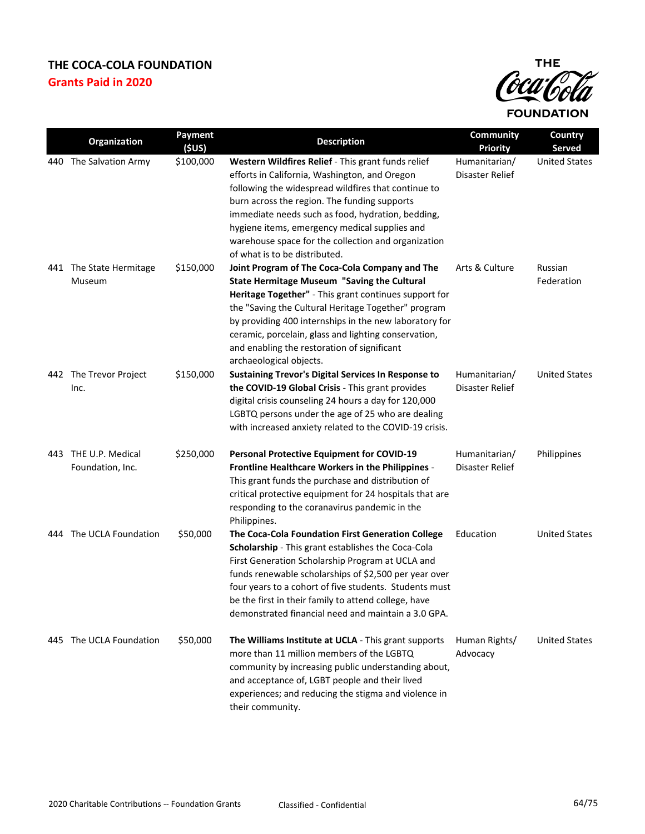

|     | Organization                             | Payment<br>(SUS) | <b>Description</b>                                                                                                                                                                                                                                                                                                                                                                                               | <b>Community</b><br><b>Priority</b> | Country<br>Served     |
|-----|------------------------------------------|------------------|------------------------------------------------------------------------------------------------------------------------------------------------------------------------------------------------------------------------------------------------------------------------------------------------------------------------------------------------------------------------------------------------------------------|-------------------------------------|-----------------------|
| 440 | The Salvation Army                       | \$100,000        | Western Wildfires Relief - This grant funds relief<br>efforts in California, Washington, and Oregon<br>following the widespread wildfires that continue to<br>burn across the region. The funding supports<br>immediate needs such as food, hydration, bedding,<br>hygiene items, emergency medical supplies and<br>warehouse space for the collection and organization<br>of what is to be distributed.         | Humanitarian/<br>Disaster Relief    | <b>United States</b>  |
|     | 441 The State Hermitage<br>Museum        | \$150,000        | Joint Program of The Coca-Cola Company and The<br><b>State Hermitage Museum "Saving the Cultural</b><br>Heritage Together" - This grant continues support for<br>the "Saving the Cultural Heritage Together" program<br>by providing 400 internships in the new laboratory for<br>ceramic, porcelain, glass and lighting conservation,<br>and enabling the restoration of significant<br>archaeological objects. | Arts & Culture                      | Russian<br>Federation |
|     | 442 The Trevor Project<br>Inc.           | \$150,000        | Sustaining Trevor's Digital Services In Response to<br>the COVID-19 Global Crisis - This grant provides<br>digital crisis counseling 24 hours a day for 120,000<br>LGBTQ persons under the age of 25 who are dealing<br>with increased anxiety related to the COVID-19 crisis.                                                                                                                                   | Humanitarian/<br>Disaster Relief    | <b>United States</b>  |
|     | 443 THE U.P. Medical<br>Foundation, Inc. | \$250,000        | <b>Personal Protective Equipment for COVID-19</b><br>Frontline Healthcare Workers in the Philippines -<br>This grant funds the purchase and distribution of<br>critical protective equipment for 24 hospitals that are<br>responding to the coranavirus pandemic in the<br>Philippines.                                                                                                                          | Humanitarian/<br>Disaster Relief    | Philippines           |
| 444 | The UCLA Foundation                      | \$50,000         | The Coca-Cola Foundation First Generation College<br>Scholarship - This grant establishes the Coca-Cola<br>First Generation Scholarship Program at UCLA and<br>funds renewable scholarships of \$2,500 per year over<br>four years to a cohort of five students. Students must<br>be the first in their family to attend college, have<br>demonstrated financial need and maintain a 3.0 GPA.                    | Education                           | <b>United States</b>  |
|     | 445 The UCLA Foundation                  | \$50,000         | The Williams Institute at UCLA - This grant supports<br>more than 11 million members of the LGBTQ<br>community by increasing public understanding about,<br>and acceptance of, LGBT people and their lived<br>experiences; and reducing the stigma and violence in<br>their community.                                                                                                                           | Human Rights/<br>Advocacy           | <b>United States</b>  |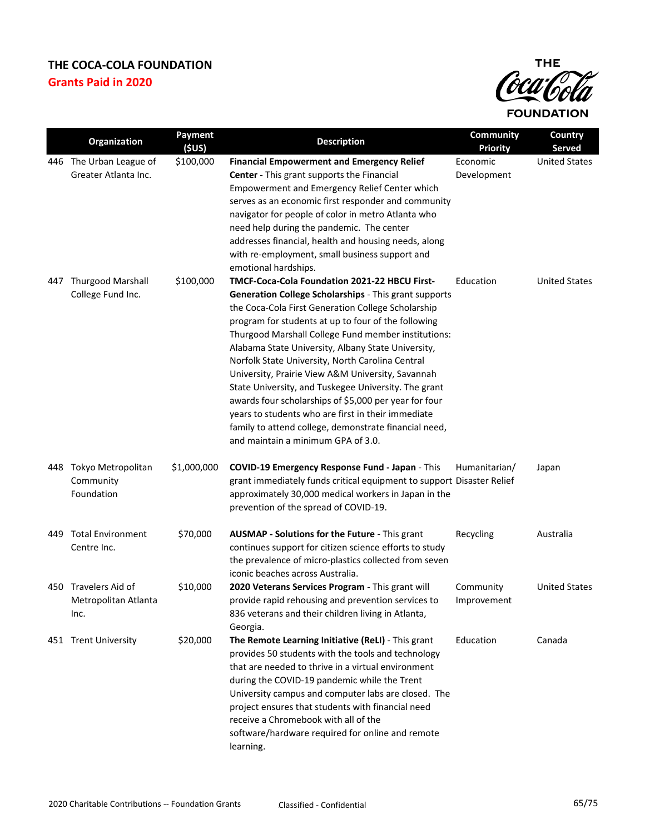

|      | Organization                                         | Payment<br>(5US) | <b>Description</b>                                                                                                                                                                                                                                                                                                                                                                                                                                                                                                                                                                                                                                                                                              | <b>Community</b><br><b>Priority</b> | Country<br>Served    |
|------|------------------------------------------------------|------------------|-----------------------------------------------------------------------------------------------------------------------------------------------------------------------------------------------------------------------------------------------------------------------------------------------------------------------------------------------------------------------------------------------------------------------------------------------------------------------------------------------------------------------------------------------------------------------------------------------------------------------------------------------------------------------------------------------------------------|-------------------------------------|----------------------|
|      | 446 The Urban League of<br>Greater Atlanta Inc.      | \$100,000        | <b>Financial Empowerment and Emergency Relief</b><br>Center - This grant supports the Financial<br>Empowerment and Emergency Relief Center which<br>serves as an economic first responder and community<br>navigator for people of color in metro Atlanta who<br>need help during the pandemic. The center<br>addresses financial, health and housing needs, along<br>with re-employment, small business support and<br>emotional hardships.                                                                                                                                                                                                                                                                    | Economic<br>Development             | <b>United States</b> |
| 447  | <b>Thurgood Marshall</b><br>College Fund Inc.        | \$100,000        | TMCF-Coca-Cola Foundation 2021-22 HBCU First-<br>Generation College Scholarships - This grant supports<br>the Coca-Cola First Generation College Scholarship<br>program for students at up to four of the following<br>Thurgood Marshall College Fund member institutions:<br>Alabama State University, Albany State University,<br>Norfolk State University, North Carolina Central<br>University, Prairie View A&M University, Savannah<br>State University, and Tuskegee University. The grant<br>awards four scholarships of \$5,000 per year for four<br>years to students who are first in their immediate<br>family to attend college, demonstrate financial need,<br>and maintain a minimum GPA of 3.0. | Education                           | <b>United States</b> |
|      | 448 Tokyo Metropolitan<br>Community<br>Foundation    | \$1,000,000      | COVID-19 Emergency Response Fund - Japan - This<br>grant immediately funds critical equipment to support Disaster Relief<br>approximately 30,000 medical workers in Japan in the<br>prevention of the spread of COVID-19.                                                                                                                                                                                                                                                                                                                                                                                                                                                                                       | Humanitarian/                       | Japan                |
| 449. | <b>Total Environment</b><br>Centre Inc.              | \$70,000         | AUSMAP - Solutions for the Future - This grant<br>continues support for citizen science efforts to study<br>the prevalence of micro-plastics collected from seven<br>iconic beaches across Australia.                                                                                                                                                                                                                                                                                                                                                                                                                                                                                                           | Recycling                           | Australia            |
|      | 450 Travelers Aid of<br>Metropolitan Atlanta<br>Inc. | \$10,000         | 2020 Veterans Services Program - This grant will<br>provide rapid rehousing and prevention services to<br>836 veterans and their children living in Atlanta,<br>Georgia.                                                                                                                                                                                                                                                                                                                                                                                                                                                                                                                                        | Community<br>Improvement            | <b>United States</b> |
|      | 451 Trent University                                 | \$20,000         | The Remote Learning Initiative (ReLI) - This grant<br>provides 50 students with the tools and technology<br>that are needed to thrive in a virtual environment<br>during the COVID-19 pandemic while the Trent<br>University campus and computer labs are closed. The<br>project ensures that students with financial need<br>receive a Chromebook with all of the<br>software/hardware required for online and remote<br>learning.                                                                                                                                                                                                                                                                             | Education                           | Canada               |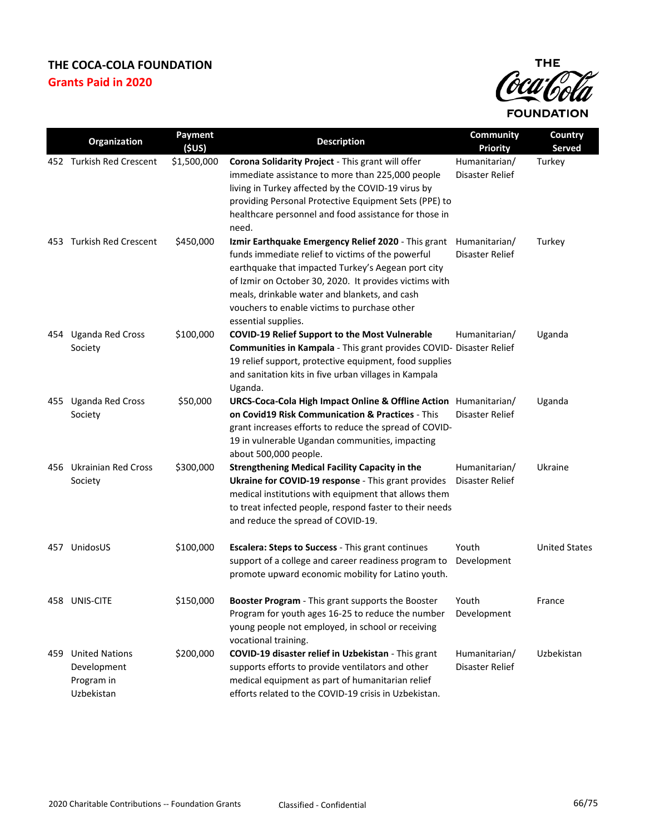

|     | Organization                                                     | <b>Payment</b><br>(5US) | <b>Description</b>                                                                                                                                                                                                                                                                                                                               | <b>Community</b><br><b>Priority</b> | Country<br>Served    |
|-----|------------------------------------------------------------------|-------------------------|--------------------------------------------------------------------------------------------------------------------------------------------------------------------------------------------------------------------------------------------------------------------------------------------------------------------------------------------------|-------------------------------------|----------------------|
|     | 452 Turkish Red Crescent                                         | \$1,500,000             | Corona Solidarity Project - This grant will offer<br>immediate assistance to more than 225,000 people<br>living in Turkey affected by the COVID-19 virus by<br>providing Personal Protective Equipment Sets (PPE) to<br>healthcare personnel and food assistance for those in<br>need.                                                           | Humanitarian/<br>Disaster Relief    | Turkey               |
| 453 | <b>Turkish Red Crescent</b>                                      | \$450,000               | Izmir Earthquake Emergency Relief 2020 - This grant<br>funds immediate relief to victims of the powerful<br>earthquake that impacted Turkey's Aegean port city<br>of Izmir on October 30, 2020. It provides victims with<br>meals, drinkable water and blankets, and cash<br>vouchers to enable victims to purchase other<br>essential supplies. | Humanitarian/<br>Disaster Relief    | Turkey               |
| 454 | <b>Uganda Red Cross</b><br>Society                               | \$100,000               | <b>COVID-19 Relief Support to the Most Vulnerable</b><br>Communities in Kampala - This grant provides COVID- Disaster Relief<br>19 relief support, protective equipment, food supplies<br>and sanitation kits in five urban villages in Kampala<br>Uganda.                                                                                       | Humanitarian/                       | Uganda               |
|     | 455 Uganda Red Cross<br>Society                                  | \$50,000                | URCS-Coca-Cola High Impact Online & Offline Action Humanitarian/<br>on Covid19 Risk Communication & Practices - This<br>grant increases efforts to reduce the spread of COVID-<br>19 in vulnerable Ugandan communities, impacting<br>about 500,000 people.                                                                                       | Disaster Relief                     | Uganda               |
| 456 | <b>Ukrainian Red Cross</b><br>Society                            | \$300,000               | <b>Strengthening Medical Facility Capacity in the</b><br>Ukraine for COVID-19 response - This grant provides<br>medical institutions with equipment that allows them<br>to treat infected people, respond faster to their needs<br>and reduce the spread of COVID-19.                                                                            | Humanitarian/<br>Disaster Relief    | Ukraine              |
| 457 | UnidosUS                                                         | \$100,000               | <b>Escalera: Steps to Success - This grant continues</b><br>support of a college and career readiness program to<br>promote upward economic mobility for Latino youth.                                                                                                                                                                           | Youth<br>Development                | <b>United States</b> |
|     | 458 UNIS-CITE                                                    | \$150,000               | Booster Program - This grant supports the Booster<br>Program for youth ages 16-25 to reduce the number<br>young people not employed, in school or receiving<br>vocational training.                                                                                                                                                              | Youth<br>Development                | France               |
| 459 | <b>United Nations</b><br>Development<br>Program in<br>Uzbekistan | \$200,000               | COVID-19 disaster relief in Uzbekistan - This grant<br>supports efforts to provide ventilators and other<br>medical equipment as part of humanitarian relief<br>efforts related to the COVID-19 crisis in Uzbekistan.                                                                                                                            | Humanitarian/<br>Disaster Relief    | Uzbekistan           |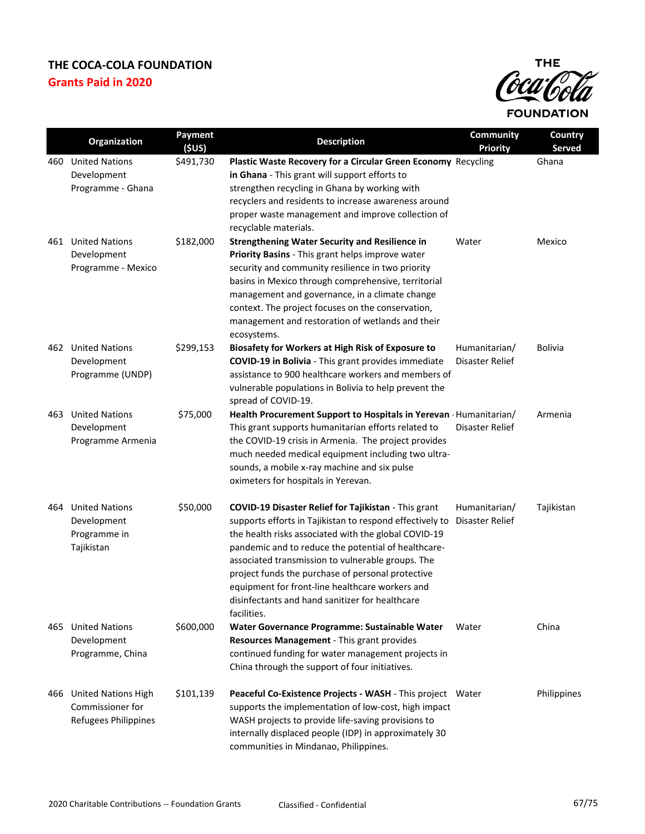

|     | Organization                                                           | Payment<br>(5US) | <b>Description</b>                                                                                                                                                                                                                                                                                                                                                                                                                                                    | Community<br><b>Priority</b>     | Country<br><b>Served</b> |
|-----|------------------------------------------------------------------------|------------------|-----------------------------------------------------------------------------------------------------------------------------------------------------------------------------------------------------------------------------------------------------------------------------------------------------------------------------------------------------------------------------------------------------------------------------------------------------------------------|----------------------------------|--------------------------|
| 460 | <b>United Nations</b><br>Development<br>Programme - Ghana              | \$491,730        | Plastic Waste Recovery for a Circular Green Economy Recycling<br>in Ghana - This grant will support efforts to<br>strengthen recycling in Ghana by working with<br>recyclers and residents to increase awareness around<br>proper waste management and improve collection of<br>recyclable materials.                                                                                                                                                                 |                                  | Ghana                    |
| 461 | <b>United Nations</b><br>Development<br>Programme - Mexico             | \$182,000        | <b>Strengthening Water Security and Resilience in</b><br>Priority Basins - This grant helps improve water<br>security and community resilience in two priority<br>basins in Mexico through comprehensive, territorial<br>management and governance, in a climate change<br>context. The project focuses on the conservation,<br>management and restoration of wetlands and their<br>ecosystems.                                                                       | Water                            | Mexico                   |
| 462 | <b>United Nations</b><br>Development<br>Programme (UNDP)               | \$299,153        | Biosafety for Workers at High Risk of Exposure to<br><b>COVID-19 in Bolivia</b> - This grant provides immediate<br>assistance to 900 healthcare workers and members of<br>vulnerable populations in Bolivia to help prevent the<br>spread of COVID-19.                                                                                                                                                                                                                | Humanitarian/<br>Disaster Relief | <b>Bolivia</b>           |
| 463 | <b>United Nations</b><br>Development<br>Programme Armenia              | \$75,000         | Health Procurement Support to Hospitals in Yerevan Humanitarian/<br>This grant supports humanitarian efforts related to<br>the COVID-19 crisis in Armenia. The project provides<br>much needed medical equipment including two ultra-<br>sounds, a mobile x-ray machine and six pulse<br>oximeters for hospitals in Yerevan.                                                                                                                                          | Disaster Relief                  | Armenia                  |
| 464 | <b>United Nations</b><br>Development<br>Programme in<br>Tajikistan     | \$50,000         | <b>COVID-19 Disaster Relief for Tajikistan - This grant</b><br>supports efforts in Tajikistan to respond effectively to<br>the health risks associated with the global COVID-19<br>pandemic and to reduce the potential of healthcare-<br>associated transmission to vulnerable groups. The<br>project funds the purchase of personal protective<br>equipment for front-line healthcare workers and<br>disinfectants and hand sanitizer for healthcare<br>facilities. | Humanitarian/<br>Disaster Relief | Tajikistan               |
| 465 | <b>United Nations</b><br>Development<br>Programme, China               | \$600,000        | Water Governance Programme: Sustainable Water<br>Resources Management - This grant provides<br>continued funding for water management projects in<br>China through the support of four initiatives.                                                                                                                                                                                                                                                                   | Water                            | China                    |
| 466 | <b>United Nations High</b><br>Commissioner for<br>Refugees Philippines | \$101,139        | Peaceful Co-Existence Projects - WASH - This project Water<br>supports the implementation of low-cost, high impact<br>WASH projects to provide life-saving provisions to<br>internally displaced people (IDP) in approximately 30<br>communities in Mindanao, Philippines.                                                                                                                                                                                            |                                  | Philippines              |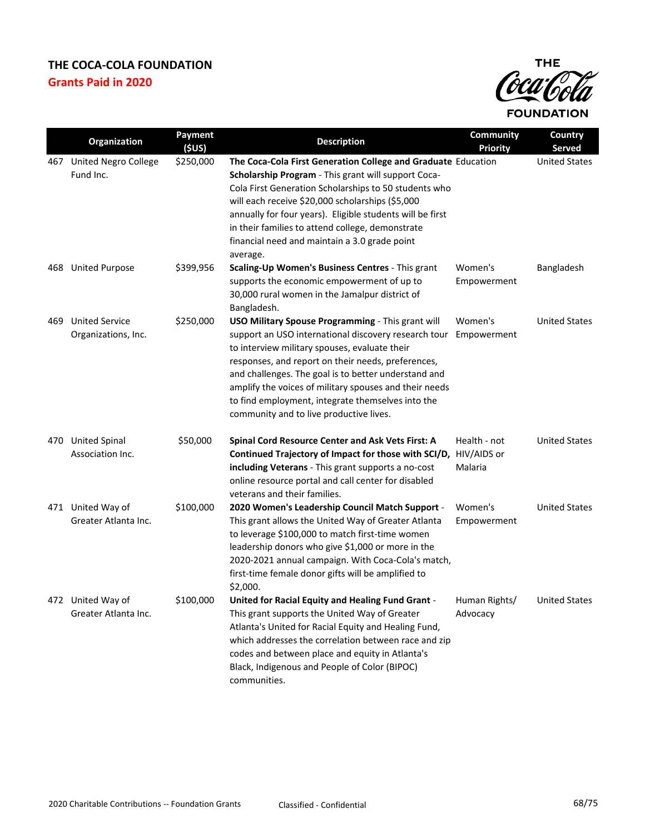

|      | Organization                                 | Payment<br>(5US) | <b>Description</b>                                                                                                                                                                                                                                                                                                                                                                                                                 | <b>Community</b><br><b>Priority</b>    | Country<br><b>Served</b> |
|------|----------------------------------------------|------------------|------------------------------------------------------------------------------------------------------------------------------------------------------------------------------------------------------------------------------------------------------------------------------------------------------------------------------------------------------------------------------------------------------------------------------------|----------------------------------------|--------------------------|
| 467  | <b>United Negro College</b><br>Fund Inc.     | \$250,000        | The Coca-Cola First Generation College and Graduate Education<br>Scholarship Program - This grant will support Coca-<br>Cola First Generation Scholarships to 50 students who<br>will each receive \$20,000 scholarships (\$5,000<br>annually for four years). Eligible students will be first<br>in their families to attend college, demonstrate<br>financial need and maintain a 3.0 grade point<br>average.                    |                                        | <b>United States</b>     |
| 468  | <b>United Purpose</b>                        | \$399,956        | Scaling-Up Women's Business Centres - This grant<br>supports the economic empowerment of up to<br>30,000 rural women in the Jamalpur district of<br>Bangladesh.                                                                                                                                                                                                                                                                    | Women's<br>Empowerment                 | Bangladesh               |
| 469. | <b>United Service</b><br>Organizations, Inc. | \$250,000        | USO Military Spouse Programming - This grant will<br>support an USO international discovery research tour<br>to interview military spouses, evaluate their<br>responses, and report on their needs, preferences,<br>and challenges. The goal is to better understand and<br>amplify the voices of military spouses and their needs<br>to find employment, integrate themselves into the<br>community and to live productive lives. | Women's<br>Empowerment                 | <b>United States</b>     |
|      | 470 United Spinal<br>Association Inc.        | \$50,000         | Spinal Cord Resource Center and Ask Vets First: A<br>Continued Trajectory of Impact for those with SCI/D,<br>including Veterans - This grant supports a no-cost<br>online resource portal and call center for disabled<br>veterans and their families.                                                                                                                                                                             | Health - not<br>HIV/AIDS or<br>Malaria | <b>United States</b>     |
|      | 471 United Way of<br>Greater Atlanta Inc.    | \$100,000        | 2020 Women's Leadership Council Match Support -<br>This grant allows the United Way of Greater Atlanta<br>to leverage \$100,000 to match first-time women<br>leadership donors who give \$1,000 or more in the<br>2020-2021 annual campaign. With Coca-Cola's match,<br>first-time female donor gifts will be amplified to<br>\$2,000.                                                                                             | Women's<br>Empowerment                 | <b>United States</b>     |
|      | 472 United Way of<br>Greater Atlanta Inc.    | \$100,000        | United for Racial Equity and Healing Fund Grant -<br>This grant supports the United Way of Greater<br>Atlanta's United for Racial Equity and Healing Fund,<br>which addresses the correlation between race and zip<br>codes and between place and equity in Atlanta's<br>Black, Indigenous and People of Color (BIPOC)<br>communities.                                                                                             | Human Rights/<br>Advocacy              | <b>United States</b>     |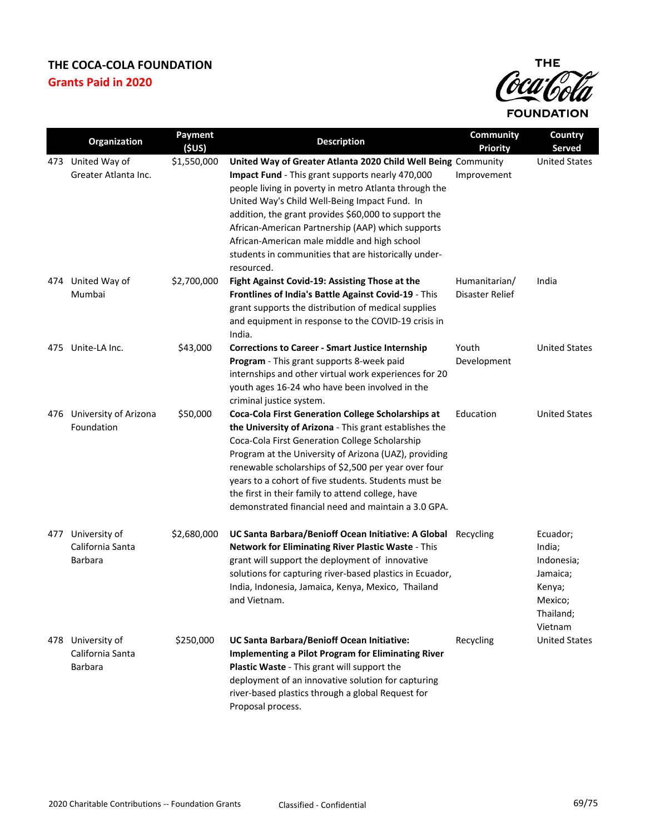

|     | Organization                                     | Payment<br>(5US) | <b>Description</b>                                                                                                                                                                                                                                                                                                                                                                                                                                  | <b>Community</b><br><b>Priority</b> | Country<br>Served                                                                         |
|-----|--------------------------------------------------|------------------|-----------------------------------------------------------------------------------------------------------------------------------------------------------------------------------------------------------------------------------------------------------------------------------------------------------------------------------------------------------------------------------------------------------------------------------------------------|-------------------------------------|-------------------------------------------------------------------------------------------|
| 473 | United Way of                                    | \$1,550,000      | United Way of Greater Atlanta 2020 Child Well Being Community                                                                                                                                                                                                                                                                                                                                                                                       |                                     | <b>United States</b>                                                                      |
|     | Greater Atlanta Inc.                             |                  | Impact Fund - This grant supports nearly 470,000<br>people living in poverty in metro Atlanta through the<br>United Way's Child Well-Being Impact Fund. In<br>addition, the grant provides \$60,000 to support the<br>African-American Partnership (AAP) which supports<br>African-American male middle and high school<br>students in communities that are historically under-<br>resourced.                                                       | Improvement                         |                                                                                           |
| 474 | United Way of<br>Mumbai                          | \$2,700,000      | Fight Against Covid-19: Assisting Those at the<br>Frontlines of India's Battle Against Covid-19 - This<br>grant supports the distribution of medical supplies<br>and equipment in response to the COVID-19 crisis in<br>India.                                                                                                                                                                                                                      | Humanitarian/<br>Disaster Relief    | India                                                                                     |
| 475 | Unite-LA Inc.                                    | \$43,000         | <b>Corrections to Career - Smart Justice Internship</b><br>Program - This grant supports 8-week paid<br>internships and other virtual work experiences for 20<br>youth ages 16-24 who have been involved in the<br>criminal justice system.                                                                                                                                                                                                         | Youth<br>Development                | <b>United States</b>                                                                      |
| 476 | University of Arizona<br>Foundation              | \$50,000         | Coca-Cola First Generation College Scholarships at<br>the University of Arizona - This grant establishes the<br>Coca-Cola First Generation College Scholarship<br>Program at the University of Arizona (UAZ), providing<br>renewable scholarships of \$2,500 per year over four<br>years to a cohort of five students. Students must be<br>the first in their family to attend college, have<br>demonstrated financial need and maintain a 3.0 GPA. | Education                           | <b>United States</b>                                                                      |
| 477 | University of<br>California Santa<br>Barbara     | \$2,680,000      | UC Santa Barbara/Benioff Ocean Initiative: A Global Recycling<br>Network for Eliminating River Plastic Waste - This<br>grant will support the deployment of innovative<br>solutions for capturing river-based plastics in Ecuador,<br>India, Indonesia, Jamaica, Kenya, Mexico, Thailand<br>and Vietnam.                                                                                                                                            |                                     | Ecuador;<br>India;<br>Indonesia;<br>Jamaica;<br>Kenya;<br>Mexico;<br>Thailand;<br>Vietnam |
|     | 478 University of<br>California Santa<br>Barbara | \$250,000        | UC Santa Barbara/Benioff Ocean Initiative:<br><b>Implementing a Pilot Program for Eliminating River</b><br>Plastic Waste - This grant will support the<br>deployment of an innovative solution for capturing<br>river-based plastics through a global Request for<br>Proposal process.                                                                                                                                                              | Recycling                           | <b>United States</b>                                                                      |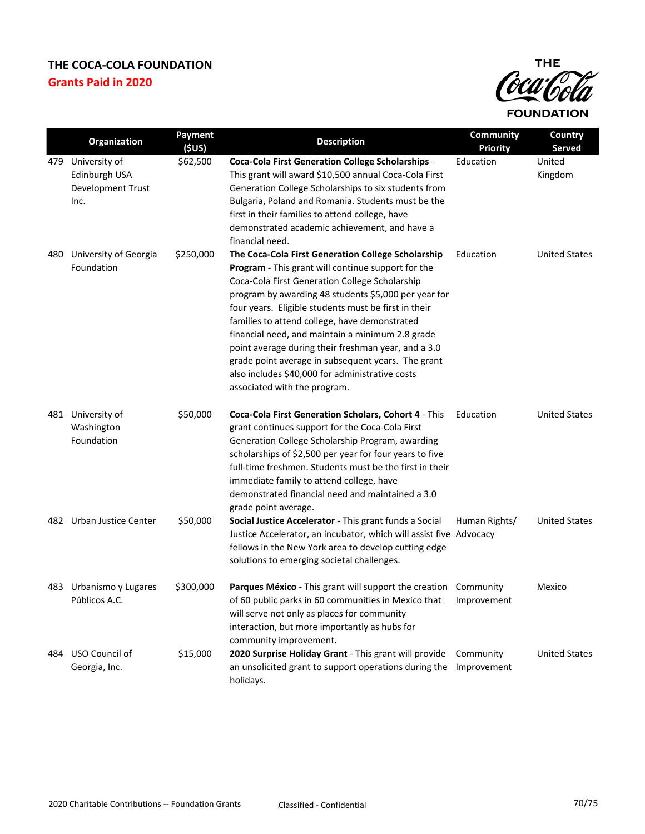

|     | Organization                                                | Payment<br>(SUS) | <b>Description</b>                                                                                                                                                                                                                                                                                                                                                                                                                                                                                                                                                              | <b>Community</b><br><b>Priority</b> | Country<br>Served    |
|-----|-------------------------------------------------------------|------------------|---------------------------------------------------------------------------------------------------------------------------------------------------------------------------------------------------------------------------------------------------------------------------------------------------------------------------------------------------------------------------------------------------------------------------------------------------------------------------------------------------------------------------------------------------------------------------------|-------------------------------------|----------------------|
| 479 | University of<br>Edinburgh USA<br>Development Trust<br>Inc. | \$62,500         | <b>Coca-Cola First Generation College Scholarships -</b><br>This grant will award \$10,500 annual Coca-Cola First<br>Generation College Scholarships to six students from<br>Bulgaria, Poland and Romania. Students must be the<br>first in their families to attend college, have<br>demonstrated academic achievement, and have a<br>financial need.                                                                                                                                                                                                                          | Education                           | United<br>Kingdom    |
| 480 | University of Georgia<br>Foundation                         | \$250,000        | The Coca-Cola First Generation College Scholarship<br>Program - This grant will continue support for the<br>Coca-Cola First Generation College Scholarship<br>program by awarding 48 students \$5,000 per year for<br>four years. Eligible students must be first in their<br>families to attend college, have demonstrated<br>financial need, and maintain a minimum 2.8 grade<br>point average during their freshman year, and a 3.0<br>grade point average in subsequent years. The grant<br>also includes \$40,000 for administrative costs<br>associated with the program. | Education                           | <b>United States</b> |
|     | 481 University of<br>Washington<br>Foundation               | \$50,000         | Coca-Cola First Generation Scholars, Cohort 4 - This<br>grant continues support for the Coca-Cola First<br>Generation College Scholarship Program, awarding<br>scholarships of \$2,500 per year for four years to five<br>full-time freshmen. Students must be the first in their<br>immediate family to attend college, have<br>demonstrated financial need and maintained a 3.0<br>grade point average.                                                                                                                                                                       | Education                           | <b>United States</b> |
|     | 482 Urban Justice Center                                    | \$50,000         | Social Justice Accelerator - This grant funds a Social<br>Justice Accelerator, an incubator, which will assist five Advocacy<br>fellows in the New York area to develop cutting edge<br>solutions to emerging societal challenges.                                                                                                                                                                                                                                                                                                                                              | Human Rights/                       | <b>United States</b> |
|     | 483 Urbanismo y Lugares<br>Públicos A.C.                    | \$300,000        | Parques México - This grant will support the creation Community<br>of 60 public parks in 60 communities in Mexico that<br>will serve not only as places for community<br>interaction, but more importantly as hubs for<br>community improvement.                                                                                                                                                                                                                                                                                                                                | Improvement                         | Mexico               |
| 484 | USO Council of<br>Georgia, Inc.                             | \$15,000         | 2020 Surprise Holiday Grant - This grant will provide<br>an unsolicited grant to support operations during the<br>holidays.                                                                                                                                                                                                                                                                                                                                                                                                                                                     | Community<br>Improvement            | <b>United States</b> |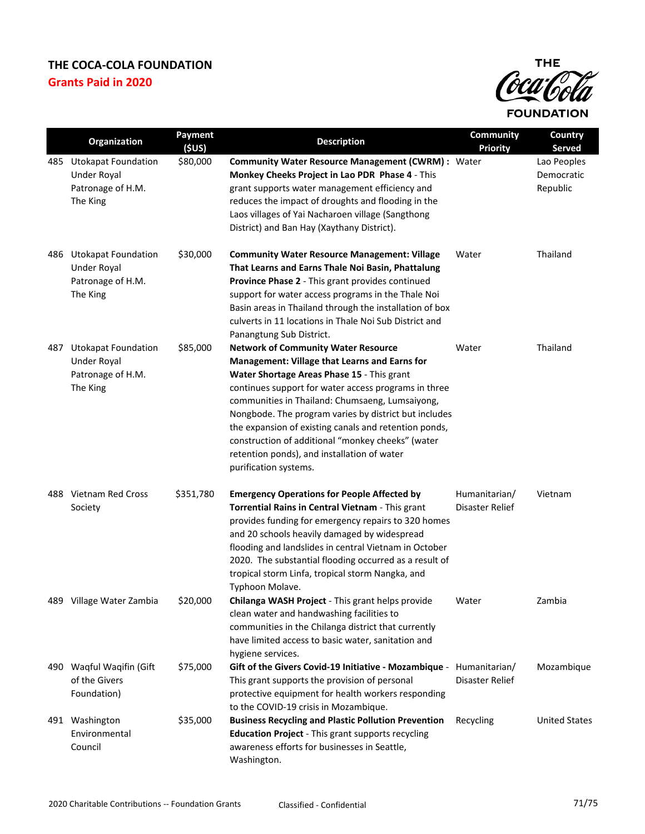

|     | Organization                                                                      | Payment<br>(SUS) | <b>Description</b>                                                                                                                                                                                                                                                                                                                                                                                                                                                                                  | <b>Community</b><br><b>Priority</b> | Country<br><b>Served</b>              |
|-----|-----------------------------------------------------------------------------------|------------------|-----------------------------------------------------------------------------------------------------------------------------------------------------------------------------------------------------------------------------------------------------------------------------------------------------------------------------------------------------------------------------------------------------------------------------------------------------------------------------------------------------|-------------------------------------|---------------------------------------|
| 485 | <b>Utokapat Foundation</b><br><b>Under Royal</b><br>Patronage of H.M.<br>The King | \$80,000         | <b>Community Water Resource Management (CWRM): Water</b><br>Monkey Cheeks Project in Lao PDR Phase 4 - This<br>grant supports water management efficiency and<br>reduces the impact of droughts and flooding in the<br>Laos villages of Yai Nacharoen village (Sangthong<br>District) and Ban Hay (Xaythany District).                                                                                                                                                                              |                                     | Lao Peoples<br>Democratic<br>Republic |
| 486 | <b>Utokapat Foundation</b><br><b>Under Royal</b><br>Patronage of H.M.<br>The King | \$30,000         | <b>Community Water Resource Management: Village</b><br>That Learns and Earns Thale Noi Basin, Phattalung<br>Province Phase 2 - This grant provides continued<br>support for water access programs in the Thale Noi<br>Basin areas in Thailand through the installation of box<br>culverts in 11 locations in Thale Noi Sub District and<br>Panangtung Sub District.                                                                                                                                 | Water                               | Thailand                              |
| 487 | <b>Utokapat Foundation</b><br><b>Under Royal</b><br>Patronage of H.M.<br>The King | \$85,000         | <b>Network of Community Water Resource</b><br>Management: Village that Learns and Earns for<br>Water Shortage Areas Phase 15 - This grant<br>continues support for water access programs in three<br>communities in Thailand: Chumsaeng, Lumsaiyong,<br>Nongbode. The program varies by district but includes<br>the expansion of existing canals and retention ponds,<br>construction of additional "monkey cheeks" (water<br>retention ponds), and installation of water<br>purification systems. | Water                               | Thailand                              |
|     | 488 Vietnam Red Cross<br>Society                                                  | \$351,780        | <b>Emergency Operations for People Affected by</b><br>Torrential Rains in Central Vietnam - This grant<br>provides funding for emergency repairs to 320 homes<br>and 20 schools heavily damaged by widespread<br>flooding and landslides in central Vietnam in October<br>2020. The substantial flooding occurred as a result of<br>tropical storm Linfa, tropical storm Nangka, and<br>Typhoon Molave.                                                                                             | Humanitarian/<br>Disaster Relief    | Vietnam                               |
|     | 489 Village Water Zambia                                                          | \$20,000         | Chilanga WASH Project - This grant helps provide<br>clean water and handwashing facilities to<br>communities in the Chilanga district that currently<br>have limited access to basic water, sanitation and<br>hygiene services.                                                                                                                                                                                                                                                                     | Water                               | Zambia                                |
| 490 | Waqful Waqifin (Gift<br>of the Givers<br>Foundation)                              | \$75,000         | Gift of the Givers Covid-19 Initiative - Mozambique - Humanitarian/<br>This grant supports the provision of personal<br>protective equipment for health workers responding<br>to the COVID-19 crisis in Mozambique.                                                                                                                                                                                                                                                                                 | Disaster Relief                     | Mozambique                            |
|     | 491 Washington<br>Environmental<br>Council                                        | \$35,000         | <b>Business Recycling and Plastic Pollution Prevention</b><br><b>Education Project</b> - This grant supports recycling<br>awareness efforts for businesses in Seattle,<br>Washington.                                                                                                                                                                                                                                                                                                               | Recycling                           | <b>United States</b>                  |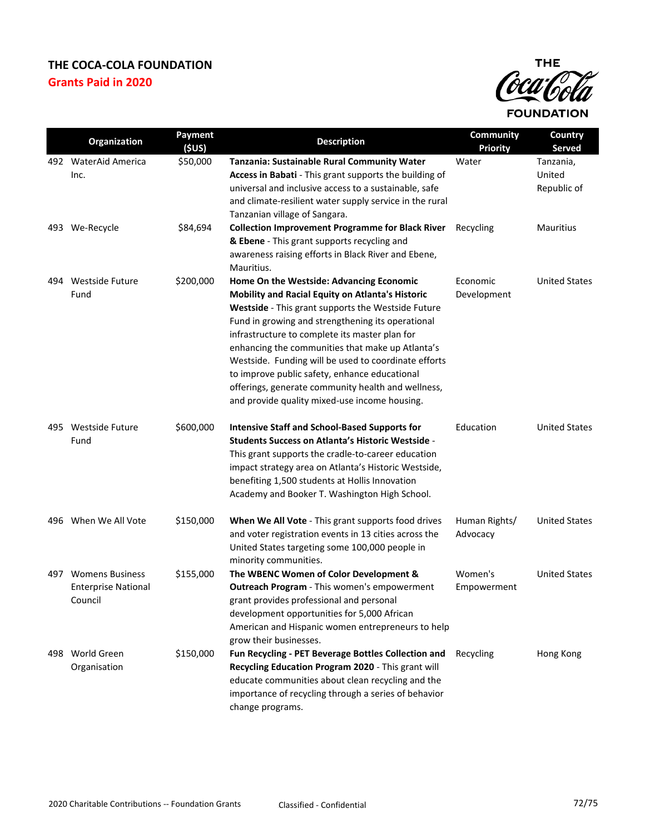

|     | Organization                                                    | Payment<br>(5US) | <b>Description</b>                                                                                                                                                                                                                                                                                                                                                                                                                                                                                                            | <b>Community</b><br><b>Priority</b> | Country<br><b>Served</b>           |
|-----|-----------------------------------------------------------------|------------------|-------------------------------------------------------------------------------------------------------------------------------------------------------------------------------------------------------------------------------------------------------------------------------------------------------------------------------------------------------------------------------------------------------------------------------------------------------------------------------------------------------------------------------|-------------------------------------|------------------------------------|
|     | 492 WaterAid America<br>Inc.                                    | \$50,000         | Tanzania: Sustainable Rural Community Water<br>Access in Babati - This grant supports the building of<br>universal and inclusive access to a sustainable, safe<br>and climate-resilient water supply service in the rural<br>Tanzanian village of Sangara.                                                                                                                                                                                                                                                                    | Water                               | Tanzania,<br>United<br>Republic of |
|     | 493 We-Recycle                                                  | \$84,694         | <b>Collection Improvement Programme for Black River</b><br>& Ebene - This grant supports recycling and<br>awareness raising efforts in Black River and Ebene,<br>Mauritius.                                                                                                                                                                                                                                                                                                                                                   | Recycling                           | <b>Mauritius</b>                   |
|     | 494 Westside Future<br>Fund                                     | \$200,000        | Home On the Westside: Advancing Economic<br>Mobility and Racial Equity on Atlanta's Historic<br>Westside - This grant supports the Westside Future<br>Fund in growing and strengthening its operational<br>infrastructure to complete its master plan for<br>enhancing the communities that make up Atlanta's<br>Westside. Funding will be used to coordinate efforts<br>to improve public safety, enhance educational<br>offerings, generate community health and wellness,<br>and provide quality mixed-use income housing. | Economic<br>Development             | <b>United States</b>               |
|     | 495 Westside Future<br>Fund                                     | \$600,000        | <b>Intensive Staff and School-Based Supports for</b><br><b>Students Success on Atlanta's Historic Westside -</b><br>This grant supports the cradle-to-career education<br>impact strategy area on Atlanta's Historic Westside,<br>benefiting 1,500 students at Hollis Innovation<br>Academy and Booker T. Washington High School.                                                                                                                                                                                             | Education                           | <b>United States</b>               |
|     | 496 When We All Vote                                            | \$150,000        | When We All Vote - This grant supports food drives<br>and voter registration events in 13 cities across the<br>United States targeting some 100,000 people in<br>minority communities.                                                                                                                                                                                                                                                                                                                                        | Human Rights/<br>Advocacy           | <b>United States</b>               |
| 497 | <b>Womens Business</b><br><b>Enterprise National</b><br>Council | \$155,000        | The WBENC Women of Color Development &<br>Outreach Program - This women's empowerment<br>grant provides professional and personal<br>development opportunities for 5,000 African<br>American and Hispanic women entrepreneurs to help<br>grow their businesses.                                                                                                                                                                                                                                                               | Women's<br>Empowerment              | <b>United States</b>               |
|     | 498 World Green<br>Organisation                                 | \$150,000        | Fun Recycling - PET Beverage Bottles Collection and<br>Recycling Education Program 2020 - This grant will<br>educate communities about clean recycling and the<br>importance of recycling through a series of behavior<br>change programs.                                                                                                                                                                                                                                                                                    | Recycling                           | Hong Kong                          |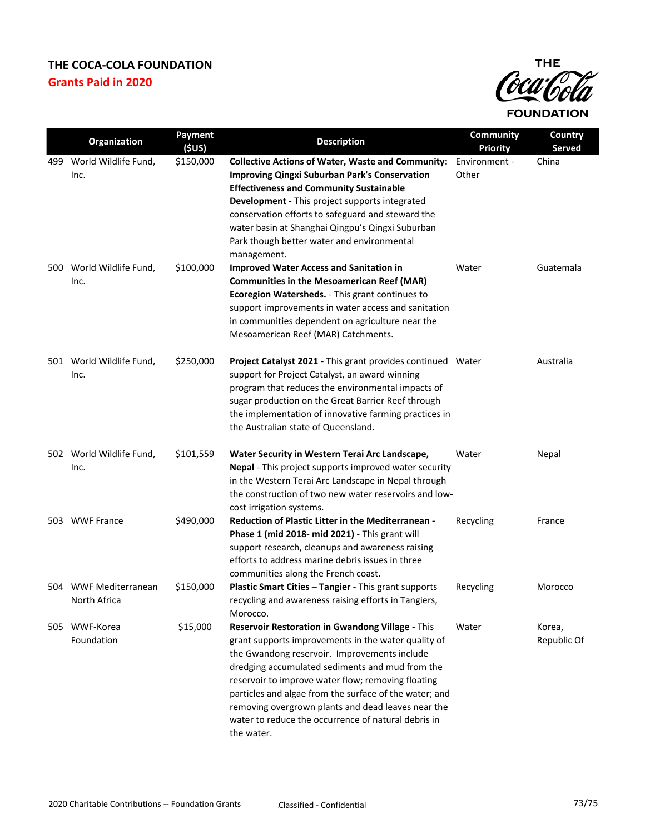## **THE COCA-COLA FOUNDATION Grants Paid in 2020**



|     | Organization                          | <b>Payment</b><br>(SUS) | <b>Description</b>                                                                                                                                                                                                                                                                                                                                                                                                                                    | <b>Community</b><br><b>Priority</b> | Country<br>Served     |
|-----|---------------------------------------|-------------------------|-------------------------------------------------------------------------------------------------------------------------------------------------------------------------------------------------------------------------------------------------------------------------------------------------------------------------------------------------------------------------------------------------------------------------------------------------------|-------------------------------------|-----------------------|
| 499 | World Wildlife Fund,<br>Inc.          | \$150,000               | <b>Collective Actions of Water, Waste and Community:</b><br><b>Improving Qingxi Suburban Park's Conservation</b><br><b>Effectiveness and Community Sustainable</b><br>Development - This project supports integrated<br>conservation efforts to safeguard and steward the<br>water basin at Shanghai Qingpu's Qingxi Suburban<br>Park though better water and environmental<br>management.                                                            | Environment -<br>Other              | China                 |
|     | 500 World Wildlife Fund,<br>Inc.      | \$100,000               | <b>Improved Water Access and Sanitation in</b><br><b>Communities in the Mesoamerican Reef (MAR)</b><br>Ecoregion Watersheds. - This grant continues to<br>support improvements in water access and sanitation<br>in communities dependent on agriculture near the<br>Mesoamerican Reef (MAR) Catchments.                                                                                                                                              | Water                               | Guatemala             |
|     | 501 World Wildlife Fund,<br>Inc.      | \$250,000               | <b>Project Catalyst 2021</b> - This grant provides continued Water<br>support for Project Catalyst, an award winning<br>program that reduces the environmental impacts of<br>sugar production on the Great Barrier Reef through<br>the implementation of innovative farming practices in<br>the Australian state of Queensland.                                                                                                                       |                                     | Australia             |
|     | 502 World Wildlife Fund,<br>Inc.      | \$101,559               | Water Security in Western Terai Arc Landscape,<br>Nepal - This project supports improved water security<br>in the Western Terai Arc Landscape in Nepal through<br>the construction of two new water reservoirs and low-<br>cost irrigation systems.                                                                                                                                                                                                   | Water                               | Nepal                 |
|     | 503 WWF France                        | \$490,000               | <b>Reduction of Plastic Litter in the Mediterranean -</b><br>Phase 1 (mid 2018- mid 2021) - This grant will<br>support research, cleanups and awareness raising<br>efforts to address marine debris issues in three<br>communities along the French coast.                                                                                                                                                                                            | Recycling                           | France                |
|     | 504 WWF Mediterranean<br>North Africa | \$150,000               | Plastic Smart Cities - Tangier - This grant supports<br>recycling and awareness raising efforts in Tangiers,<br>Morocco.                                                                                                                                                                                                                                                                                                                              | Recycling                           | Morocco               |
|     | 505 WWF-Korea<br>Foundation           | \$15,000                | Reservoir Restoration in Gwandong Village - This<br>grant supports improvements in the water quality of<br>the Gwandong reservoir. Improvements include<br>dredging accumulated sediments and mud from the<br>reservoir to improve water flow; removing floating<br>particles and algae from the surface of the water; and<br>removing overgrown plants and dead leaves near the<br>water to reduce the occurrence of natural debris in<br>the water. | Water                               | Korea,<br>Republic Of |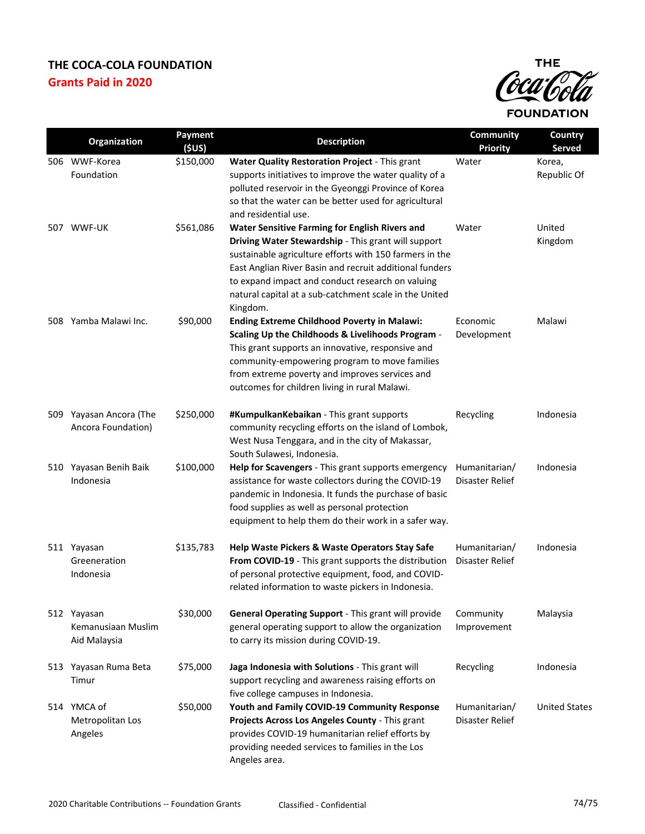## **THE COCA-COLA FOUNDATION Grants Paid in 2020**



|     | Organization                                      | Payment<br>(5US) | <b>Description</b>                                                                                                                                                                                                                                                                                                                                           | Community<br><b>Priority</b>     | Country<br><b>Served</b> |
|-----|---------------------------------------------------|------------------|--------------------------------------------------------------------------------------------------------------------------------------------------------------------------------------------------------------------------------------------------------------------------------------------------------------------------------------------------------------|----------------------------------|--------------------------|
|     | 506 WWF-Korea<br>Foundation                       | \$150,000        | Water Quality Restoration Project - This grant<br>supports initiatives to improve the water quality of a<br>polluted reservoir in the Gyeonggi Province of Korea<br>so that the water can be better used for agricultural<br>and residential use.                                                                                                            | Water                            | Korea,<br>Republic Of    |
|     | 507 WWF-UK                                        | \$561,086        | <b>Water Sensitive Farming for English Rivers and</b><br>Driving Water Stewardship - This grant will support<br>sustainable agriculture efforts with 150 farmers in the<br>East Anglian River Basin and recruit additional funders<br>to expand impact and conduct research on valuing<br>natural capital at a sub-catchment scale in the United<br>Kingdom. | Water                            | United<br>Kingdom        |
|     | 508 Yamba Malawi Inc.                             | \$90,000         | <b>Ending Extreme Childhood Poverty in Malawi:</b><br>Scaling Up the Childhoods & Livelihoods Program -<br>This grant supports an innovative, responsive and<br>community-empowering program to move families<br>from extreme poverty and improves services and<br>outcomes for children living in rural Malawi.                                             | Economic<br>Development          | Malawi                   |
| 509 | Yayasan Ancora (The<br>Ancora Foundation)         | \$250,000        | #KumpulkanKebaikan - This grant supports<br>community recycling efforts on the island of Lombok,<br>West Nusa Tenggara, and in the city of Makassar,<br>South Sulawesi, Indonesia.                                                                                                                                                                           | Recycling                        | Indonesia                |
|     | 510 Yayasan Benih Baik<br>Indonesia               | \$100,000        | Help for Scavengers - This grant supports emergency<br>assistance for waste collectors during the COVID-19<br>pandemic in Indonesia. It funds the purchase of basic<br>food supplies as well as personal protection<br>equipment to help them do their work in a safer way.                                                                                  | Humanitarian/<br>Disaster Relief | Indonesia                |
|     | 511 Yayasan<br>Greeneration<br>Indonesia          | \$135,783        | Help Waste Pickers & Waste Operators Stay Safe<br>From COVID-19 - This grant supports the distribution<br>of personal protective equipment, food, and COVID-<br>related information to waste pickers in Indonesia.                                                                                                                                           | Humanitarian/<br>Disaster Relief | Indonesia                |
|     | 512 Yayasan<br>Kemanusiaan Muslim<br>Aid Malaysia | \$30,000         | General Operating Support - This grant will provide<br>general operating support to allow the organization<br>to carry its mission during COVID-19.                                                                                                                                                                                                          | Community<br>Improvement         | Malaysia                 |
|     | 513 Yayasan Ruma Beta<br>Timur                    | \$75,000         | Jaga Indonesia with Solutions - This grant will<br>support recycling and awareness raising efforts on<br>five college campuses in Indonesia.                                                                                                                                                                                                                 | Recycling                        | Indonesia                |
|     | 514 YMCA of<br>Metropolitan Los<br>Angeles        | \$50,000         | Youth and Family COVID-19 Community Response<br>Projects Across Los Angeles County - This grant<br>provides COVID-19 humanitarian relief efforts by<br>providing needed services to families in the Los<br>Angeles area.                                                                                                                                     | Humanitarian/<br>Disaster Relief | <b>United States</b>     |